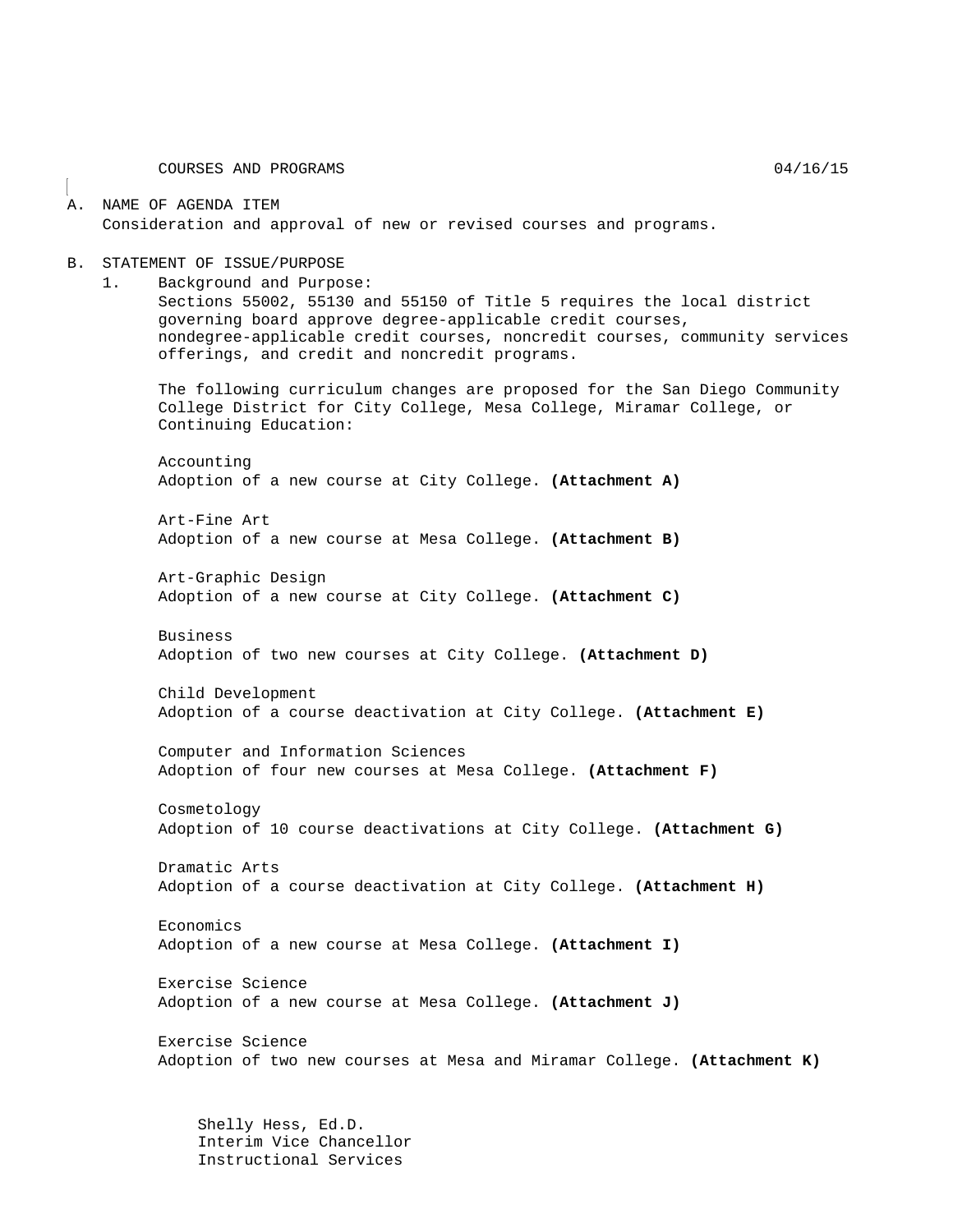COURSES AND PROGRAMS 04/16/15

#### A. NAME OF AGENDA ITEM Consideration and approval of new or revised courses and programs.

#### B. STATEMENT OF ISSUE/PURPOSE

1. Background and Purpose: Sections 55002, 55130 and 55150 of Title 5 requires the local district governing board approve degree-applicable credit courses, nondegree-applicable credit courses, noncredit courses, community services offerings, and credit and noncredit programs.

The following curriculum changes are proposed for the San Diego Community College District for City College, Mesa College, Miramar College, or Continuing Education:

Accounting Adoption of a new course at City College. **(Attachment A)**

Art-Fine Art Adoption of a new course at Mesa College. **(Attachment B)**

Art-Graphic Design Adoption of a new course at City College. **(Attachment C)**

Business

Adoption of two new courses at City College. **(Attachment D)**

Child Development Adoption of a course deactivation at City College. **(Attachment E)**

Computer and Information Sciences Adoption of four new courses at Mesa College. **(Attachment F)**

Cosmetology Adoption of 10 course deactivations at City College. **(Attachment G)**

Dramatic Arts Adoption of a course deactivation at City College. **(Attachment H)**

Economics Adoption of a new course at Mesa College. **(Attachment I)**

Exercise Science Adoption of a new course at Mesa College. **(Attachment J)**

Exercise Science Adoption of two new courses at Mesa and Miramar College. **(Attachment K)**

Shelly Hess, Ed.D. Interim Vice Chancellor Instructional Services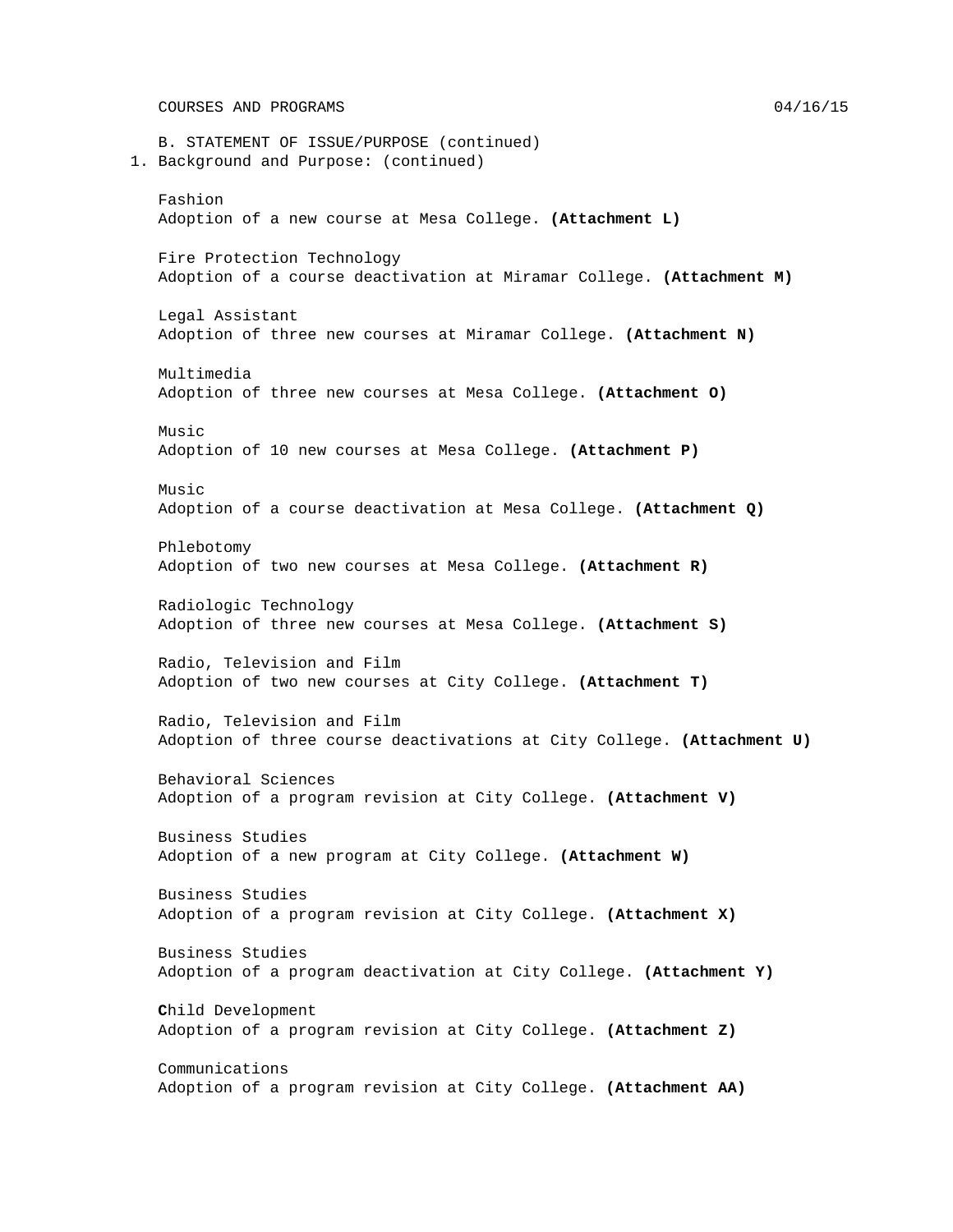B. STATEMENT OF ISSUE/PURPOSE (continued) 1. Background and Purpose: (continued) Fashion Adoption of a new course at Mesa College. **(Attachment L)** Fire Protection Technology Adoption of a course deactivation at Miramar College. **(Attachment M)** Legal Assistant Adoption of three new courses at Miramar College. **(Attachment N)** Multimedia Adoption of three new courses at Mesa College. **(Attachment O)**  $M<sub>11</sub>Si<sub>c</sub>$ Adoption of 10 new courses at Mesa College. **(Attachment P)** Music Adoption of a course deactivation at Mesa College. **(Attachment Q)** Phlebotomy Adoption of two new courses at Mesa College. **(Attachment R)** Radiologic Technology Adoption of three new courses at Mesa College. **(Attachment S)** Radio, Television and Film Adoption of two new courses at City College. **(Attachment T)** Radio, Television and Film Adoption of three course deactivations at City College. **(Attachment U)** Behavioral Sciences Adoption of a program revision at City College. **(Attachment V)** Business Studies Adoption of a new program at City College. **(Attachment W)** Business Studies Adoption of a program revision at City College. **(Attachment X)** Business Studies Adoption of a program deactivation at City College. **(Attachment Y) C**hild Development Adoption of a program revision at City College. **(Attachment Z)** Communications Adoption of a program revision at City College. **(Attachment AA)**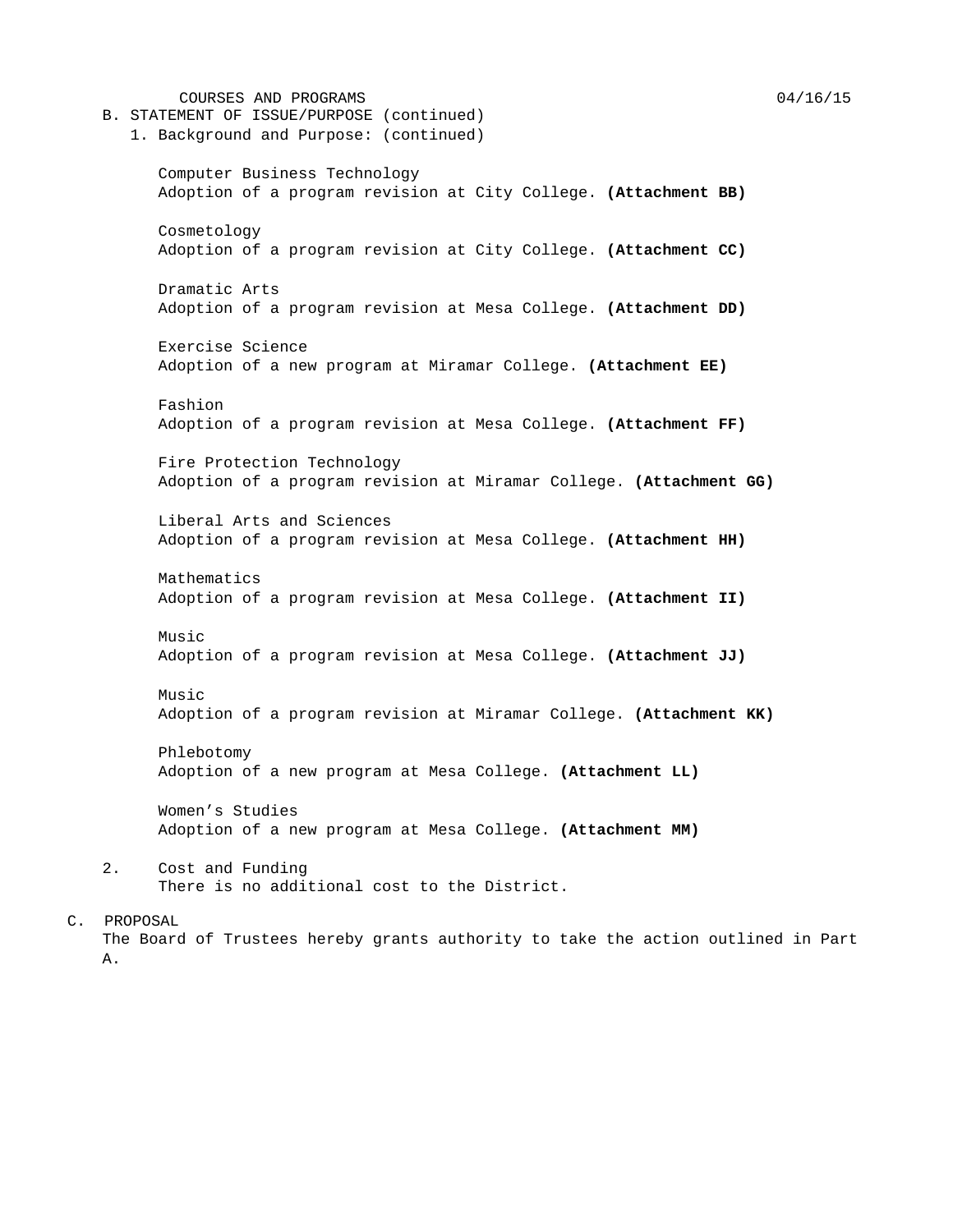COURSES AND PROGRAMS 04/16/15 B. STATEMENT OF ISSUE/PURPOSE (continued) 1. Background and Purpose: (continued) Computer Business Technology Adoption of a program revision at City College. **(Attachment BB)** Cosmetology Adoption of a program revision at City College. **(Attachment CC)** Dramatic Arts Adoption of a program revision at Mesa College. **(Attachment DD)** Exercise Science Adoption of a new program at Miramar College. **(Attachment EE)** Fashion Adoption of a program revision at Mesa College. **(Attachment FF)** Fire Protection Technology Adoption of a program revision at Miramar College. **(Attachment GG)** Liberal Arts and Sciences Adoption of a program revision at Mesa College. **(Attachment HH)** Mathematics Adoption of a program revision at Mesa College. **(Attachment II)** Music Adoption of a program revision at Mesa College. **(Attachment JJ)** Music Adoption of a program revision at Miramar College. **(Attachment KK)** Phlebotomy Adoption of a new program at Mesa College. **(Attachment LL)** Women's Studies Adoption of a new program at Mesa College. **(Attachment MM)** 2. Cost and Funding There is no additional cost to the District.

## C. PROPOSAL The Board of Trustees hereby grants authority to take the action outlined in Part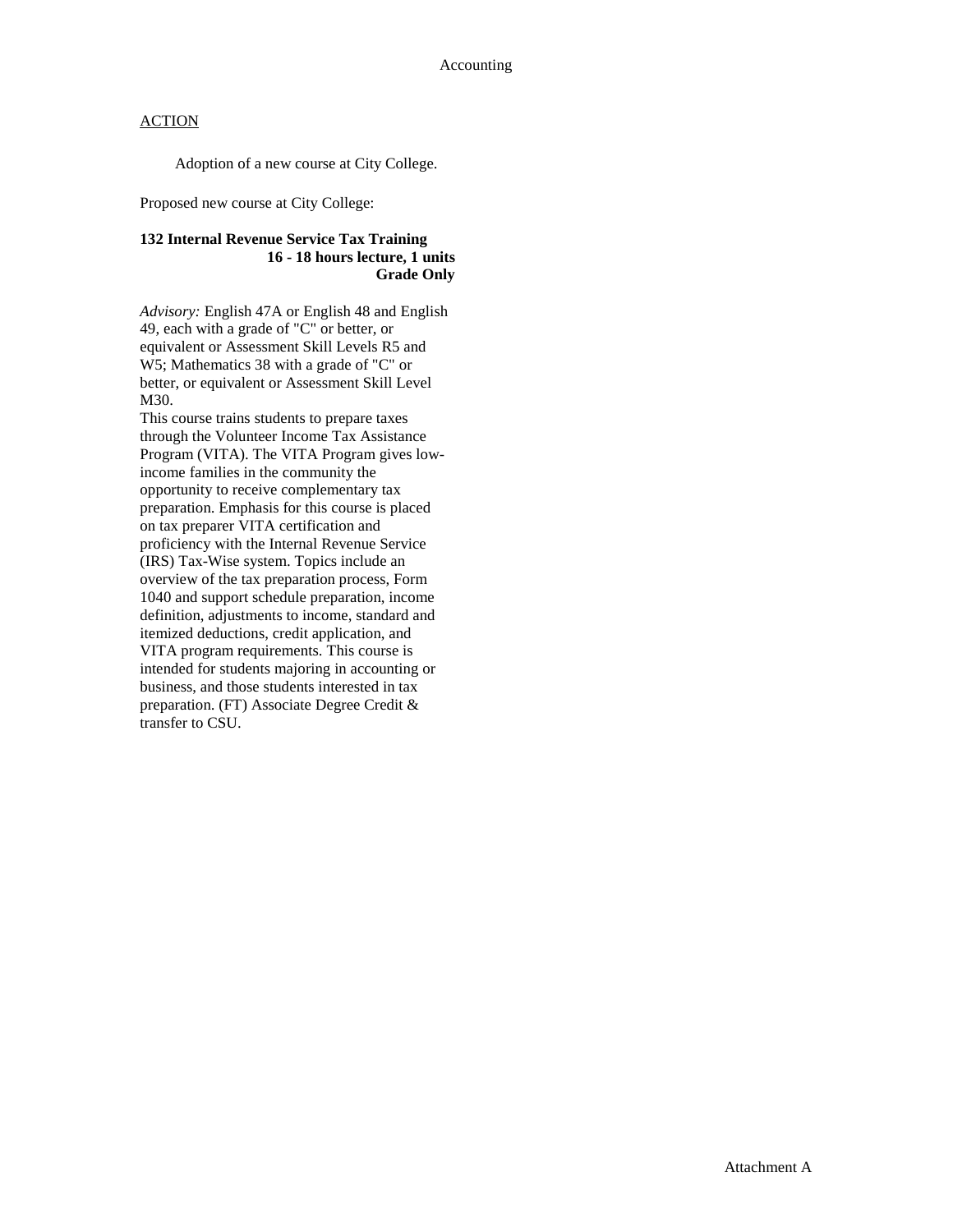Adoption of a new course at City College.

Proposed new course at City College:

### **132 Internal Revenue Service Tax Training 16 - 18 hours lecture, 1 units Grade Only**

*Advisory:* English 47A or English 48 and English 49, each with a grade of "C" or better, or equivalent or Assessment Skill Levels R5 and W5; Mathematics 38 with a grade of "C" or better, or equivalent or Assessment Skill Level M30.

This course trains students to prepare taxes through the Volunteer Income Tax Assistance Program (VITA). The VITA Program gives lowincome families in the community the opportunity to receive complementary tax preparation. Emphasis for this course is placed on tax preparer VITA certification and proficiency with the Internal Revenue Service (IRS) Tax-Wise system. Topics include an overview of the tax preparation process, Form 1040 and support schedule preparation, income definition, adjustments to income, standard and itemized deductions, credit application, and VITA program requirements. This course is intended for students majoring in accounting or business, and those students interested in tax preparation. (FT) Associate Degree Credit & transfer to CSU.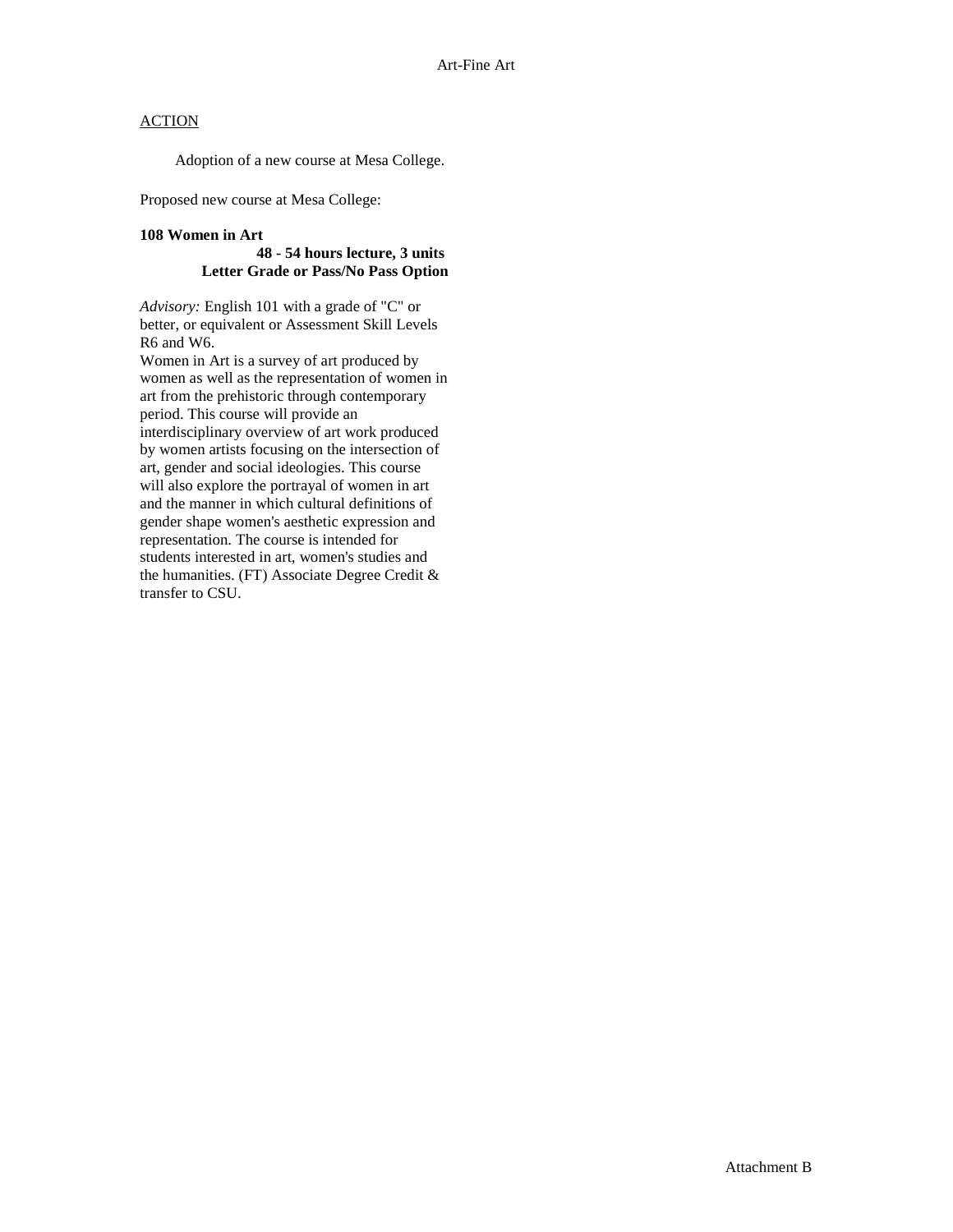Adoption of a new course at Mesa College.

Proposed new course at Mesa College:

#### **108 Women in Art**

#### **48 - 54 hours lecture, 3 units Letter Grade or Pass/No Pass Option**

*Advisory:* English 101 with a grade of "C" or better, or equivalent or Assessment Skill Levels R6 and W6.

Women in Art is a survey of art produced by women as well as the representation of women in art from the prehistoric through contemporary period. This course will provide an interdisciplinary overview of art work produced by women artists focusing on the intersection of art, gender and social ideologies. This course will also explore the portrayal of women in art and the manner in which cultural definitions of gender shape women's aesthetic expression and representation. The course is intended for students interested in art, women's studies and the humanities. (FT) Associate Degree Credit & transfer to CSU.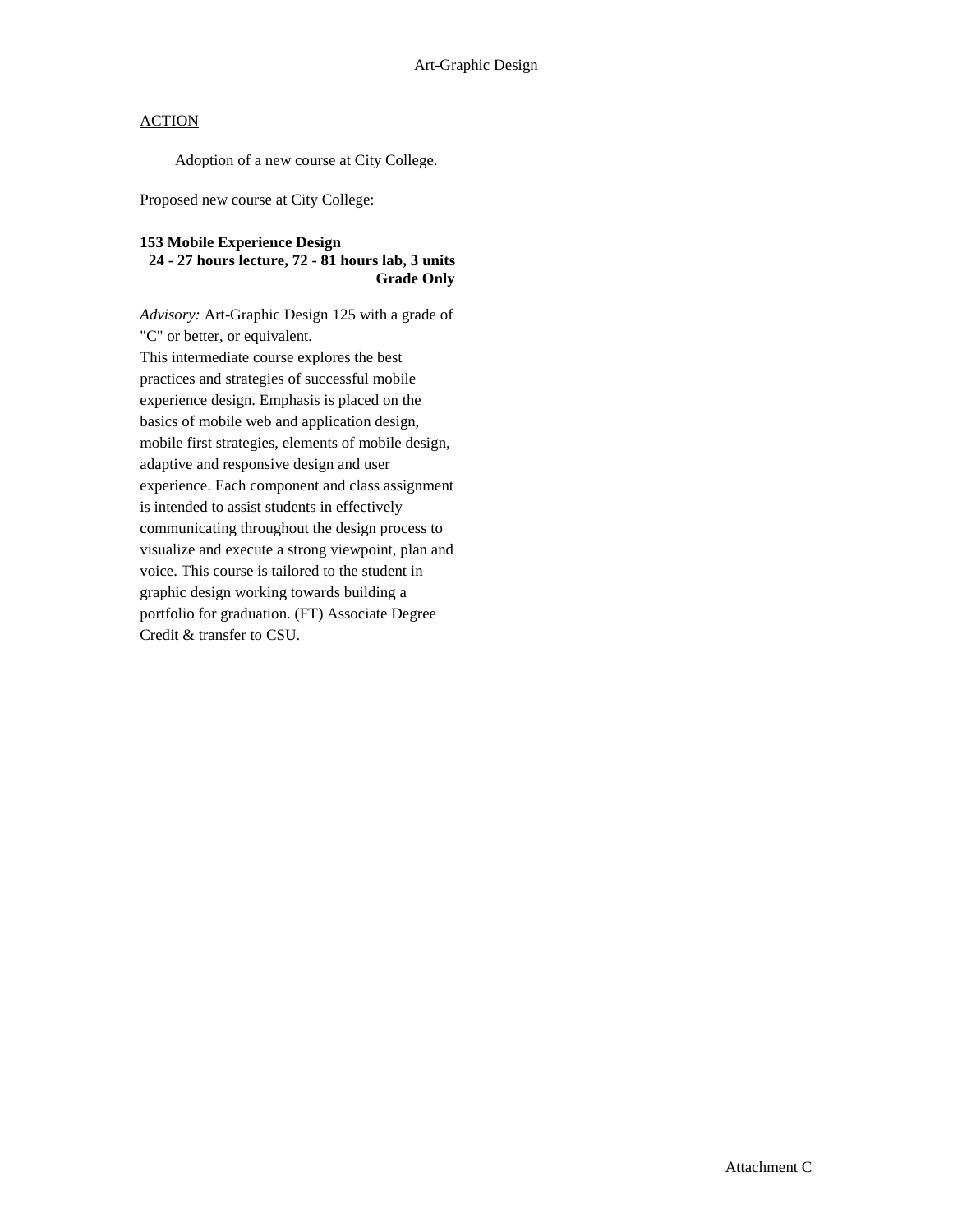Adoption of a new course at City College.

Proposed new course at City College:

#### **153 Mobile Experience Design**

#### **24 - 27 hours lecture, 72 - 81 hours lab, 3 units Grade Only**

*Advisory:* Art-Graphic Design 125 with a grade of "C" or better, or equivalent. This intermediate course explores the best practices and strategies of successful mobile experience design. Emphasis is placed on the basics of mobile web and application design, mobile first strategies, elements of mobile design, adaptive and responsive design and user experience. Each component and class assignment is intended to assist students in effectively communicating throughout the design process to visualize and execute a strong viewpoint, plan and voice. This course is tailored to the student in graphic design working towards building a portfolio for graduation. (FT) Associate Degree Credit & transfer to CSU.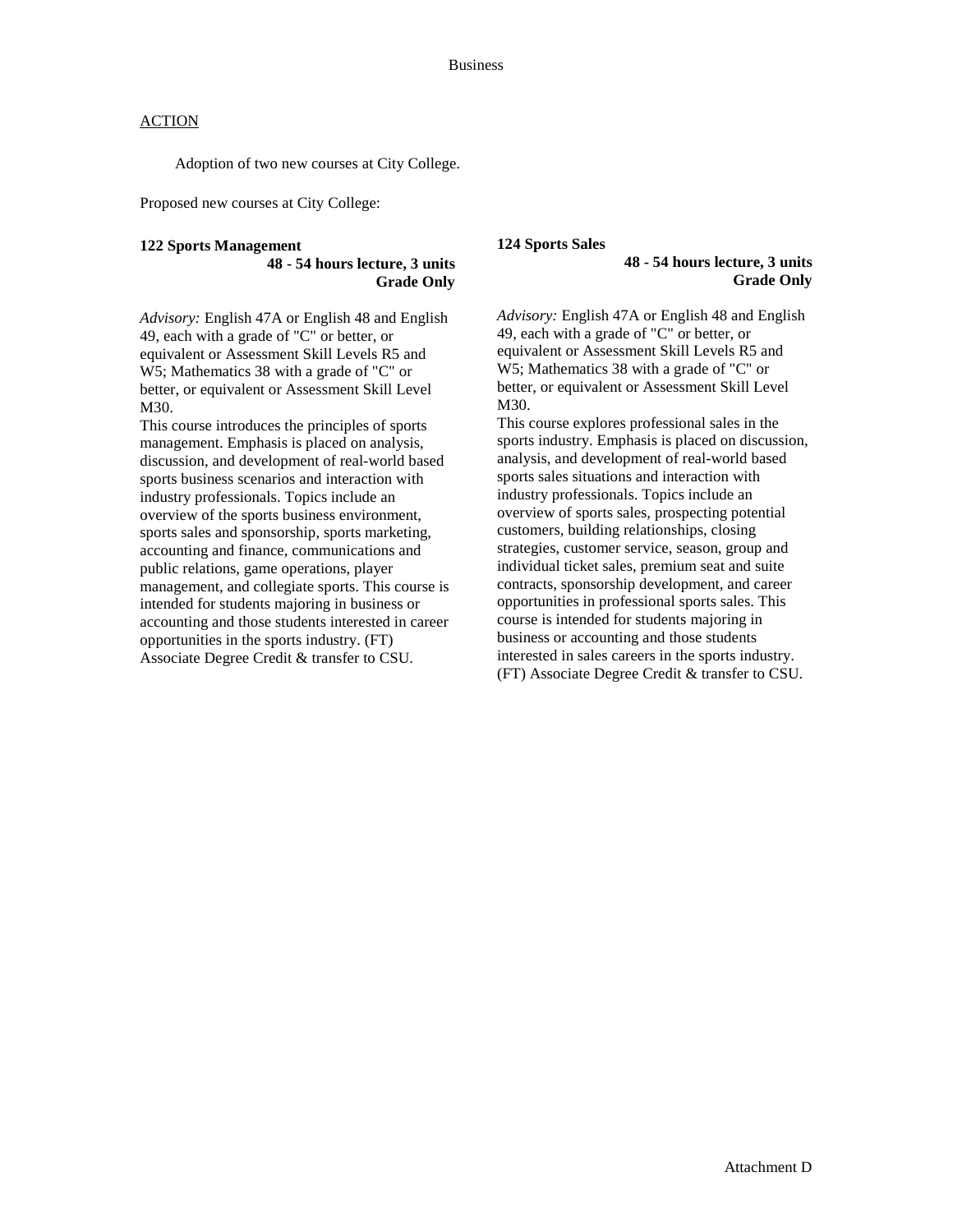Adoption of two new courses at City College.

Proposed new courses at City College:

#### **122 Sports Management**

**48 - 54 hours lecture, 3 units Grade Only**

*Advisory:* English 47A or English 48 and English 49, each with a grade of "C" or better, or equivalent or Assessment Skill Levels R5 and W5; Mathematics 38 with a grade of "C" or better, or equivalent or Assessment Skill Level M30.

This course introduces the principles of sports management. Emphasis is placed on analysis, discussion, and development of real-world based sports business scenarios and interaction with industry professionals. Topics include an overview of the sports business environment, sports sales and sponsorship, sports marketing, accounting and finance, communications and public relations, game operations, player management, and collegiate sports. This course is intended for students majoring in business or accounting and those students interested in career opportunities in the sports industry. (FT) Associate Degree Credit & transfer to CSU.

#### **124 Sports Sales**

**48 - 54 hours lecture, 3 units Grade Only**

*Advisory:* English 47A or English 48 and English 49, each with a grade of "C" or better, or equivalent or Assessment Skill Levels R5 and W5; Mathematics 38 with a grade of "C" or better, or equivalent or Assessment Skill Level M30.

This course explores professional sales in the sports industry. Emphasis is placed on discussion, analysis, and development of real-world based sports sales situations and interaction with industry professionals. Topics include an overview of sports sales, prospecting potential customers, building relationships, closing strategies, customer service, season, group and individual ticket sales, premium seat and suite contracts, sponsorship development, and career opportunities in professional sports sales. This course is intended for students majoring in business or accounting and those students interested in sales careers in the sports industry. (FT) Associate Degree Credit & transfer to CSU.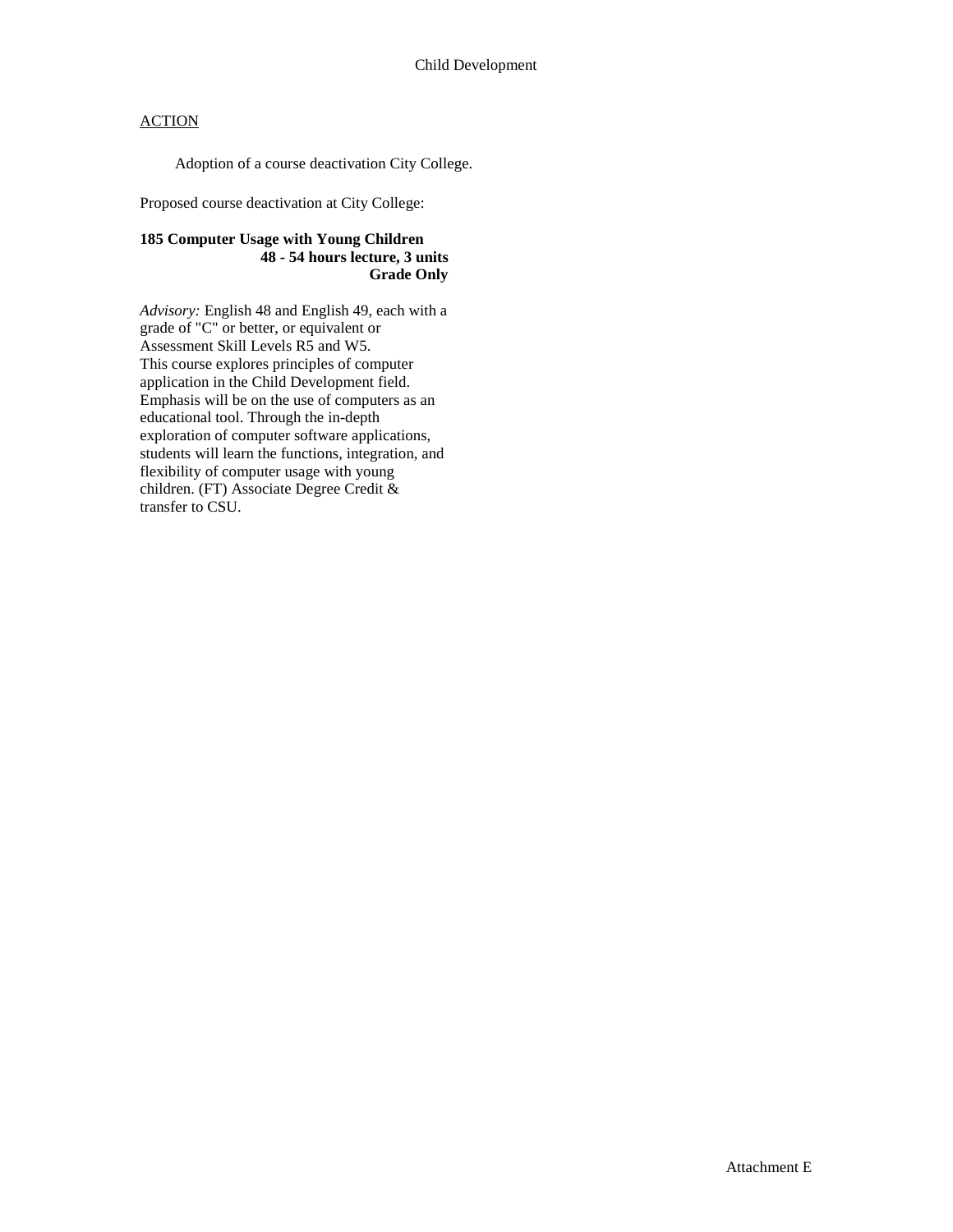Adoption of a course deactivation City College.

Proposed course deactivation at City College:

### **185 Computer Usage with Young Children 48 - 54 hours lecture, 3 units Grade Only**

*Advisory:* English 48 and English 49, each with a grade of "C" or better, or equivalent or Assessment Skill Levels R5 and W5. This course explores principles of computer application in the Child Development field. Emphasis will be on the use of computers as an educational tool. Through the in-depth exploration of computer software applications, students will learn the functions, integration, and flexibility of computer usage with young children. (FT) Associate Degree Credit & transfer to CSU.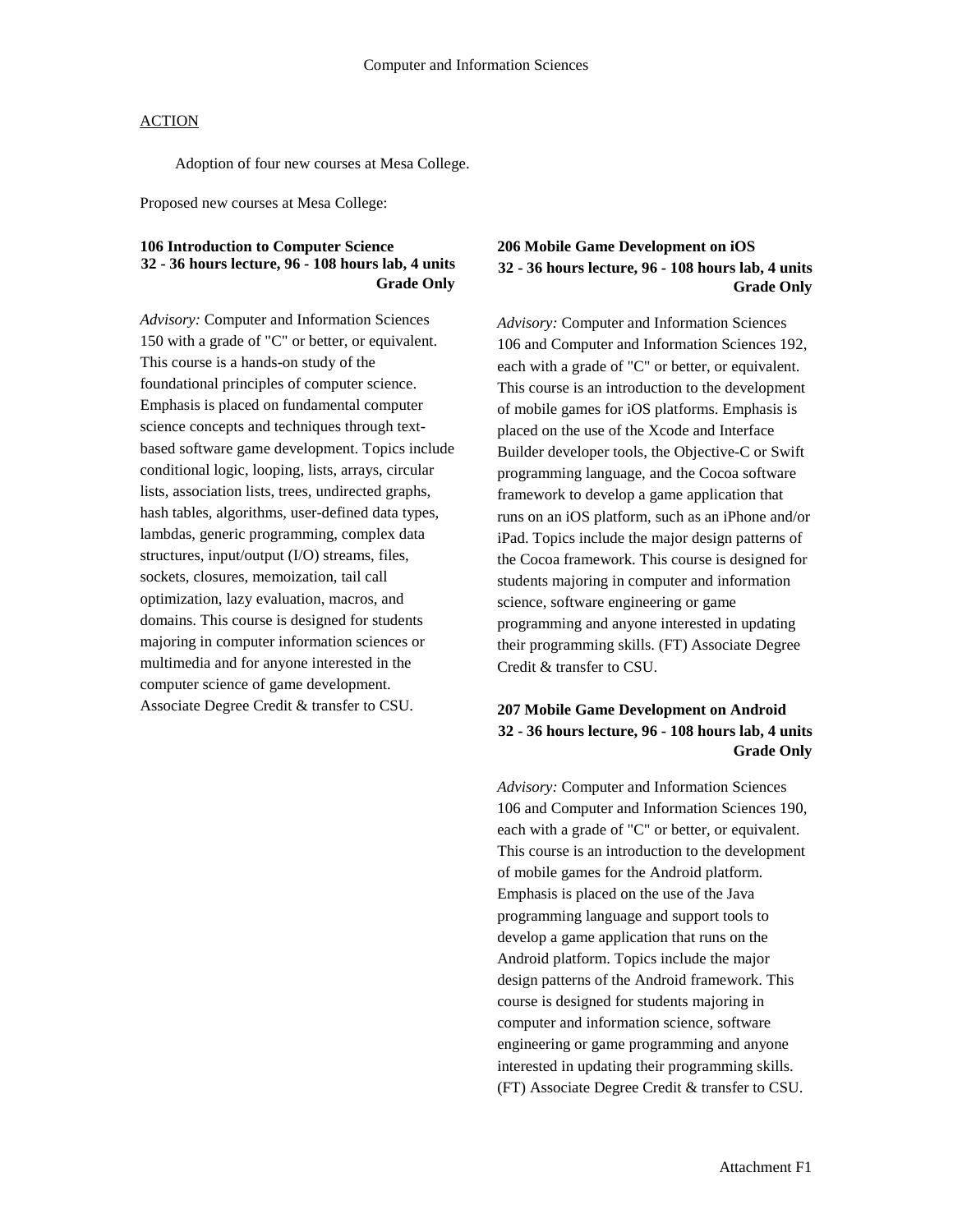Adoption of four new courses at Mesa College.

Proposed new courses at Mesa College:

### **106 Introduction to Computer Science 32 - 36 hours lecture, 96 - 108 hours lab, 4 units Grade Only**

*Advisory:* Computer and Information Sciences 150 with a grade of "C" or better, or equivalent. This course is a hands-on study of the foundational principles of computer science. Emphasis is placed on fundamental computer science concepts and techniques through textbased software game development. Topics include conditional logic, looping, lists, arrays, circular lists, association lists, trees, undirected graphs, hash tables, algorithms, user-defined data types, lambdas, generic programming, complex data structures, input/output (I/O) streams, files, sockets, closures, memoization, tail call optimization, lazy evaluation, macros, and domains. This course is designed for students majoring in computer information sciences or multimedia and for anyone interested in the computer science of game development. Associate Degree Credit & transfer to CSU.

### **206 Mobile Game Development on iOS 32 - 36 hours lecture, 96 - 108 hours lab, 4 units Grade Only**

*Advisory:* Computer and Information Sciences 106 and Computer and Information Sciences 192, each with a grade of "C" or better, or equivalent. This course is an introduction to the development of mobile games for iOS platforms. Emphasis is placed on the use of the Xcode and Interface Builder developer tools, the Objective-C or Swift programming language, and the Cocoa software framework to develop a game application that runs on an iOS platform, such as an iPhone and/or iPad. Topics include the major design patterns of the Cocoa framework. This course is designed for students majoring in computer and information science, software engineering or game programming and anyone interested in updating their programming skills. (FT) Associate Degree Credit & transfer to CSU.

### **207 Mobile Game Development on Android 32 - 36 hours lecture, 96 - 108 hours lab, 4 units Grade Only**

*Advisory:* Computer and Information Sciences 106 and Computer and Information Sciences 190, each with a grade of "C" or better, or equivalent. This course is an introduction to the development of mobile games for the Android platform. Emphasis is placed on the use of the Java programming language and support tools to develop a game application that runs on the Android platform. Topics include the major design patterns of the Android framework. This course is designed for students majoring in computer and information science, software engineering or game programming and anyone interested in updating their programming skills. (FT) Associate Degree Credit & transfer to CSU.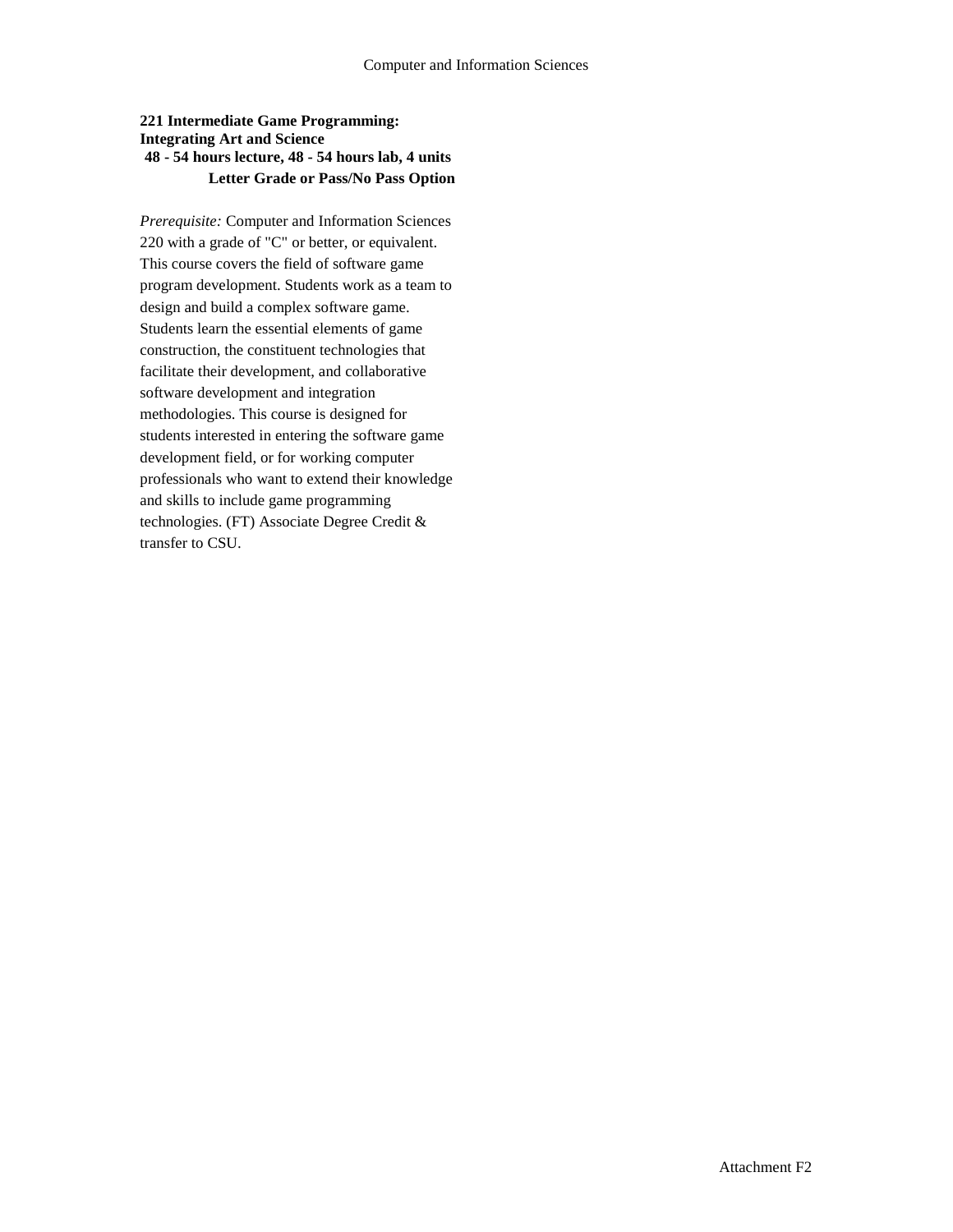### **221 Intermediate Game Programming: Integrating Art and Science 48 - 54 hours lecture, 48 - 54 hours lab, 4 units Letter Grade or Pass/No Pass Option**

*Prerequisite:* Computer and Information Sciences 220 with a grade of "C" or better, or equivalent. This course covers the field of software game program development. Students work as a team to design and build a complex software game. Students learn the essential elements of game construction, the constituent technologies that facilitate their development, and collaborative software development and integration methodologies. This course is designed for students interested in entering the software game development field, or for working computer professionals who want to extend their knowledge and skills to include game programming technologies. (FT) Associate Degree Credit & transfer to CSU.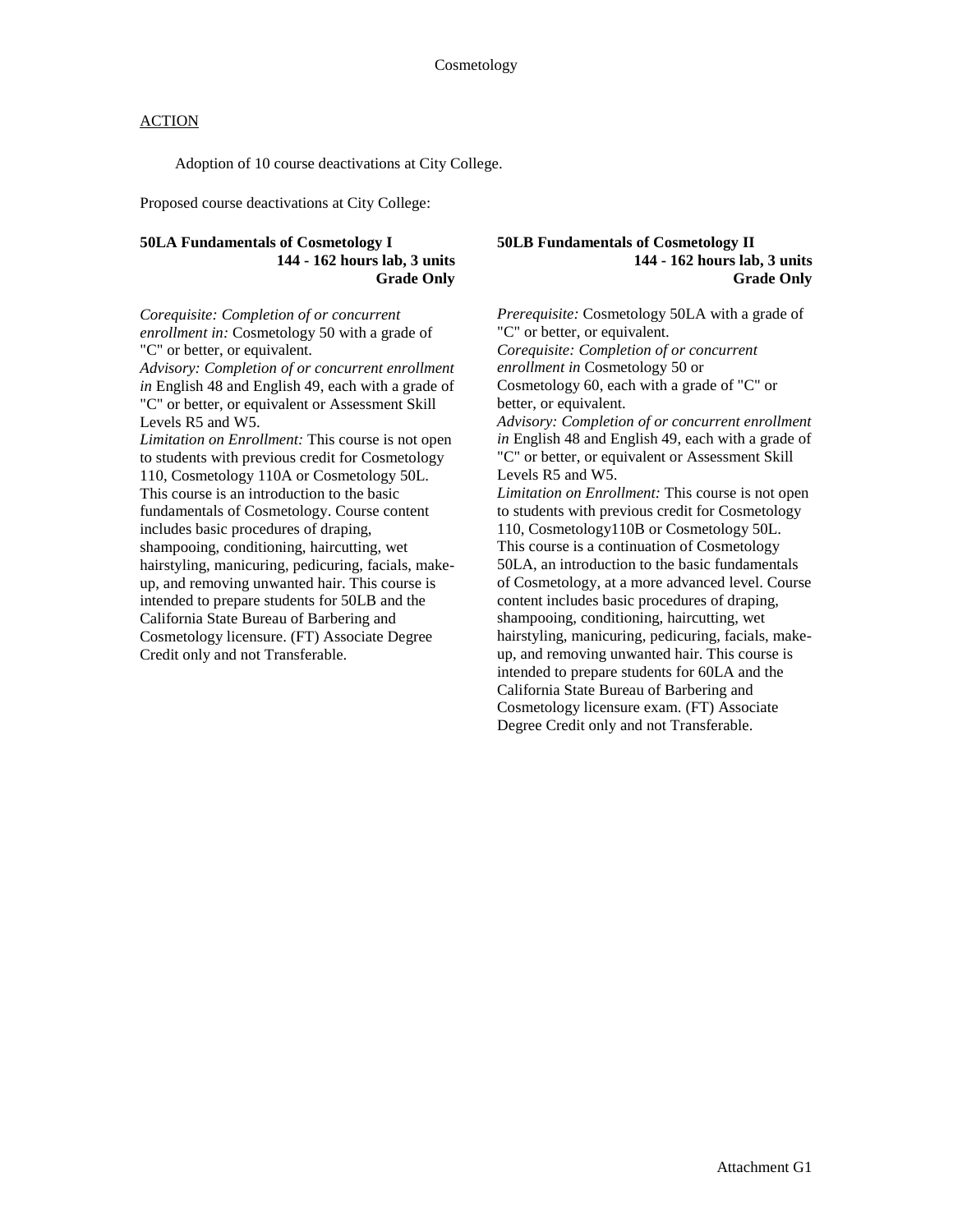Adoption of 10 course deactivations at City College.

Proposed course deactivations at City College:

#### **50LA Fundamentals of Cosmetology I 144 - 162 hours lab, 3 units Grade Only**

*Corequisite: Completion of or concurrent enrollment in:* Cosmetology 50 with a grade of "C" or better, or equivalent. *Advisory: Completion of or concurrent enrollment in* English 48 and English 49, each with a grade of "C" or better, or equivalent or Assessment Skill Levels R5 and W5. *Limitation on Enrollment:* This course is not open to students with previous credit for Cosmetology 110, Cosmetology 110A or Cosmetology 50L. This course is an introduction to the basic fundamentals of Cosmetology. Course content includes basic procedures of draping, shampooing, conditioning, haircutting, wet

hairstyling, manicuring, pedicuring, facials, makeup, and removing unwanted hair. This course is intended to prepare students for 50LB and the California State Bureau of Barbering and Cosmetology licensure. (FT) Associate Degree Credit only and not Transferable.

**50LB Fundamentals of Cosmetology II 144 - 162 hours lab, 3 units Grade Only**

*Prerequisite:* Cosmetology 50LA with a grade of "C" or better, or equivalent. *Corequisite: Completion of or concurrent enrollment in* Cosmetology 50 or Cosmetology 60, each with a grade of "C" or better, or equivalent. *Advisory: Completion of or concurrent enrollment in* English 48 and English 49, each with a grade of "C" or better, or equivalent or Assessment Skill Levels R5 and W5. *Limitation on Enrollment:* This course is not open to students with previous credit for Cosmetology 110, Cosmetology110B or Cosmetology 50L. This course is a continuation of Cosmetology 50LA, an introduction to the basic fundamentals of Cosmetology, at a more advanced level. Course content includes basic procedures of draping, shampooing, conditioning, haircutting, wet hairstyling, manicuring, pedicuring, facials, makeup, and removing unwanted hair. This course is intended to prepare students for 60LA and the California State Bureau of Barbering and Cosmetology licensure exam. (FT) Associate Degree Credit only and not Transferable.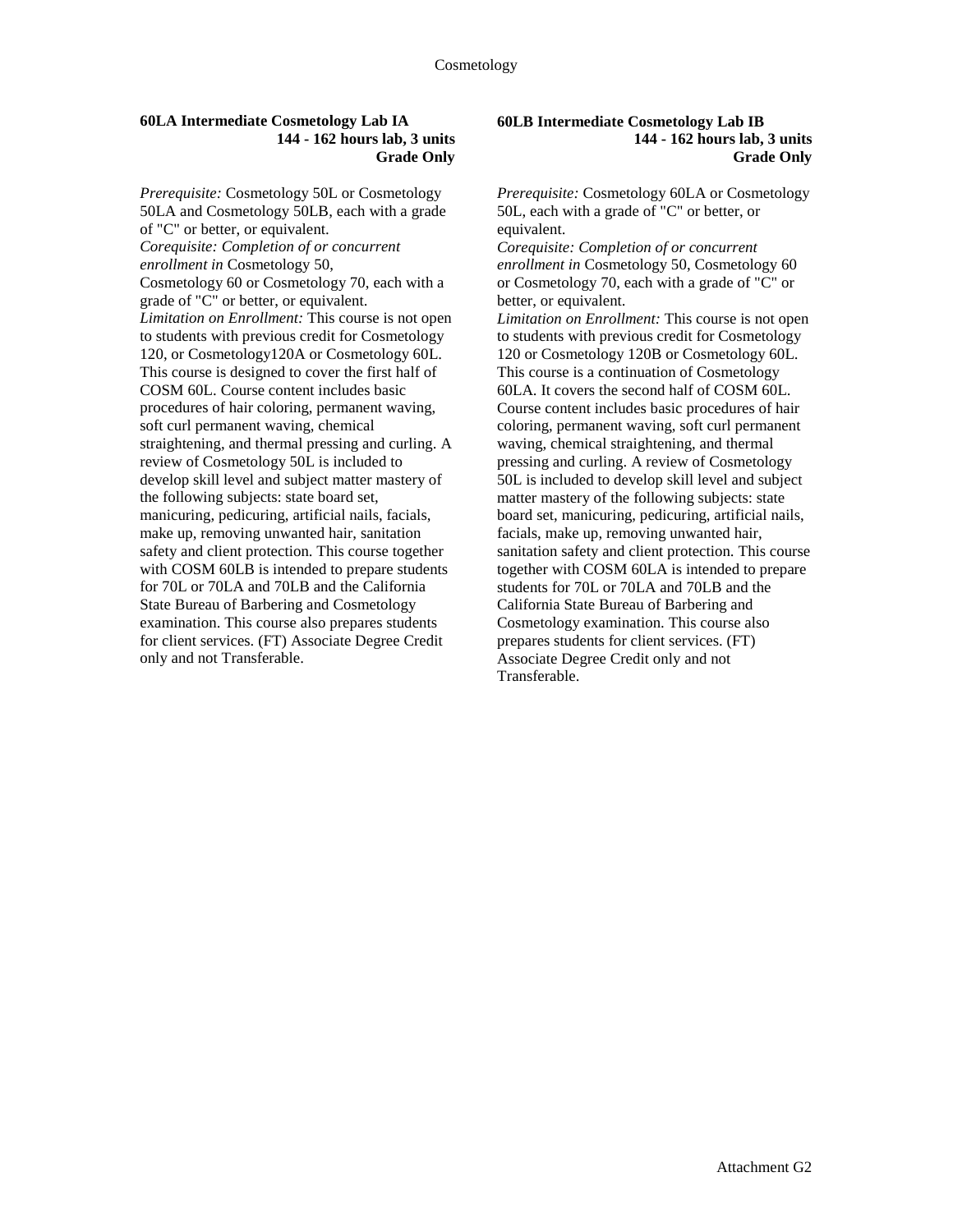#### **60LA Intermediate Cosmetology Lab IA 144 - 162 hours lab, 3 units Grade Only**

*Prerequisite:* Cosmetology 50L or Cosmetology 50LA and Cosmetology 50LB, each with a grade of "C" or better, or equivalent. *Corequisite: Completion of or concurrent enrollment in* Cosmetology 50, Cosmetology 60 or Cosmetology 70, each with a grade of "C" or better, or equivalent. *Limitation on Enrollment:* This course is not open to students with previous credit for Cosmetology 120, or Cosmetology120A or Cosmetology 60L. This course is designed to cover the first half of COSM 60L. Course content includes basic procedures of hair coloring, permanent waving, soft curl permanent waving, chemical straightening, and thermal pressing and curling. A review of Cosmetology 50L is included to develop skill level and subject matter mastery of the following subjects: state board set, manicuring, pedicuring, artificial nails, facials, make up, removing unwanted hair, sanitation safety and client protection. This course together with COSM 60LB is intended to prepare students for 70L or 70LA and 70LB and the California State Bureau of Barbering and Cosmetology examination. This course also prepares students for client services. (FT) Associate Degree Credit only and not Transferable.

#### **60LB Intermediate Cosmetology Lab IB 144 - 162 hours lab, 3 units Grade Only**

*Prerequisite:* Cosmetology 60LA or Cosmetology 50L, each with a grade of "C" or better, or equivalent.

*Corequisite: Completion of or concurrent enrollment in* Cosmetology 50, Cosmetology 60 or Cosmetology 70, each with a grade of "C" or better, or equivalent.

*Limitation on Enrollment:* This course is not open to students with previous credit for Cosmetology 120 or Cosmetology 120B or Cosmetology 60L. This course is a continuation of Cosmetology 60LA. It covers the second half of COSM 60L. Course content includes basic procedures of hair coloring, permanent waving, soft curl permanent waving, chemical straightening, and thermal pressing and curling. A review of Cosmetology 50L is included to develop skill level and subject matter mastery of the following subjects: state board set, manicuring, pedicuring, artificial nails, facials, make up, removing unwanted hair, sanitation safety and client protection. This course together with COSM 60LA is intended to prepare students for 70L or 70LA and 70LB and the California State Bureau of Barbering and Cosmetology examination. This course also prepares students for client services. (FT) Associate Degree Credit only and not Transferable.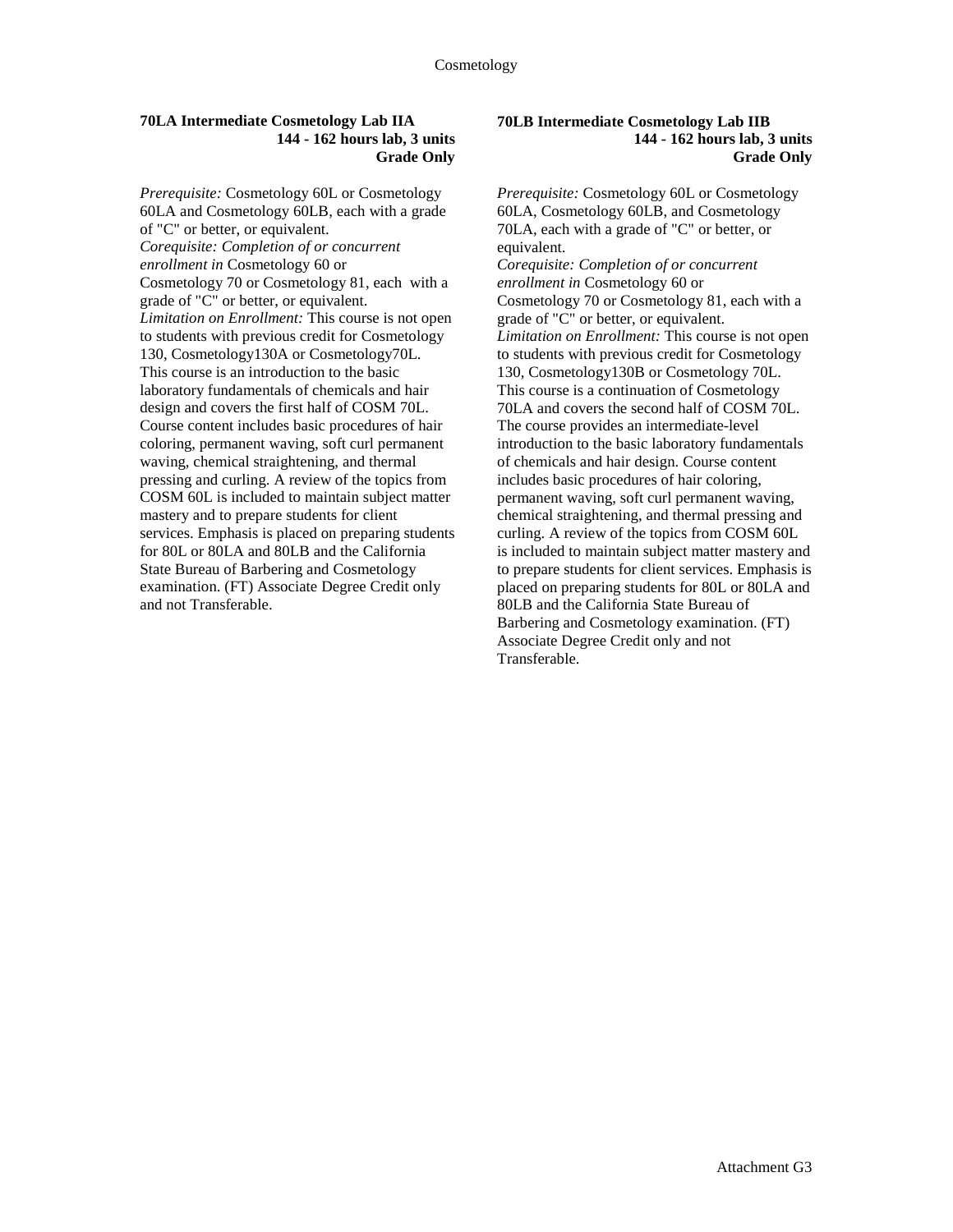#### **70LA Intermediate Cosmetology Lab IIA 144 - 162 hours lab, 3 units Grade Only**

*Prerequisite:* Cosmetology 60L or Cosmetology 60LA and Cosmetology 60LB, each with a grade of "C" or better, or equivalent. *Corequisite: Completion of or concurrent enrollment in* Cosmetology 60 or Cosmetology 70 or Cosmetology 81, each with a grade of "C" or better, or equivalent. *Limitation on Enrollment:* This course is not open to students with previous credit for Cosmetology 130, Cosmetology130A or Cosmetology70L. This course is an introduction to the basic laboratory fundamentals of chemicals and hair design and covers the first half of COSM 70L. Course content includes basic procedures of hair coloring, permanent waving, soft curl permanent waving, chemical straightening, and thermal pressing and curling. A review of the topics from COSM 60L is included to maintain subject matter mastery and to prepare students for client services. Emphasis is placed on preparing students for 80L or 80LA and 80LB and the California State Bureau of Barbering and Cosmetology examination. (FT) Associate Degree Credit only and not Transferable.

#### **70LB Intermediate Cosmetology Lab IIB 144 - 162 hours lab, 3 units Grade Only**

*Prerequisite:* Cosmetology 60L or Cosmetology 60LA, Cosmetology 60LB, and Cosmetology 70LA, each with a grade of "C" or better, or equivalent. *Corequisite: Completion of or concurrent enrollment in* Cosmetology 60 or Cosmetology 70 or Cosmetology 81, each with a grade of "C" or better, or equivalent. *Limitation on Enrollment:* This course is not open to students with previous credit for Cosmetology 130, Cosmetology130B or Cosmetology 70L. This course is a continuation of Cosmetology 70LA and covers the second half of COSM 70L. The course provides an intermediate-level introduction to the basic laboratory fundamentals of chemicals and hair design. Course content includes basic procedures of hair coloring, permanent waving, soft curl permanent waving, chemical straightening, and thermal pressing and curling. A review of the topics from COSM 60L is included to maintain subject matter mastery and to prepare students for client services. Emphasis is placed on preparing students for 80L or 80LA and 80LB and the California State Bureau of Barbering and Cosmetology examination. (FT) Associate Degree Credit only and not Transferable.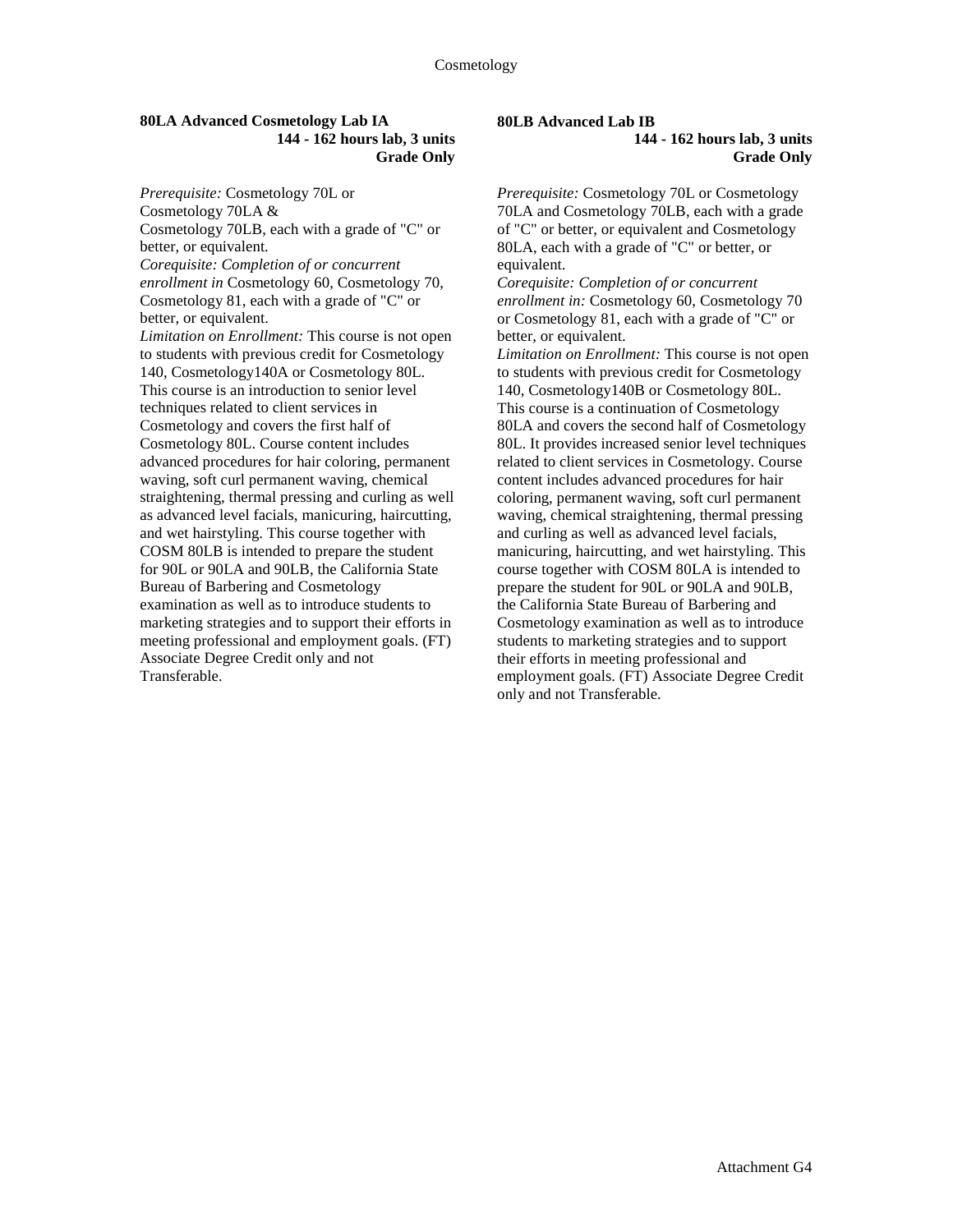#### **80LA Advanced Cosmetology Lab IA 144 - 162 hours lab, 3 units Grade Only**

*Prerequisite:* Cosmetology 70L or Cosmetology 70LA & Cosmetology 70LB, each with a grade of "C" or better, or equivalent. *Corequisite: Completion of or concurrent enrollment in* Cosmetology 60, Cosmetology 70, Cosmetology 81, each with a grade of "C" or better, or equivalent. *Limitation on Enrollment:* This course is not open to students with previous credit for Cosmetology 140, Cosmetology140A or Cosmetology 80L. This course is an introduction to senior level techniques related to client services in Cosmetology and covers the first half of Cosmetology 80L. Course content includes advanced procedures for hair coloring, permanent waving, soft curl permanent waving, chemical straightening, thermal pressing and curling as well as advanced level facials, manicuring, haircutting, and wet hairstyling. This course together with COSM 80LB is intended to prepare the student for 90L or 90LA and 90LB, the California State Bureau of Barbering and Cosmetology examination as well as to introduce students to marketing strategies and to support their efforts in meeting professional and employment goals. (FT) Associate Degree Credit only and not Transferable.

### **80LB Advanced Lab IB**

### **144 - 162 hours lab, 3 units Grade Only**

*Prerequisite:* Cosmetology 70L or Cosmetology 70LA and Cosmetology 70LB, each with a grade of "C" or better, or equivalent and Cosmetology 80LA, each with a grade of "C" or better, or equivalent.

*Corequisite: Completion of or concurrent enrollment in:* Cosmetology 60, Cosmetology 70 or Cosmetology 81, each with a grade of "C" or better, or equivalent.

*Limitation on Enrollment:* This course is not open to students with previous credit for Cosmetology 140, Cosmetology140B or Cosmetology 80L. This course is a continuation of Cosmetology 80LA and covers the second half of Cosmetology 80L. It provides increased senior level techniques related to client services in Cosmetology. Course content includes advanced procedures for hair coloring, permanent waving, soft curl permanent waving, chemical straightening, thermal pressing and curling as well as advanced level facials, manicuring, haircutting, and wet hairstyling. This course together with COSM 80LA is intended to prepare the student for 90L or 90LA and 90LB, the California State Bureau of Barbering and Cosmetology examination as well as to introduce students to marketing strategies and to support their efforts in meeting professional and employment goals. (FT) Associate Degree Credit only and not Transferable.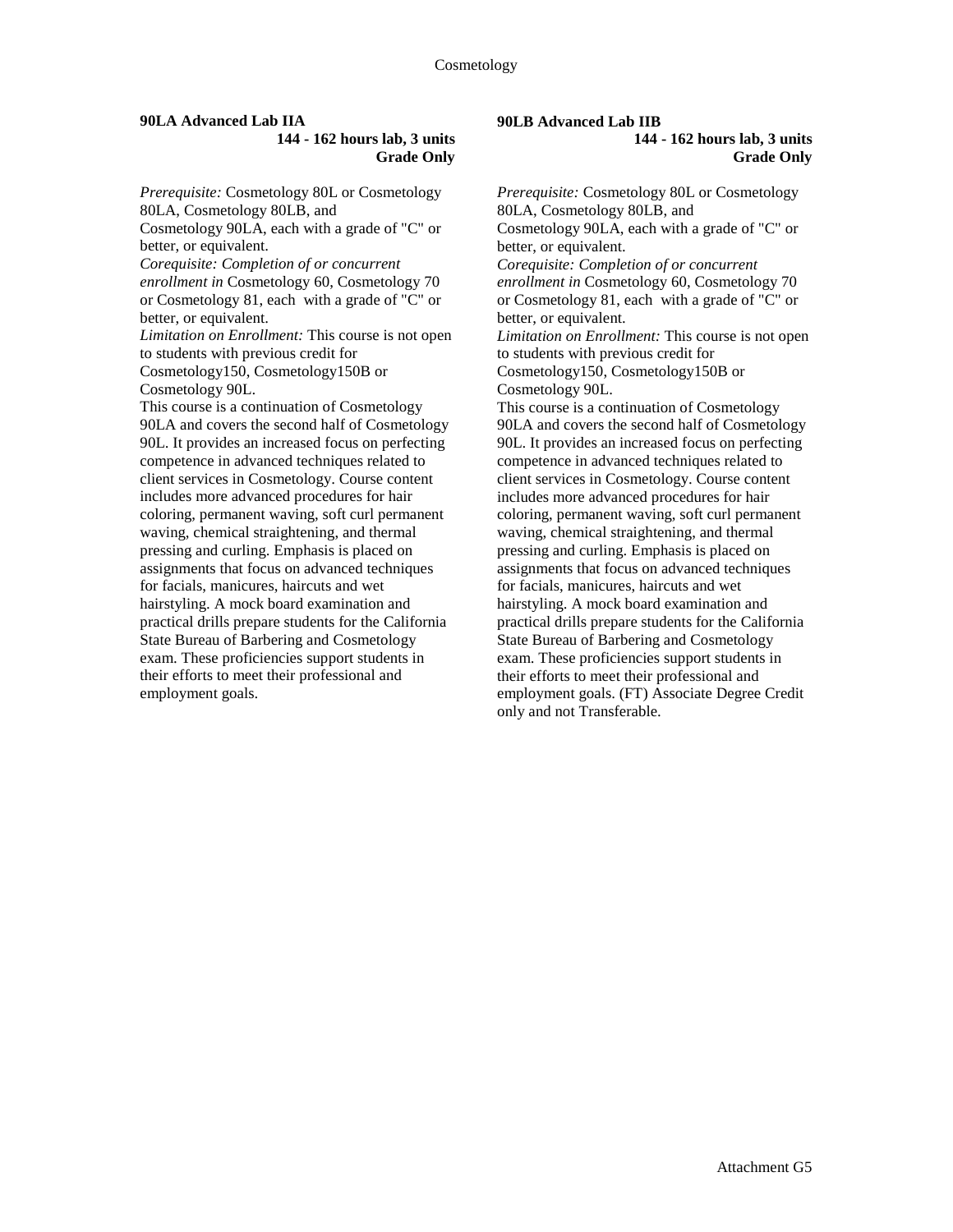## **90LA Advanced Lab IIA**

#### **144 - 162 hours lab, 3 units Grade Only**

*Prerequisite:* Cosmetology 80L or Cosmetology 80LA, Cosmetology 80LB, and Cosmetology 90LA, each with a grade of "C" or better, or equivalent. *Corequisite: Completion of or concurrent enrollment in* Cosmetology 60, Cosmetology 70 or Cosmetology 81, each with a grade of "C" or better, or equivalent. *Limitation on Enrollment:* This course is not open to students with previous credit for Cosmetology150, Cosmetology150B or Cosmetology 90L. This course is a continuation of Cosmetology 90LA and covers the second half of Cosmetology 90L. It provides an increased focus on perfecting competence in advanced techniques related to client services in Cosmetology. Course content includes more advanced procedures for hair coloring, permanent waving, soft curl permanent waving, chemical straightening, and thermal pressing and curling. Emphasis is placed on assignments that focus on advanced techniques for facials, manicures, haircuts and wet hairstyling. A mock board examination and practical drills prepare students for the California State Bureau of Barbering and Cosmetology exam. These proficiencies support students in their efforts to meet their professional and employment goals.

## **90LB Advanced Lab IIB**

#### **144 - 162 hours lab, 3 units Grade Only**

*Prerequisite:* Cosmetology 80L or Cosmetology 80LA, Cosmetology 80LB, and Cosmetology 90LA, each with a grade of "C" or better, or equivalent. *Corequisite: Completion of or concurrent enrollment in* Cosmetology 60, Cosmetology 70 or Cosmetology 81, each with a grade of "C" or better, or equivalent. *Limitation on Enrollment:* This course is not open to students with previous credit for Cosmetology150, Cosmetology150B or Cosmetology 90L. This course is a continuation of Cosmetology 90LA and covers the second half of Cosmetology 90L. It provides an increased focus on perfecting competence in advanced techniques related to client services in Cosmetology. Course content includes more advanced procedures for hair coloring, permanent waving, soft curl permanent waving, chemical straightening, and thermal pressing and curling. Emphasis is placed on assignments that focus on advanced techniques for facials, manicures, haircuts and wet hairstyling. A mock board examination and practical drills prepare students for the California State Bureau of Barbering and Cosmetology exam. These proficiencies support students in their efforts to meet their professional and employment goals. (FT) Associate Degree Credit only and not Transferable.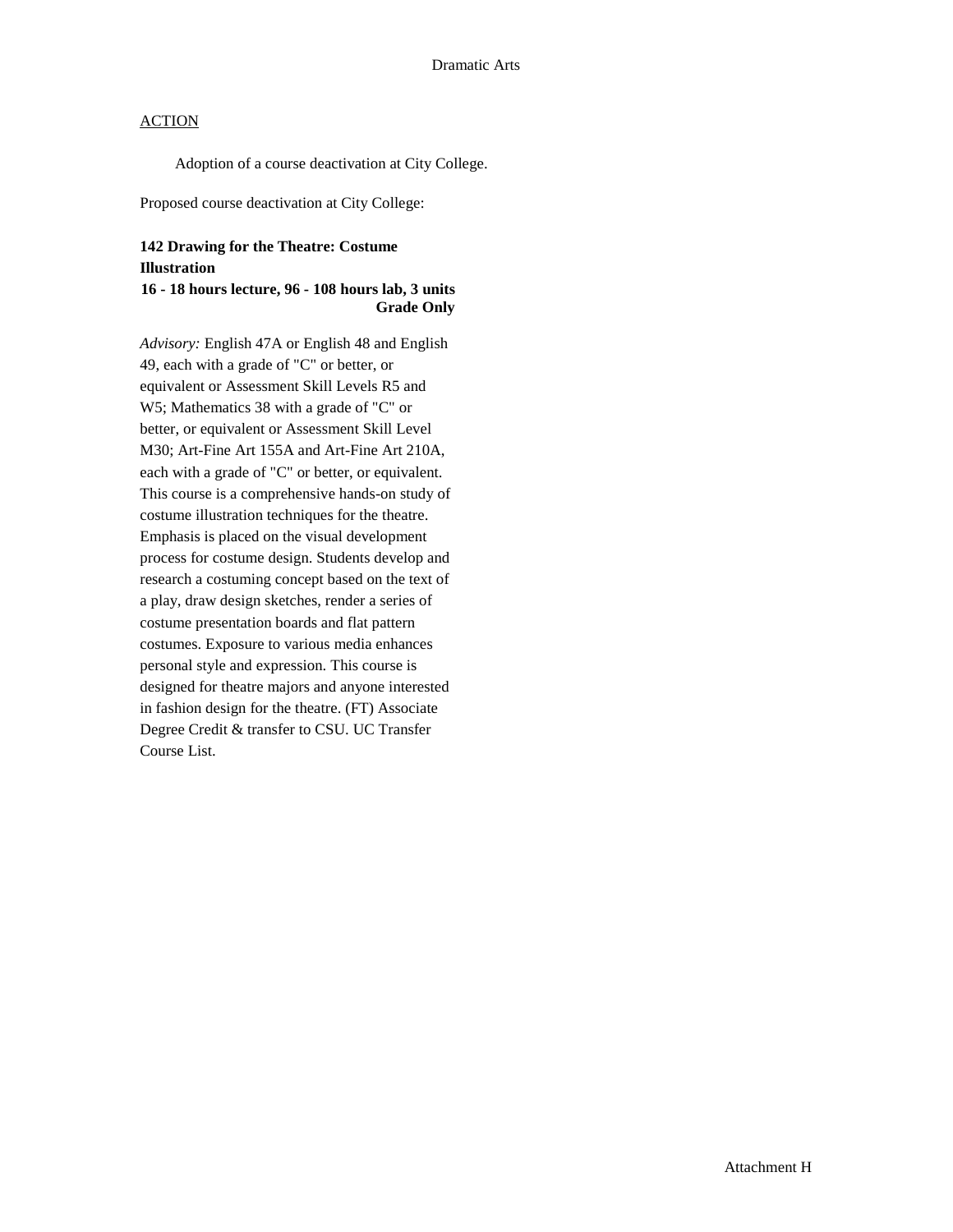Adoption of a course deactivation at City College.

Proposed course deactivation at City College:

### **142 Drawing for the Theatre: Costume Illustration**

### **16 - 18 hours lecture, 96 - 108 hours lab, 3 units Grade Only**

*Advisory:* English 47A or English 48 and English 49, each with a grade of "C" or better, or equivalent or Assessment Skill Levels R5 and W5; Mathematics 38 with a grade of "C" or better, or equivalent or Assessment Skill Level M30; Art-Fine Art 155A and Art-Fine Art 210A, each with a grade of "C" or better, or equivalent. This course is a comprehensive hands-on study of costume illustration techniques for the theatre. Emphasis is placed on the visual development process for costume design. Students develop and research a costuming concept based on the text of a play, draw design sketches, render a series of costume presentation boards and flat pattern costumes. Exposure to various media enhances personal style and expression. This course is designed for theatre majors and anyone interested in fashion design for the theatre. (FT) Associate Degree Credit & transfer to CSU. UC Transfer Course List.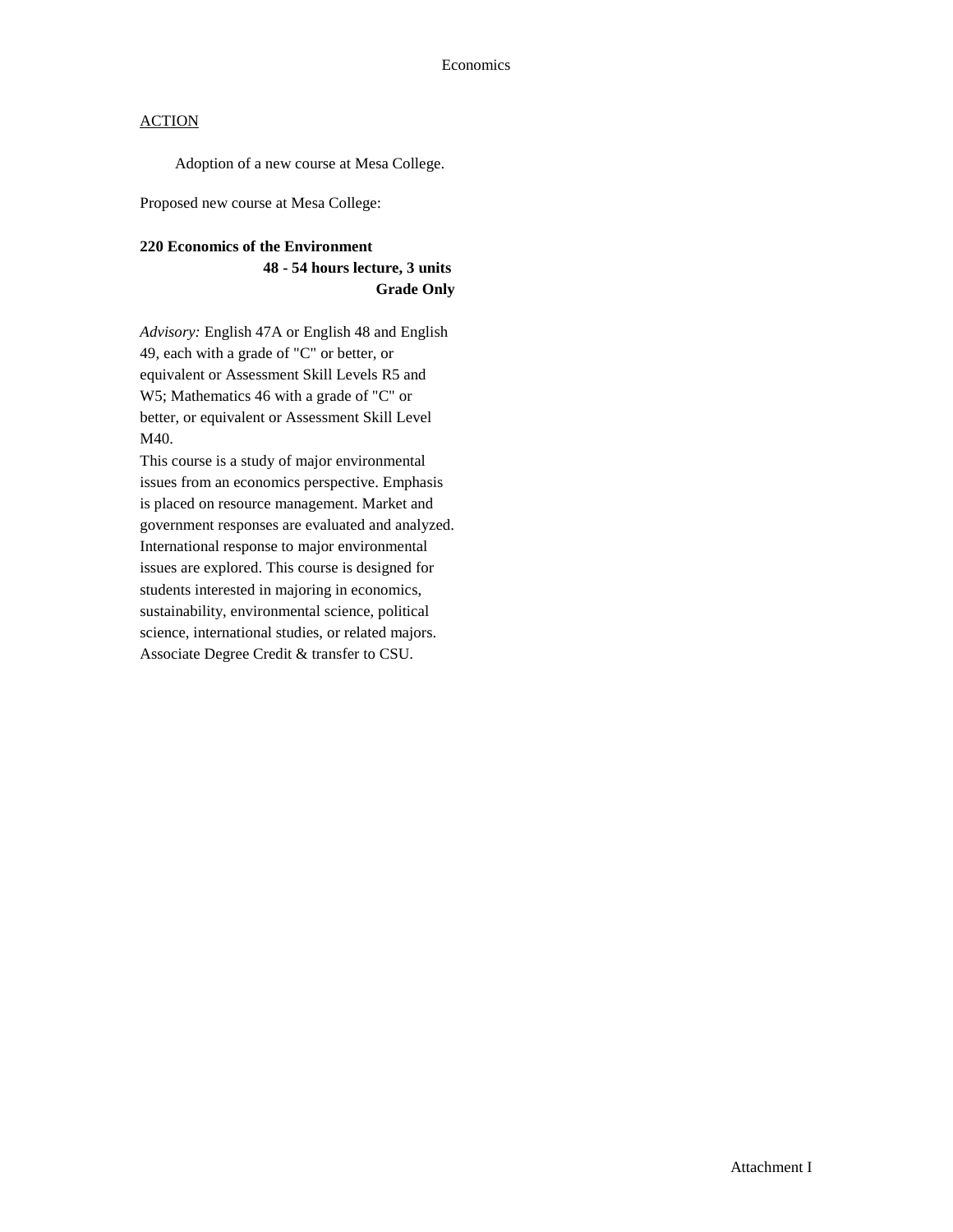Adoption of a new course at Mesa College.

Proposed new course at Mesa College:

## **220 Economics of the Environment 48 - 54 hours lecture, 3 units Grade Only**

*Advisory:* English 47A or English 48 and English 49, each with a grade of "C" or better, or equivalent or Assessment Skill Levels R5 and W5; Mathematics 46 with a grade of "C" or better, or equivalent or Assessment Skill Level M40.

This course is a study of major environmental issues from an economics perspective. Emphasis is placed on resource management. Market and government responses are evaluated and analyzed. International response to major environmental issues are explored. This course is designed for students interested in majoring in economics, sustainability, environmental science, political science, international studies, or related majors. Associate Degree Credit & transfer to CSU.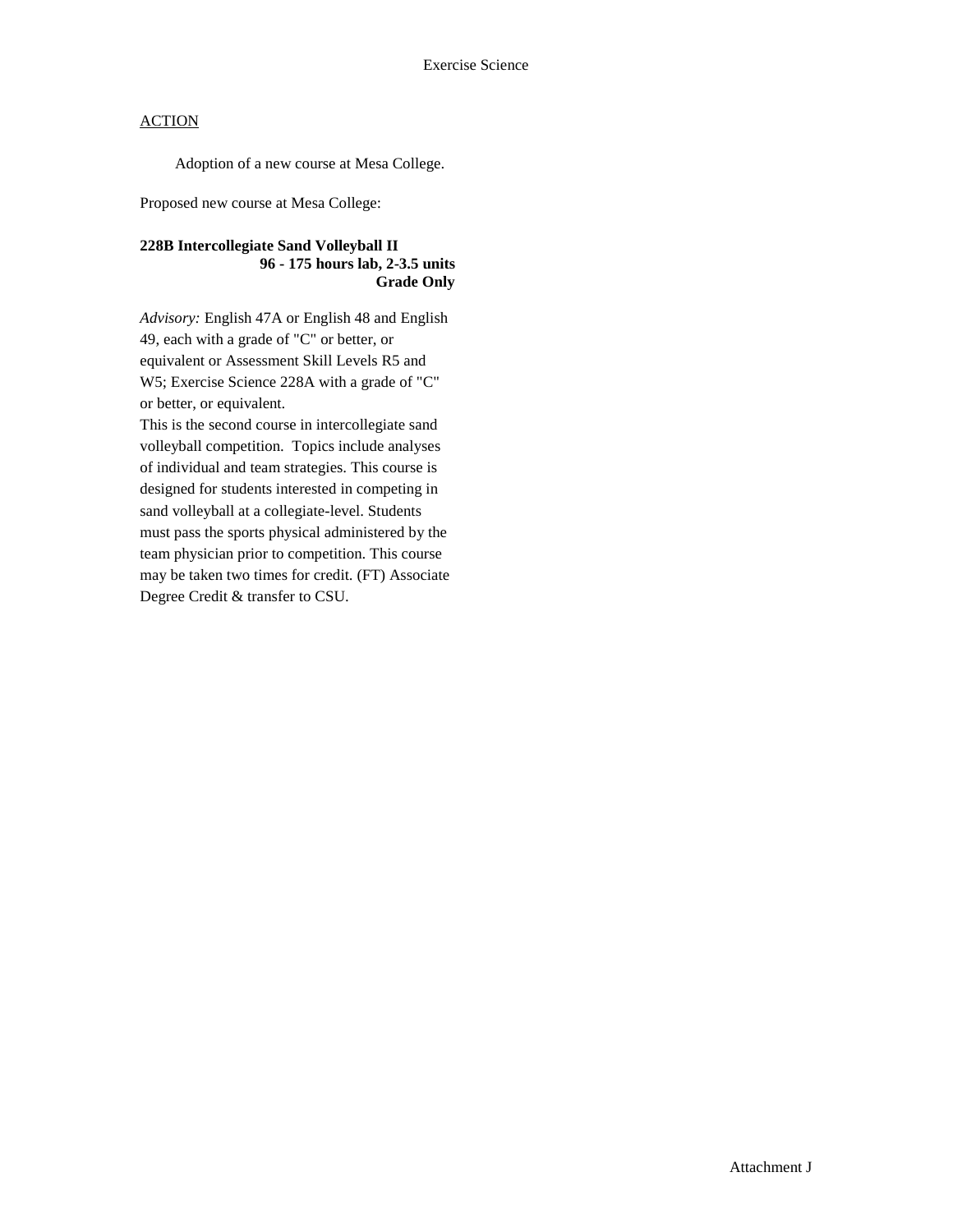Adoption of a new course at Mesa College.

Proposed new course at Mesa College:

### **228B Intercollegiate Sand Volleyball II 96 - 175 hours lab, 2-3.5 units Grade Only**

*Advisory:* English 47A or English 48 and English 49, each with a grade of "C" or better, or equivalent or Assessment Skill Levels R5 and W5; Exercise Science 228A with a grade of "C" or better, or equivalent.

This is the second course in intercollegiate sand volleyball competition. Topics include analyses of individual and team strategies. This course is designed for students interested in competing in sand volleyball at a collegiate-level. Students must pass the sports physical administered by the team physician prior to competition. This course may be taken two times for credit. (FT) Associate Degree Credit & transfer to CSU.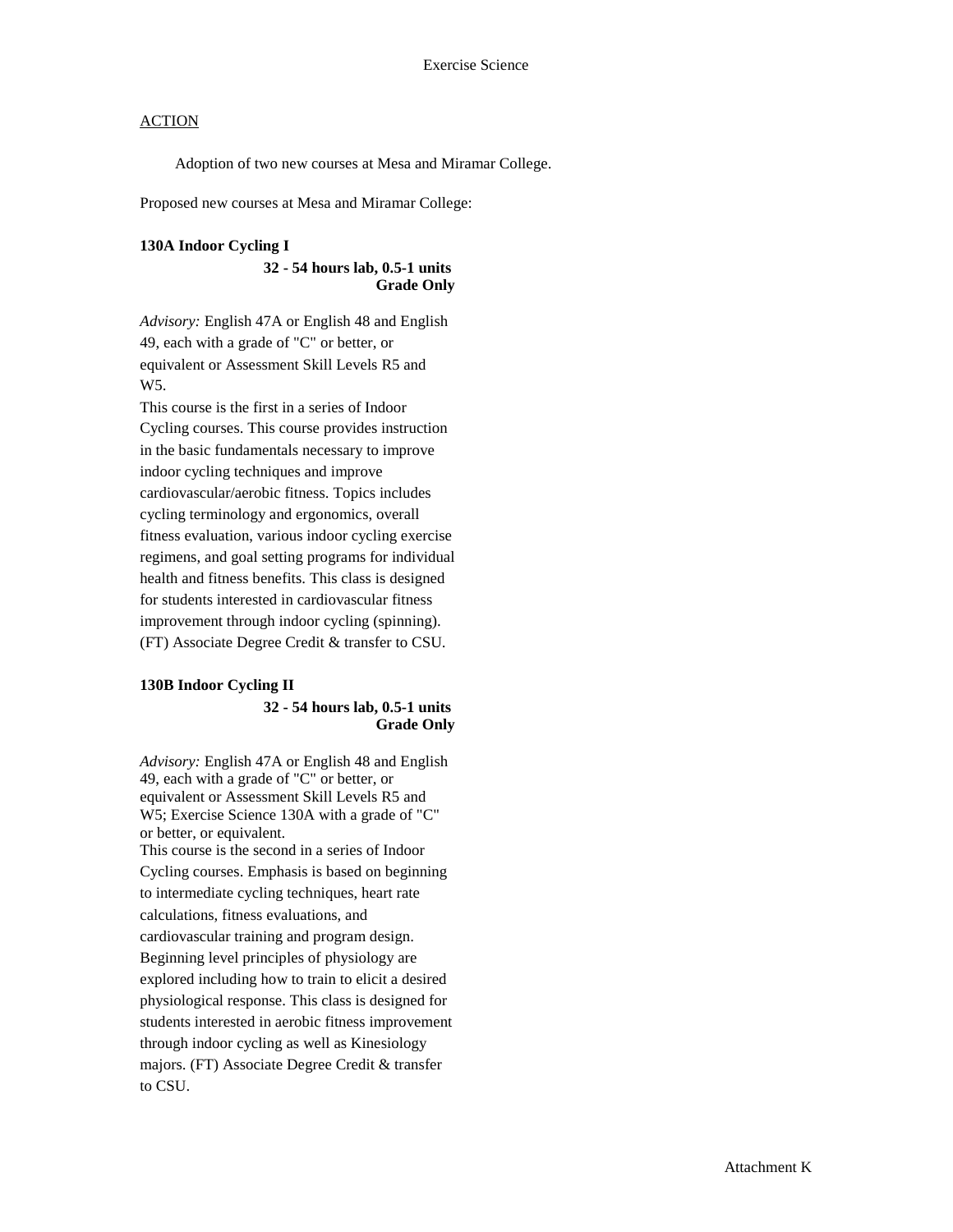Adoption of two new courses at Mesa and Miramar College.

Proposed new courses at Mesa and Miramar College:

#### **130A Indoor Cycling I**

#### **32 - 54 hours lab, 0.5-1 units Grade Only**

*Advisory:* English 47A or English 48 and English 49, each with a grade of "C" or better, or equivalent or Assessment Skill Levels R5 and W5.

This course is the first in a series of Indoor Cycling courses. This course provides instruction in the basic fundamentals necessary to improve indoor cycling techniques and improve cardiovascular/aerobic fitness. Topics includes cycling terminology and ergonomics, overall fitness evaluation, various indoor cycling exercise regimens, and goal setting programs for individual health and fitness benefits. This class is designed for students interested in cardiovascular fitness improvement through indoor cycling (spinning). (FT) Associate Degree Credit & transfer to CSU.

## **130B Indoor Cycling II 32 - 54 hours lab, 0.5-1 units**

**Grade Only**

*Advisory:* English 47A or English 48 and English 49, each with a grade of "C" or better, or equivalent or Assessment Skill Levels R5 and W5; Exercise Science 130A with a grade of "C" or better, or equivalent.

This course is the second in a series of Indoor Cycling courses. Emphasis is based on beginning to intermediate cycling techniques, heart rate calculations, fitness evaluations, and cardiovascular training and program design. Beginning level principles of physiology are explored including how to train to elicit a desired physiological response. This class is designed for students interested in aerobic fitness improvement through indoor cycling as well as Kinesiology majors. (FT) Associate Degree Credit & transfer to CSU.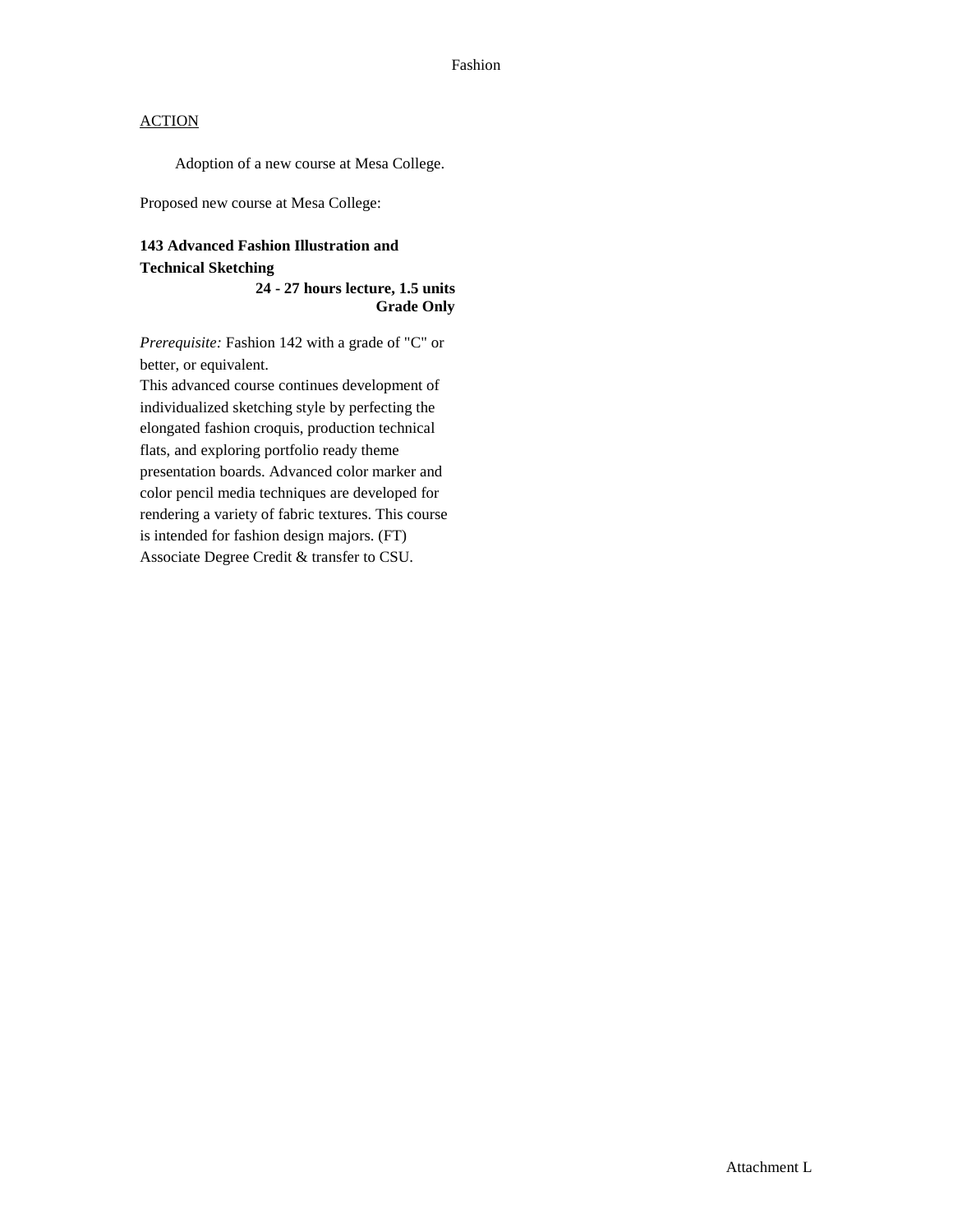Adoption of a new course at Mesa College.

Proposed new course at Mesa College:

## **143 Advanced Fashion Illustration and Technical Sketching**

**24 - 27 hours lecture, 1.5 units Grade Only**

*Prerequisite:* Fashion 142 with a grade of "C" or better, or equivalent.

This advanced course continues development of individualized sketching style by perfecting the elongated fashion croquis, production technical flats, and exploring portfolio ready theme presentation boards. Advanced color marker and color pencil media techniques are developed for rendering a variety of fabric textures. This course is intended for fashion design majors. (FT) Associate Degree Credit & transfer to CSU.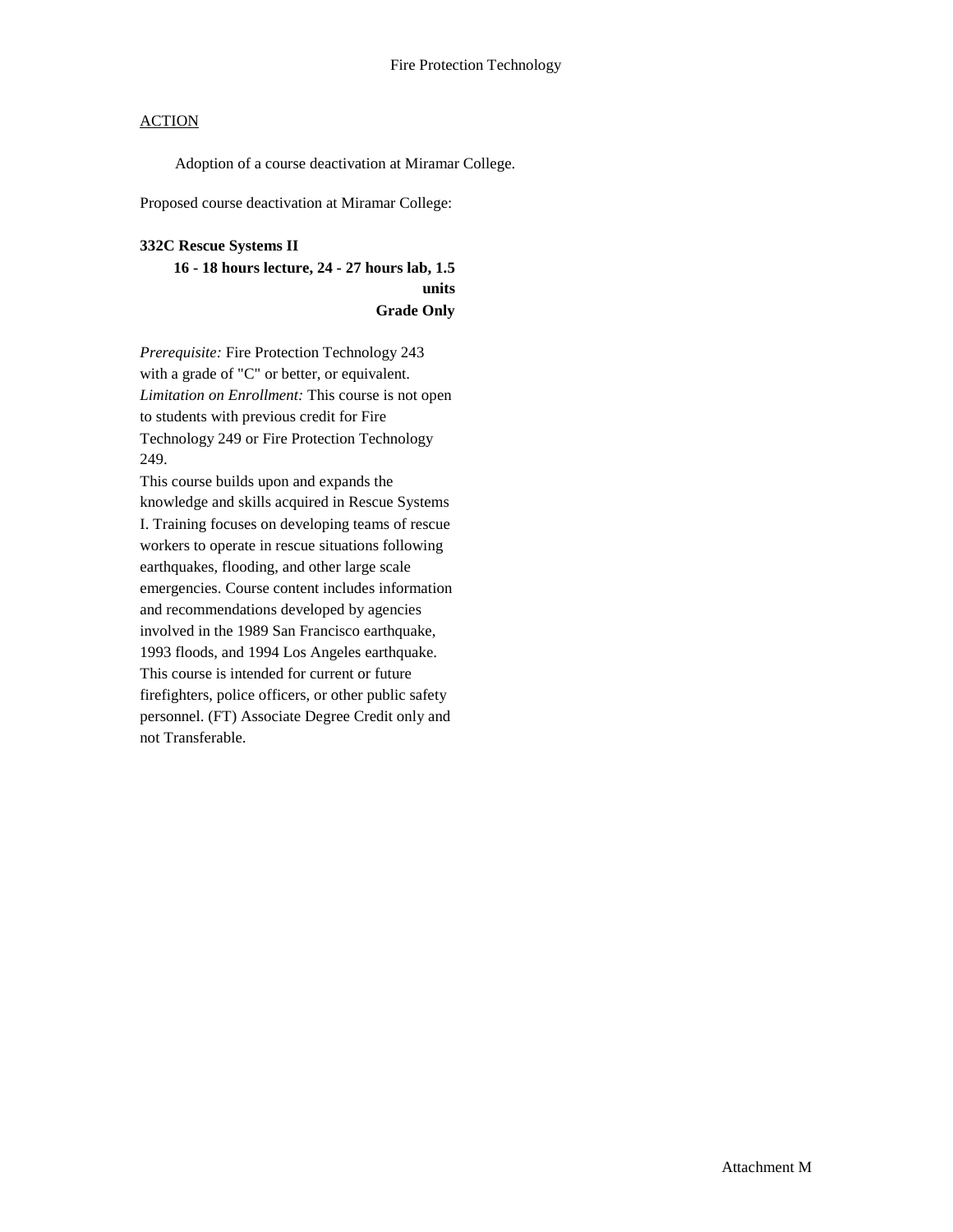Adoption of a course deactivation at Miramar College.

Proposed course deactivation at Miramar College:

#### **332C Rescue Systems II**

**16 - 18 hours lecture, 24 - 27 hours lab, 1.5 units Grade Only**

*Prerequisite:* Fire Protection Technology 243 with a grade of "C" or better, or equivalent. *Limitation on Enrollment:* This course is not open to students with previous credit for Fire Technology 249 or Fire Protection Technology 249.

This course builds upon and expands the knowledge and skills acquired in Rescue Systems I. Training focuses on developing teams of rescue workers to operate in rescue situations following earthquakes, flooding, and other large scale emergencies. Course content includes information and recommendations developed by agencies involved in the 1989 San Francisco earthquake, 1993 floods, and 1994 Los Angeles earthquake. This course is intended for current or future firefighters, police officers, or other public safety personnel. (FT) Associate Degree Credit only and not Transferable.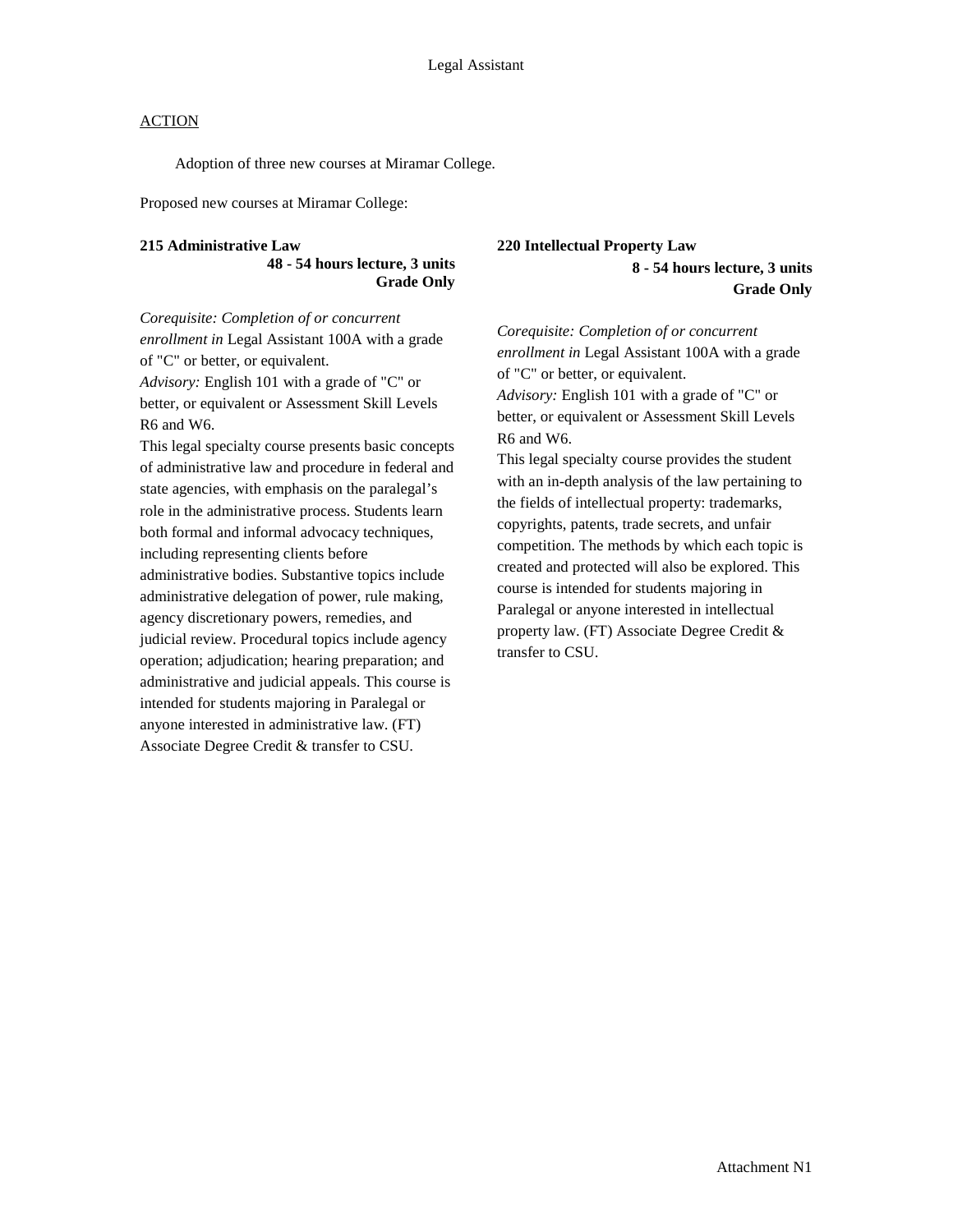Adoption of three new courses at Miramar College.

Proposed new courses at Miramar College:

#### **215 Administrative Law**

**48 - 54 hours lecture, 3 units Grade Only**

*Corequisite: Completion of or concurrent enrollment in* Legal Assistant 100A with a grade of "C" or better, or equivalent.

*Advisory:* English 101 with a grade of "C" or better, or equivalent or Assessment Skill Levels R6 and W6.

This legal specialty course presents basic concepts of administrative law and procedure in federal and state agencies, with emphasis on the paralegal's role in the administrative process. Students learn both formal and informal advocacy techniques, including representing clients before administrative bodies. Substantive topics include administrative delegation of power, rule making, agency discretionary powers, remedies, and judicial review. Procedural topics include agency operation; adjudication; hearing preparation; and administrative and judicial appeals. This course is intended for students majoring in Paralegal or anyone interested in administrative law. (FT) Associate Degree Credit & transfer to CSU.

### **220 Intellectual Property Law 8 - 54 hours lecture, 3 units Grade Only**

*Corequisite: Completion of or concurrent enrollment in* Legal Assistant 100A with a grade of "C" or better, or equivalent. *Advisory:* English 101 with a grade of "C" or better, or equivalent or Assessment Skill Levels R6 and W6. This legal specialty course provides the student with an in-depth analysis of the law pertaining to the fields of intellectual property: trademarks, copyrights, patents, trade secrets, and unfair competition. The methods by which each topic is created and protected will also be explored. This course is intended for students majoring in Paralegal or anyone interested in intellectual

property law. (FT) Associate Degree Credit & transfer to CSU.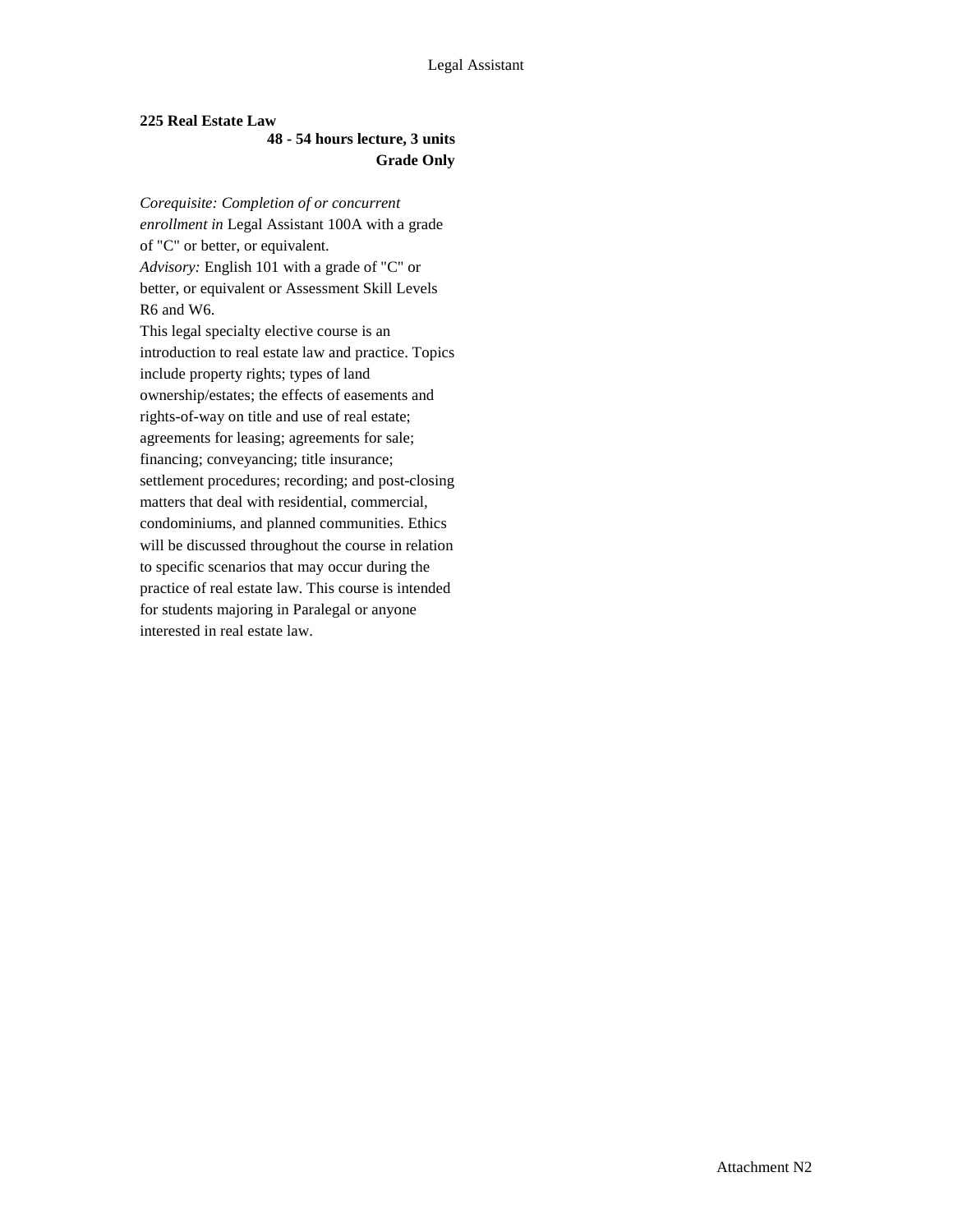## **225 Real Estate Law**

### **48 - 54 hours lecture, 3 units Grade Only**

*Corequisite: Completion of or concurrent enrollment in* Legal Assistant 100A with a grade of "C" or better, or equivalent. *Advisory:* English 101 with a grade of "C" or better, or equivalent or Assessment Skill Levels R6 and W6. This legal specialty elective course is an introduction to real estate law and practice. Topics include property rights; types of land ownership/estates; the effects of easements and rights-of-way on title and use of real estate; agreements for leasing; agreements for sale; financing; conveyancing; title insurance; settlement procedures; recording; and post-closing matters that deal with residential, commercial, condominiums, and planned communities. Ethics will be discussed throughout the course in relation to specific scenarios that may occur during the practice of real estate law. This course is intended for students majoring in Paralegal or anyone interested in real estate law.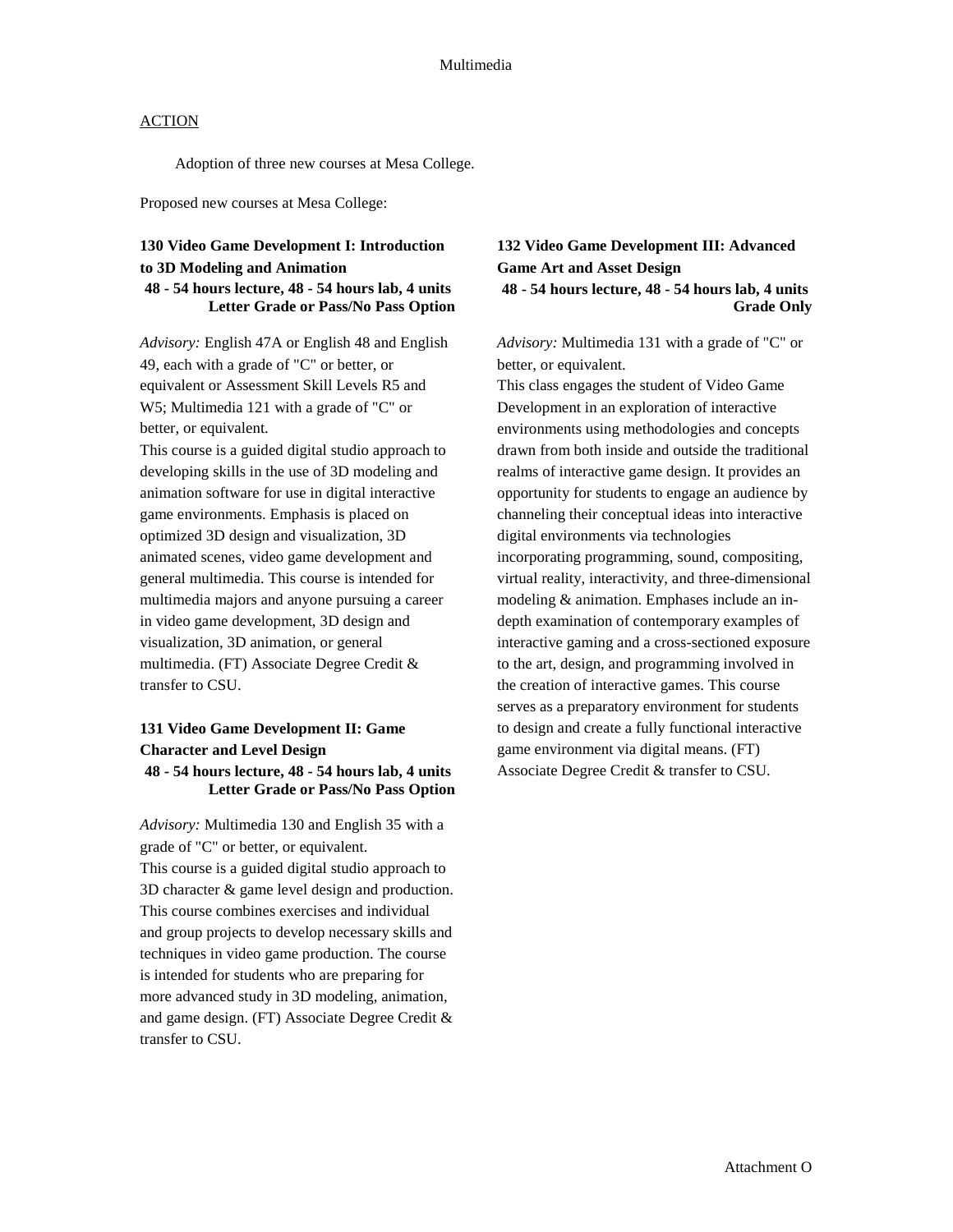Adoption of three new courses at Mesa College.

Proposed new courses at Mesa College:

### **130 Video Game Development I: Introduction to 3D Modeling and Animation 48 - 54 hours lecture, 48 - 54 hours lab, 4 units Letter Grade or Pass/No Pass Option**

*Advisory:* English 47A or English 48 and English 49, each with a grade of "C" or better, or equivalent or Assessment Skill Levels R5 and W5; Multimedia 121 with a grade of "C" or better, or equivalent.

This course is a guided digital studio approach to developing skills in the use of 3D modeling and animation software for use in digital interactive game environments. Emphasis is placed on optimized 3D design and visualization, 3D animated scenes, video game development and general multimedia. This course is intended for multimedia majors and anyone pursuing a career in video game development, 3D design and visualization, 3D animation, or general multimedia. (FT) Associate Degree Credit & transfer to CSU.

### **131 Video Game Development II: Game Character and Level Design 48 - 54 hours lecture, 48 - 54 hours lab, 4 units Letter Grade or Pass/No Pass Option**

*Advisory:* Multimedia 130 and English 35 with a grade of "C" or better, or equivalent. This course is a guided digital studio approach to 3D character & game level design and production. This course combines exercises and individual and group projects to develop necessary skills and techniques in video game production. The course is intended for students who are preparing for more advanced study in 3D modeling, animation, and game design. (FT) Associate Degree Credit & transfer to CSU.

## **132 Video Game Development III: Advanced Game Art and Asset Design 48 - 54 hours lecture, 48 - 54 hours lab, 4 units Grade Only**

*Advisory:* Multimedia 131 with a grade of "C" or better, or equivalent.

This class engages the student of Video Game Development in an exploration of interactive environments using methodologies and concepts drawn from both inside and outside the traditional realms of interactive game design. It provides an opportunity for students to engage an audience by channeling their conceptual ideas into interactive digital environments via technologies incorporating programming, sound, compositing, virtual reality, interactivity, and three-dimensional modeling & animation. Emphases include an indepth examination of contemporary examples of interactive gaming and a cross-sectioned exposure to the art, design, and programming involved in the creation of interactive games. This course serves as a preparatory environment for students to design and create a fully functional interactive game environment via digital means. (FT) Associate Degree Credit & transfer to CSU.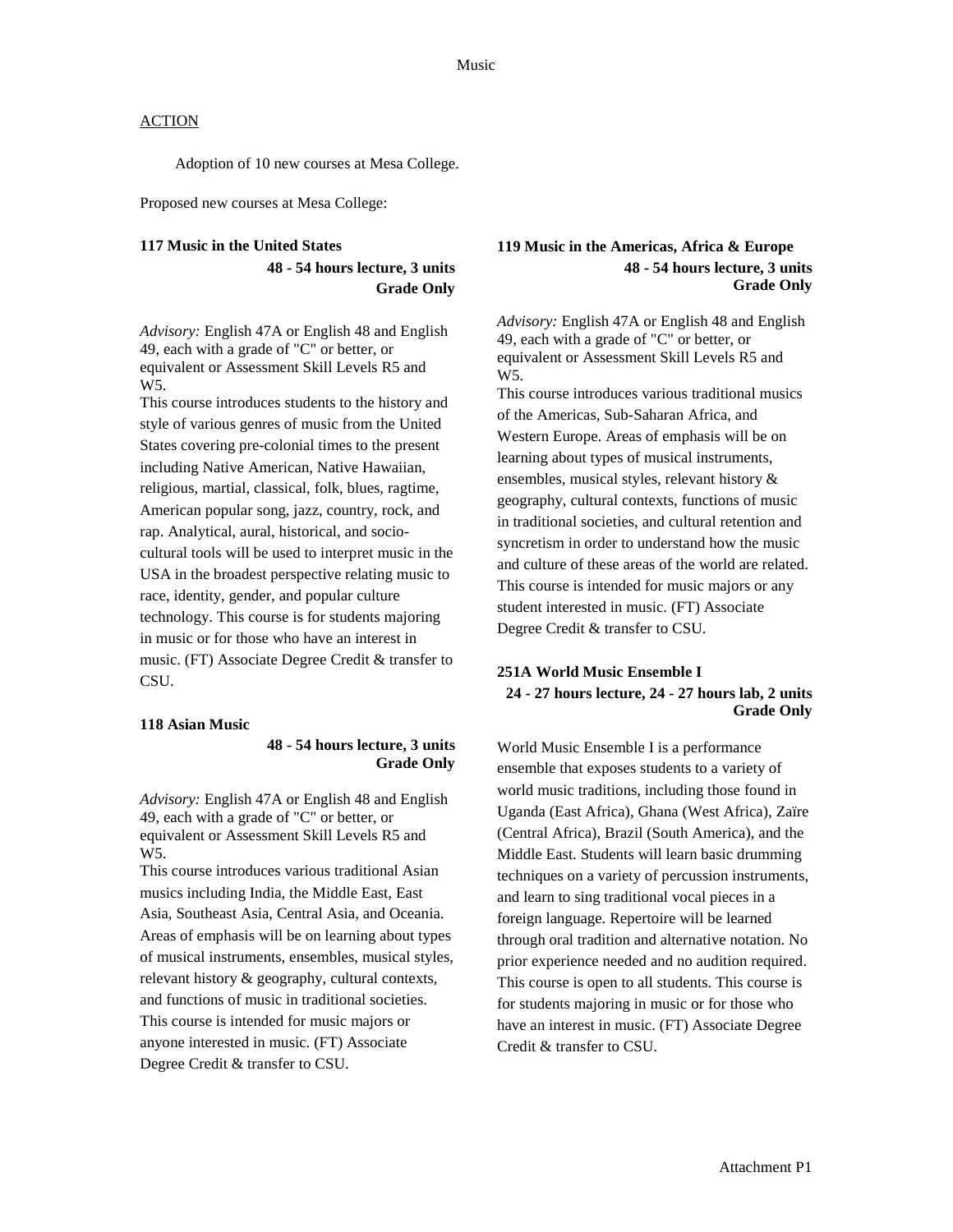Adoption of 10 new courses at Mesa College.

Proposed new courses at Mesa College:

#### **117 Music in the United States**

**48 - 54 hours lecture, 3 units Grade Only**

*Advisory:* English 47A or English 48 and English 49, each with a grade of "C" or better, or equivalent or Assessment Skill Levels R5 and W5.

This course introduces students to the history and style of various genres of music from the United States covering pre-colonial times to the present including Native American, Native Hawaiian, religious, martial, classical, folk, blues, ragtime, American popular song, jazz, country, rock, and rap. Analytical, aural, historical, and sociocultural tools will be used to interpret music in the USA in the broadest perspective relating music to race, identity, gender, and popular culture technology. This course is for students majoring in music or for those who have an interest in music. (FT) Associate Degree Credit & transfer to CSU.

#### **118 Asian Music**

#### **48 - 54 hours lecture, 3 units Grade Only**

*Advisory:* English 47A or English 48 and English 49, each with a grade of "C" or better, or equivalent or Assessment Skill Levels R5 and W5.

This course introduces various traditional Asian musics including India, the Middle East, East Asia, Southeast Asia, Central Asia, and Oceania. Areas of emphasis will be on learning about types of musical instruments, ensembles, musical styles, relevant history & geography, cultural contexts, and functions of music in traditional societies. This course is intended for music majors or anyone interested in music. (FT) Associate Degree Credit & transfer to CSU.

### **119 Music in the Americas, Africa & Europe 48 - 54 hours lecture, 3 units Grade Only**

*Advisory:* English 47A or English 48 and English 49, each with a grade of "C" or better, or equivalent or Assessment Skill Levels R5 and W<sub>5</sub>.

This course introduces various traditional musics of the Americas, Sub-Saharan Africa, and Western Europe. Areas of emphasis will be on learning about types of musical instruments, ensembles, musical styles, relevant history & geography, cultural contexts, functions of music in traditional societies, and cultural retention and syncretism in order to understand how the music and culture of these areas of the world are related. This course is intended for music majors or any student interested in music. (FT) Associate Degree Credit & transfer to CSU.

### **251A World Music Ensemble I 24 - 27 hours lecture, 24 - 27 hours lab, 2 units Grade Only**

World Music Ensemble I is a performance ensemble that exposes students to a variety of world music traditions, including those found in Uganda (East Africa), Ghana (West Africa), Zaïre (Central Africa), Brazil (South America), and the Middle East. Students will learn basic drumming techniques on a variety of percussion instruments, and learn to sing traditional vocal pieces in a foreign language. Repertoire will be learned through oral tradition and alternative notation. No prior experience needed and no audition required. This course is open to all students. This course is for students majoring in music or for those who have an interest in music. (FT) Associate Degree Credit & transfer to CSU.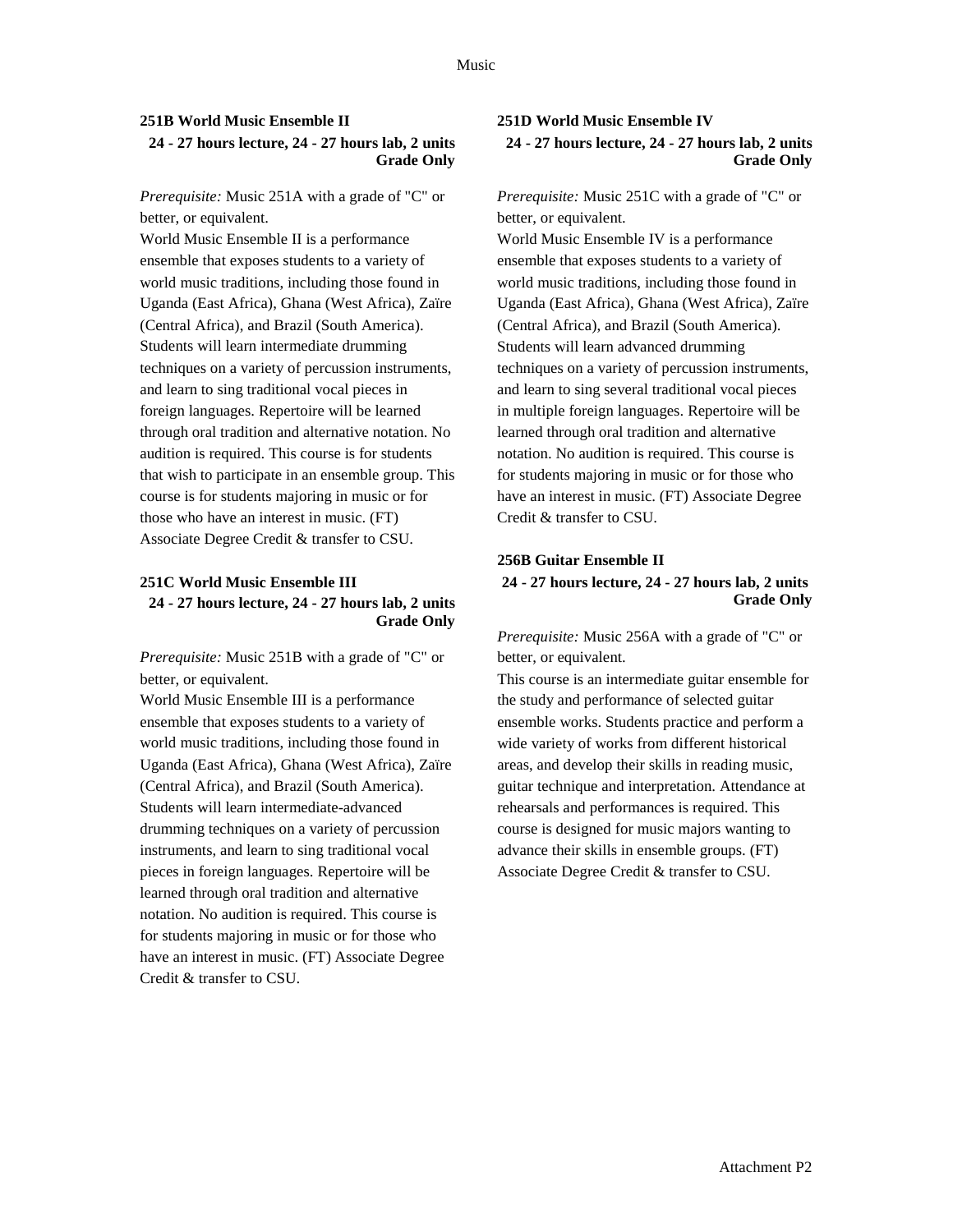### **251B World Music Ensemble II 24 - 27 hours lecture, 24 - 27 hours lab, 2 units Grade Only**

*Prerequisite:* Music 251A with a grade of "C" or better, or equivalent.

World Music Ensemble II is a performance ensemble that exposes students to a variety of world music traditions, including those found in Uganda (East Africa), Ghana (West Africa), Zaïre (Central Africa), and Brazil (South America). Students will learn intermediate drumming techniques on a variety of percussion instruments, and learn to sing traditional vocal pieces in foreign languages. Repertoire will be learned through oral tradition and alternative notation. No audition is required. This course is for students that wish to participate in an ensemble group. This course is for students majoring in music or for those who have an interest in music. (FT) Associate Degree Credit & transfer to CSU.

### **251C World Music Ensemble III 24 - 27 hours lecture, 24 - 27 hours lab, 2 units Grade Only**

*Prerequisite:* Music 251B with a grade of "C" or better, or equivalent.

World Music Ensemble III is a performance ensemble that exposes students to a variety of world music traditions, including those found in Uganda (East Africa), Ghana (West Africa), Zaïre (Central Africa), and Brazil (South America). Students will learn intermediate-advanced drumming techniques on a variety of percussion instruments, and learn to sing traditional vocal pieces in foreign languages. Repertoire will be learned through oral tradition and alternative notation. No audition is required. This course is for students majoring in music or for those who have an interest in music. (FT) Associate Degree Credit & transfer to CSU.

### **251D World Music Ensemble IV 24 - 27 hours lecture, 24 - 27 hours lab, 2 units Grade Only**

*Prerequisite:* Music 251C with a grade of "C" or better, or equivalent.

World Music Ensemble IV is a performance ensemble that exposes students to a variety of world music traditions, including those found in Uganda (East Africa), Ghana (West Africa), Zaïre (Central Africa), and Brazil (South America). Students will learn advanced drumming techniques on a variety of percussion instruments, and learn to sing several traditional vocal pieces in multiple foreign languages. Repertoire will be learned through oral tradition and alternative notation. No audition is required. This course is for students majoring in music or for those who have an interest in music. (FT) Associate Degree Credit & transfer to CSU.

### **256B Guitar Ensemble II 24 - 27 hours lecture, 24 - 27 hours lab, 2 units Grade Only**

*Prerequisite:* Music 256A with a grade of "C" or better, or equivalent.

This course is an intermediate guitar ensemble for the study and performance of selected guitar ensemble works. Students practice and perform a wide variety of works from different historical areas, and develop their skills in reading music, guitar technique and interpretation. Attendance at rehearsals and performances is required. This course is designed for music majors wanting to advance their skills in ensemble groups. (FT) Associate Degree Credit & transfer to CSU.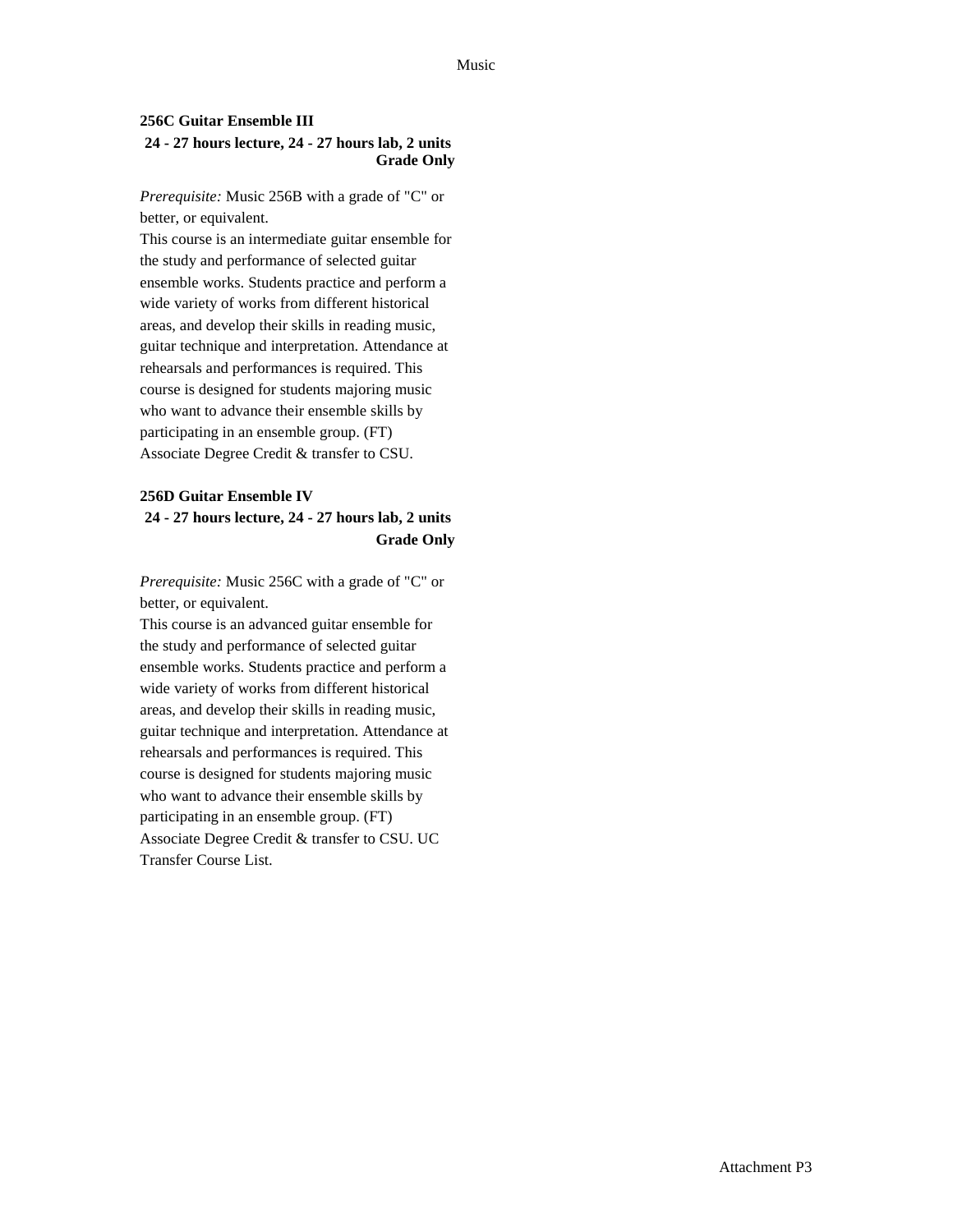### **256C Guitar Ensemble III 24 - 27 hours lecture, 24 - 27 hours lab, 2 units Grade Only**

*Prerequisite:* Music 256B with a grade of "C" or better, or equivalent.

This course is an intermediate guitar ensemble for the study and performance of selected guitar ensemble works. Students practice and perform a wide variety of works from different historical areas, and develop their skills in reading music, guitar technique and interpretation. Attendance at rehearsals and performances is required. This course is designed for students majoring music who want to advance their ensemble skills by participating in an ensemble group. (FT) Associate Degree Credit & transfer to CSU.

## **256D Guitar Ensemble IV 24 - 27 hours lecture, 24 - 27 hours lab, 2 units Grade Only**

*Prerequisite:* Music 256C with a grade of "C" or better, or equivalent.

This course is an advanced guitar ensemble for the study and performance of selected guitar ensemble works. Students practice and perform a wide variety of works from different historical areas, and develop their skills in reading music, guitar technique and interpretation. Attendance at rehearsals and performances is required. This course is designed for students majoring music who want to advance their ensemble skills by participating in an ensemble group. (FT) Associate Degree Credit & transfer to CSU. UC Transfer Course List.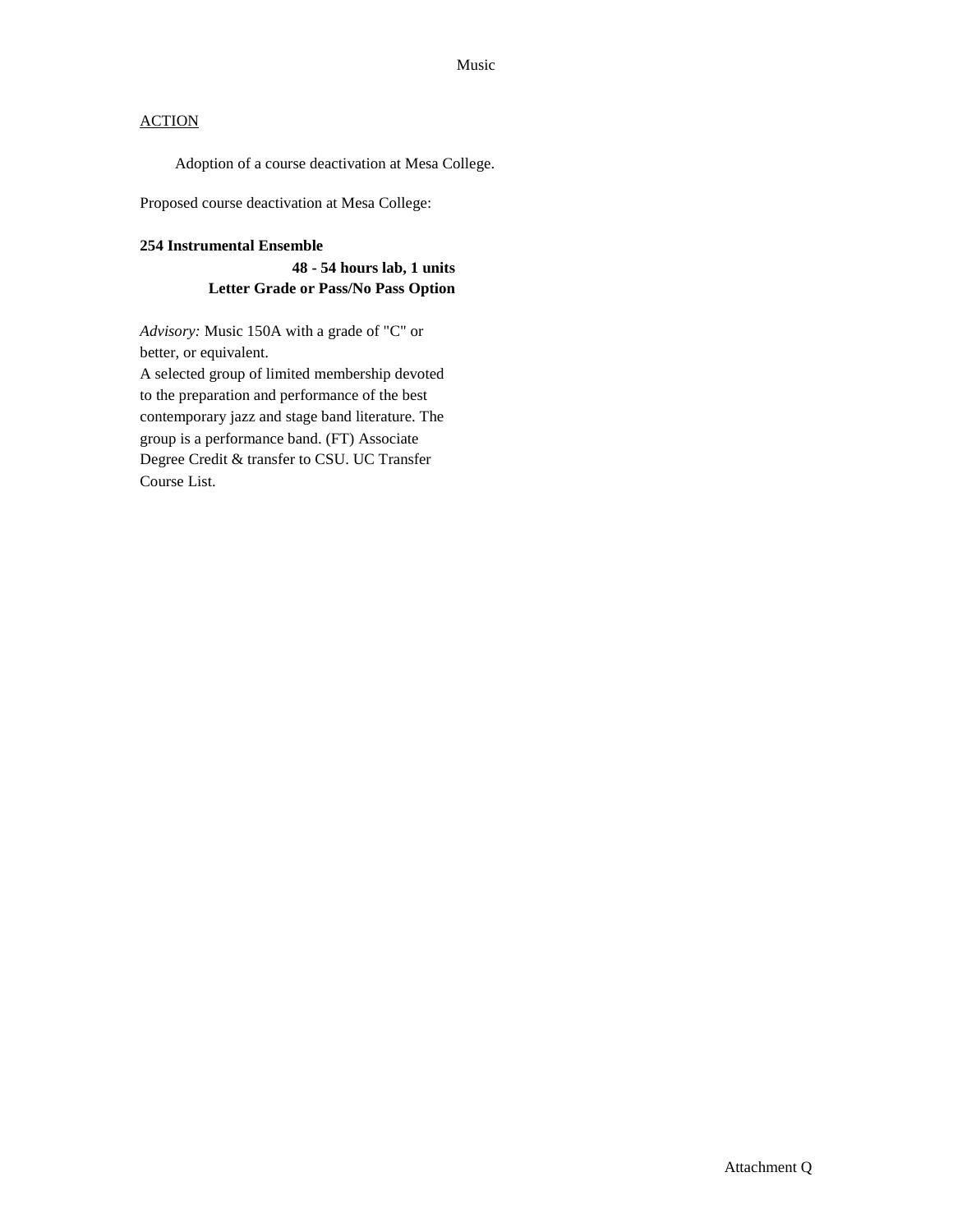Adoption of a course deactivation at Mesa College.

Proposed course deactivation at Mesa College:

#### **254 Instrumental Ensemble**

**48 - 54 hours lab, 1 units Letter Grade or Pass/No Pass Option**

*Advisory:* Music 150A with a grade of "C" or better, or equivalent.

A selected group of limited membership devoted to the preparation and performance of the best contemporary jazz and stage band literature. The group is a performance band. (FT) Associate Degree Credit & transfer to CSU. UC Transfer Course List.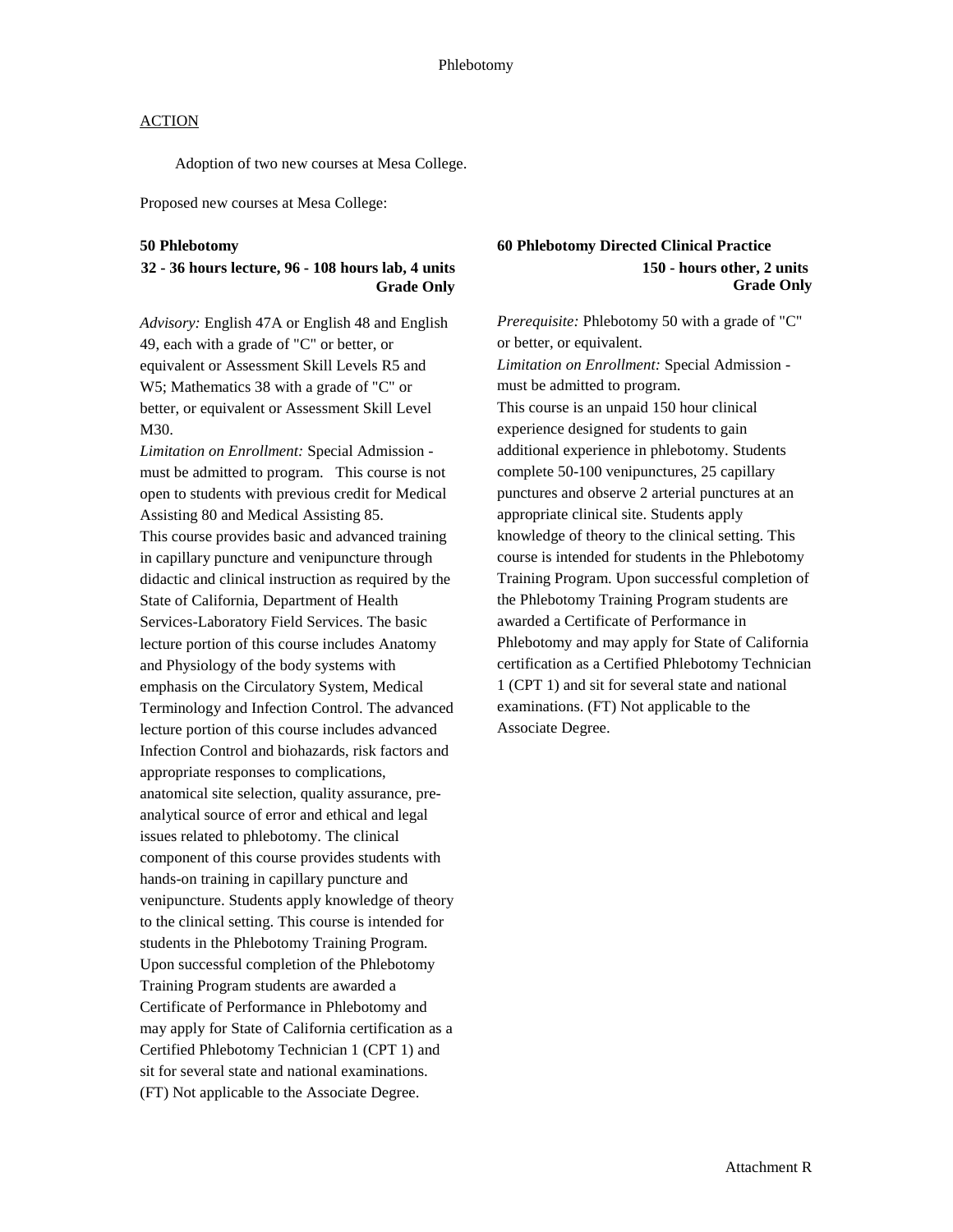Adoption of two new courses at Mesa College.

Proposed new courses at Mesa College:

#### **50 Phlebotomy**

### **32 - 36 hours lecture, 96 - 108 hours lab, 4 units Grade Only**

*Advisory:* English 47A or English 48 and English 49, each with a grade of "C" or better, or equivalent or Assessment Skill Levels R5 and W5; Mathematics 38 with a grade of "C" or better, or equivalent or Assessment Skill Level M30.

*Limitation on Enrollment:* Special Admission must be admitted to program. This course is not open to students with previous credit for Medical Assisting 80 and Medical Assisting 85. This course provides basic and advanced training in capillary puncture and venipuncture through didactic and clinical instruction as required by the State of California, Department of Health Services-Laboratory Field Services. The basic lecture portion of this course includes Anatomy and Physiology of the body systems with emphasis on the Circulatory System, Medical Terminology and Infection Control. The advanced lecture portion of this course includes advanced Infection Control and biohazards, risk factors and appropriate responses to complications, anatomical site selection, quality assurance, preanalytical source of error and ethical and legal issues related to phlebotomy. The clinical component of this course provides students with hands-on training in capillary puncture and venipuncture. Students apply knowledge of theory to the clinical setting. This course is intended for students in the Phlebotomy Training Program. Upon successful completion of the Phlebotomy Training Program students are awarded a Certificate of Performance in Phlebotomy and may apply for State of California certification as a Certified Phlebotomy Technician 1 (CPT 1) and sit for several state and national examinations. (FT) Not applicable to the Associate Degree.

### **60 Phlebotomy Directed Clinical Practice 150 - hours other, 2 units Grade Only**

*Prerequisite:* Phlebotomy 50 with a grade of "C" or better, or equivalent. *Limitation on Enrollment:* Special Admission must be admitted to program. This course is an unpaid 150 hour clinical experience designed for students to gain additional experience in phlebotomy. Students complete 50-100 venipunctures, 25 capillary punctures and observe 2 arterial punctures at an appropriate clinical site. Students apply knowledge of theory to the clinical setting. This course is intended for students in the Phlebotomy Training Program. Upon successful completion of the Phlebotomy Training Program students are awarded a Certificate of Performance in Phlebotomy and may apply for State of California certification as a Certified Phlebotomy Technician 1 (CPT 1) and sit for several state and national examinations. (FT) Not applicable to the Associate Degree.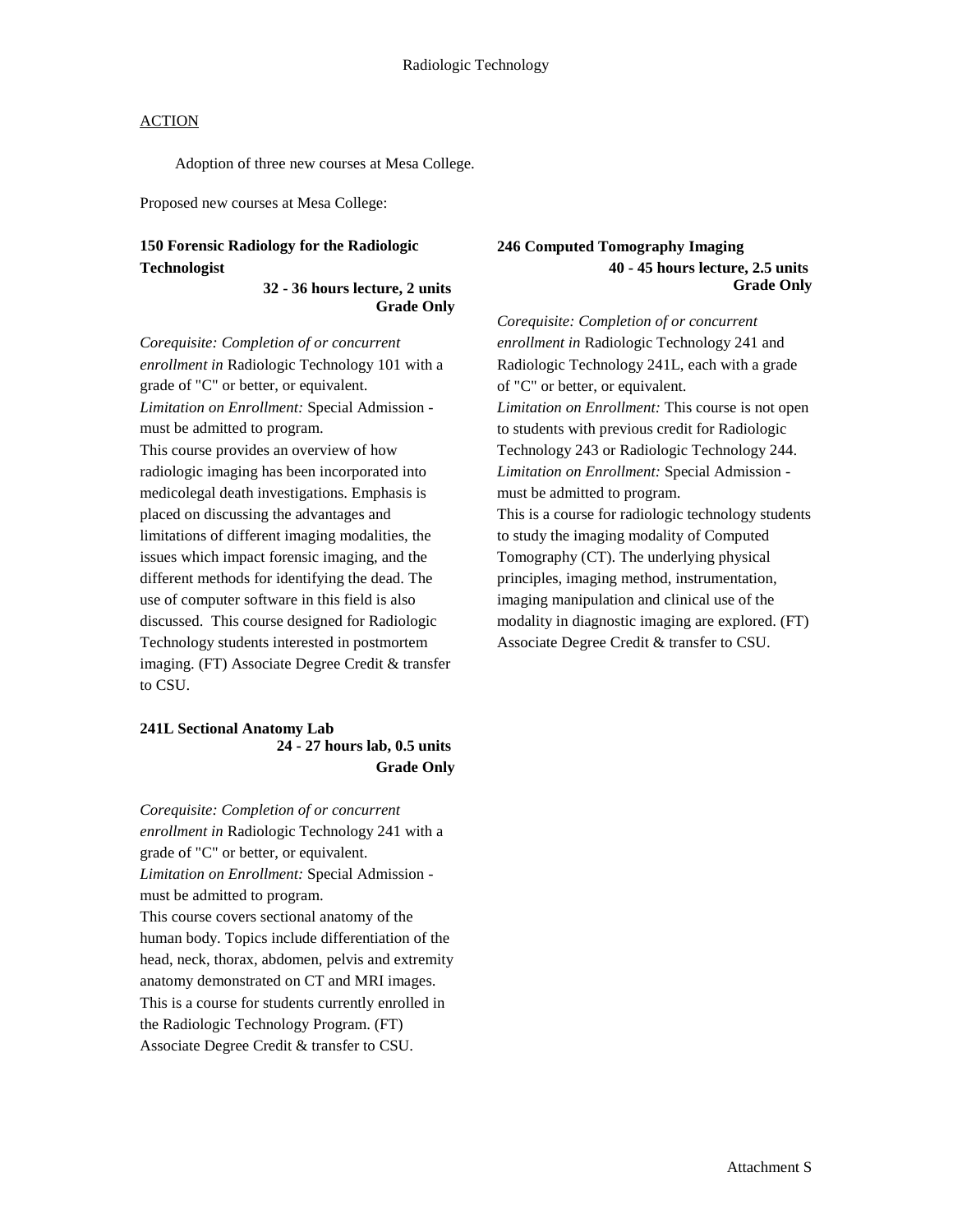Adoption of three new courses at Mesa College.

Proposed new courses at Mesa College:

### **150 Forensic Radiology for the Radiologic Technologist**

#### **32 - 36 hours lecture, 2 units Grade Only**

*Corequisite: Completion of or concurrent enrollment in* Radiologic Technology 101 with a grade of "C" or better, or equivalent. *Limitation on Enrollment:* Special Admission must be admitted to program. This course provides an overview of how radiologic imaging has been incorporated into medicolegal death investigations. Emphasis is placed on discussing the advantages and limitations of different imaging modalities, the issues which impact forensic imaging, and the different methods for identifying the dead. The use of computer software in this field is also discussed. This course designed for Radiologic Technology students interested in postmortem imaging. (FT) Associate Degree Credit & transfer to CSU.

### **241L Sectional Anatomy Lab 24 - 27 hours lab, 0.5 units Grade Only**

*Corequisite: Completion of or concurrent enrollment in* Radiologic Technology 241 with a grade of "C" or better, or equivalent. *Limitation on Enrollment:* Special Admission must be admitted to program. This course covers sectional anatomy of the human body. Topics include differentiation of the head, neck, thorax, abdomen, pelvis and extremity anatomy demonstrated on CT and MRI images. This is a course for students currently enrolled in the Radiologic Technology Program. (FT) Associate Degree Credit & transfer to CSU.

#### **246 Computed Tomography Imaging 40 - 45 hours lecture, 2.5 units Grade Only**

*Corequisite: Completion of or concurrent enrollment in* Radiologic Technology 241 and Radiologic Technology 241L, each with a grade of "C" or better, or equivalent. *Limitation on Enrollment:* This course is not open to students with previous credit for Radiologic Technology 243 or Radiologic Technology 244. *Limitation on Enrollment:* Special Admission must be admitted to program. This is a course for radiologic technology students to study the imaging modality of Computed Tomography (CT). The underlying physical principles, imaging method, instrumentation, imaging manipulation and clinical use of the modality in diagnostic imaging are explored. (FT) Associate Degree Credit & transfer to CSU.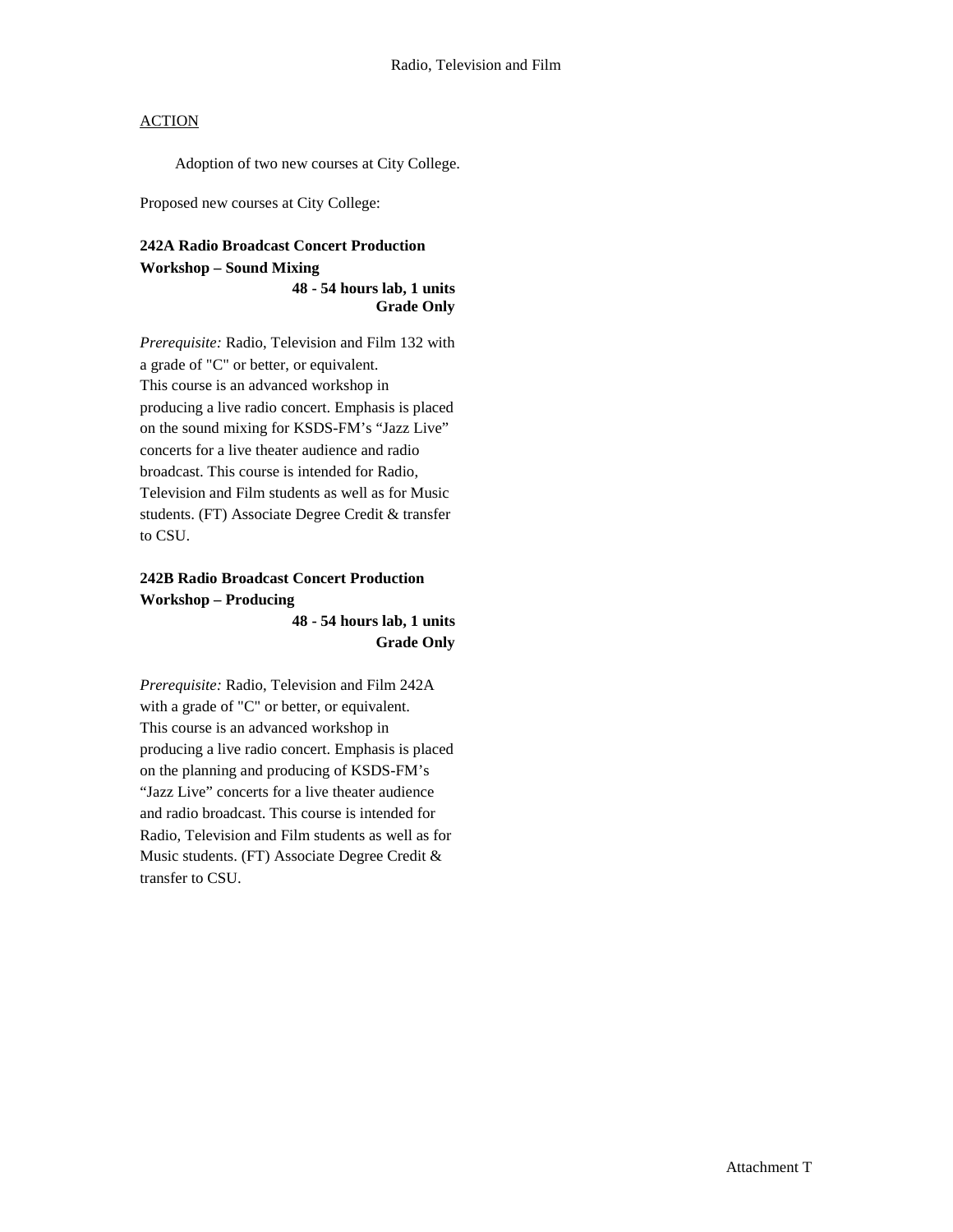Adoption of two new courses at City College.

Proposed new courses at City College:

## **242A Radio Broadcast Concert Production Workshop – Sound Mixing**

**48 - 54 hours lab, 1 units Grade Only**

*Prerequisite:* Radio, Television and Film 132 with a grade of "C" or better, or equivalent. This course is an advanced workshop in producing a live radio concert. Emphasis is placed on the sound mixing for KSDS-FM's "Jazz Live" concerts for a live theater audience and radio broadcast. This course is intended for Radio, Television and Film students as well as for Music students. (FT) Associate Degree Credit & transfer to CSU.

## **242B Radio Broadcast Concert Production Workshop – Producing**

**48 - 54 hours lab, 1 units Grade Only**

*Prerequisite:* Radio, Television and Film 242A with a grade of "C" or better, or equivalent. This course is an advanced workshop in producing a live radio concert. Emphasis is placed on the planning and producing of KSDS-FM's "Jazz Live" concerts for a live theater audience and radio broadcast. This course is intended for Radio, Television and Film students as well as for Music students. (FT) Associate Degree Credit & transfer to CSU.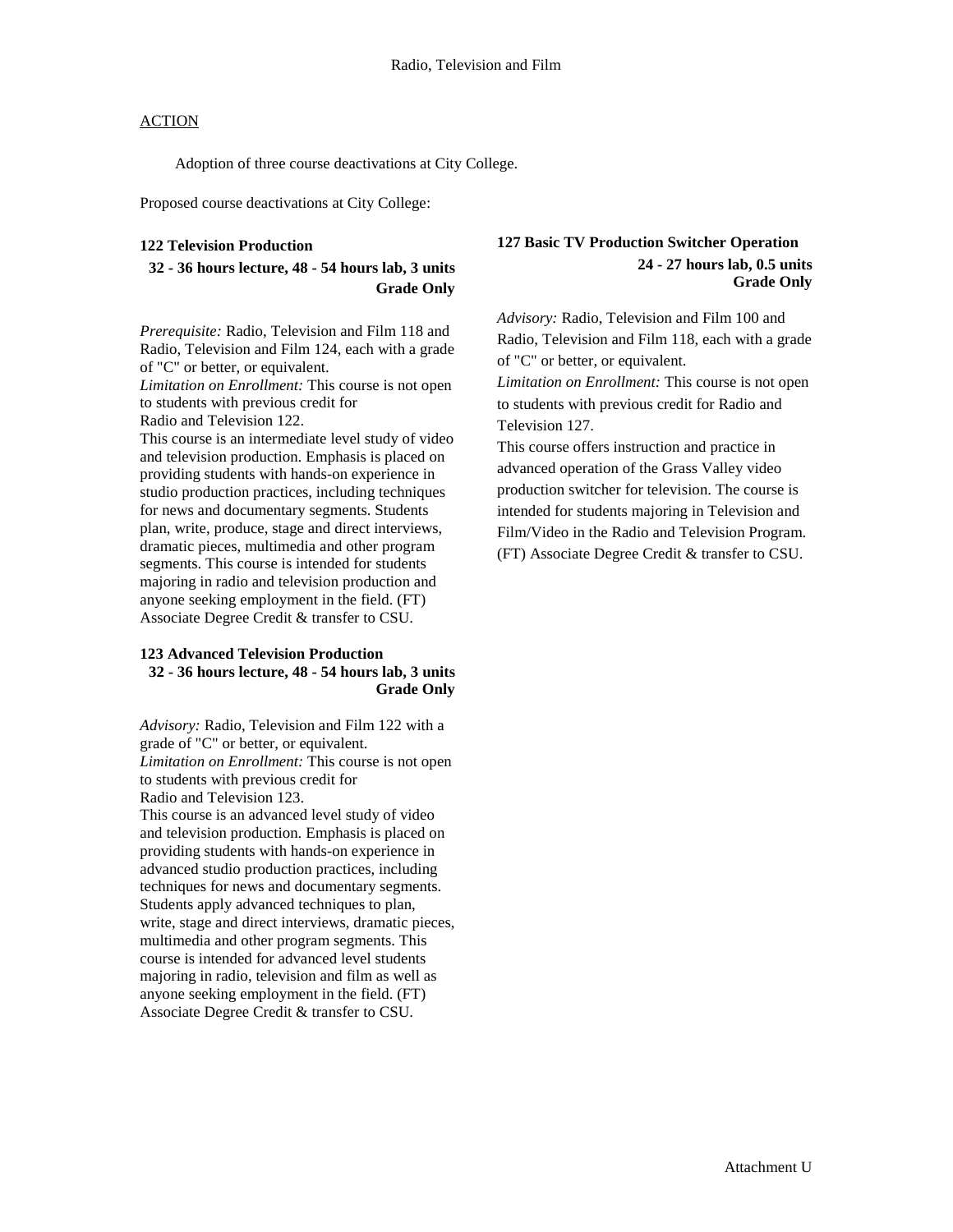Adoption of three course deactivations at City College.

Proposed course deactivations at City College:

#### **122 Television Production**

### **32 - 36 hours lecture, 48 - 54 hours lab, 3 units Grade Only**

*Prerequisite:* Radio, Television and Film 118 and Radio, Television and Film 124, each with a grade of "C" or better, or equivalent.

*Limitation on Enrollment:* This course is not open to students with previous credit for

Radio and Television 122.

This course is an intermediate level study of video and television production. Emphasis is placed on providing students with hands-on experience in studio production practices, including techniques for news and documentary segments. Students plan, write, produce, stage and direct interviews, dramatic pieces, multimedia and other program segments. This course is intended for students majoring in radio and television production and anyone seeking employment in the field. (FT) Associate Degree Credit & transfer to CSU.

### **123 Advanced Television Production 32 - 36 hours lecture, 48 - 54 hours lab, 3 units Grade Only**

*Advisory:* Radio, Television and Film 122 with a grade of "C" or better, or equivalent. *Limitation on Enrollment:* This course is not open to students with previous credit for Radio and Television 123.

This course is an advanced level study of video and television production. Emphasis is placed on providing students with hands-on experience in advanced studio production practices, including techniques for news and documentary segments. Students apply advanced techniques to plan, write, stage and direct interviews, dramatic pieces, multimedia and other program segments. This course is intended for advanced level students majoring in radio, television and film as well as anyone seeking employment in the field. (FT) Associate Degree Credit & transfer to CSU.

#### **127 Basic TV Production Switcher Operation 24 - 27 hours lab, 0.5 units Grade Only**

*Advisory:* Radio, Television and Film 100 and Radio, Television and Film 118, each with a grade of "C" or better, or equivalent.

*Limitation on Enrollment:* This course is not open to students with previous credit for Radio and Television 127.

This course offers instruction and practice in advanced operation of the Grass Valley video production switcher for television. The course is intended for students majoring in Television and Film/Video in the Radio and Television Program. (FT) Associate Degree Credit & transfer to CSU.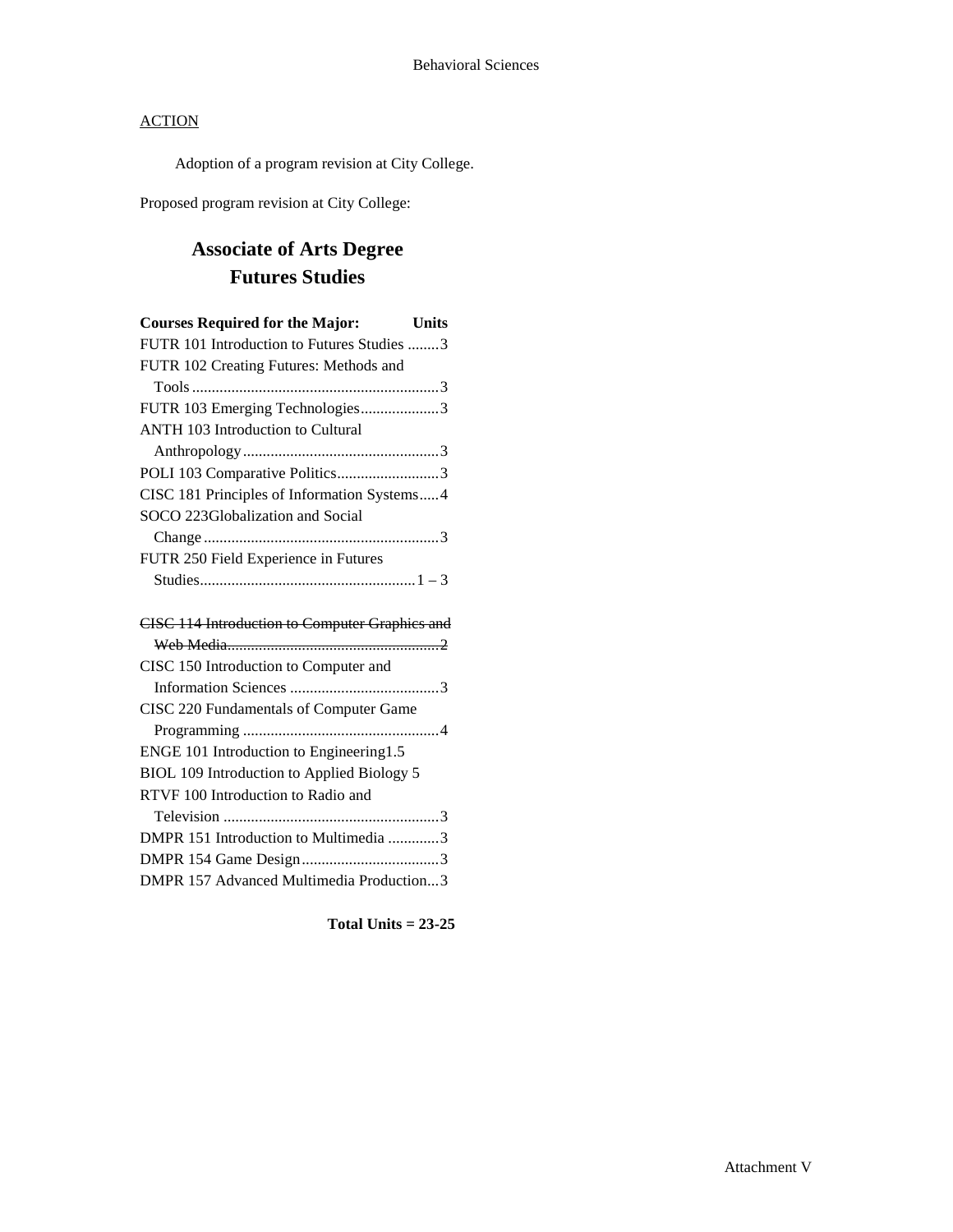Adoption of a program revision at City College.

Proposed program revision at City College:

# **Associate of Arts Degree Futures Studies**

| <b>Courses Required for the Major:</b><br>Units |
|-------------------------------------------------|
| FUTR 101 Introduction to Futures Studies 3      |
| FUTR 102 Creating Futures: Methods and          |
|                                                 |
| FUTR 103 Emerging Technologies3                 |
| ANTH 103 Introduction to Cultural               |
|                                                 |
| POLI 103 Comparative Politics3                  |
| CISC 181 Principles of Information Systems4     |
| SOCO 223Globalization and Social                |
|                                                 |
| FUTR 250 Field Experience in Futures            |
|                                                 |
|                                                 |
| CISC 114 Introduction to Computer Graphics and  |
|                                                 |
| CISC 150 Introduction to Computer and           |
|                                                 |
| CISC 220 Fundamentals of Computer Game          |
|                                                 |
| ENGE 101 Introduction to Engineering1.5         |
| BIOL 109 Introduction to Applied Biology 5      |
| RTVF 100 Introduction to Radio and              |
|                                                 |
| DMPR 151 Introduction to Multimedia 3           |
|                                                 |

DMPR 157 Advanced Multimedia Production...3

**Total Units = 23-25**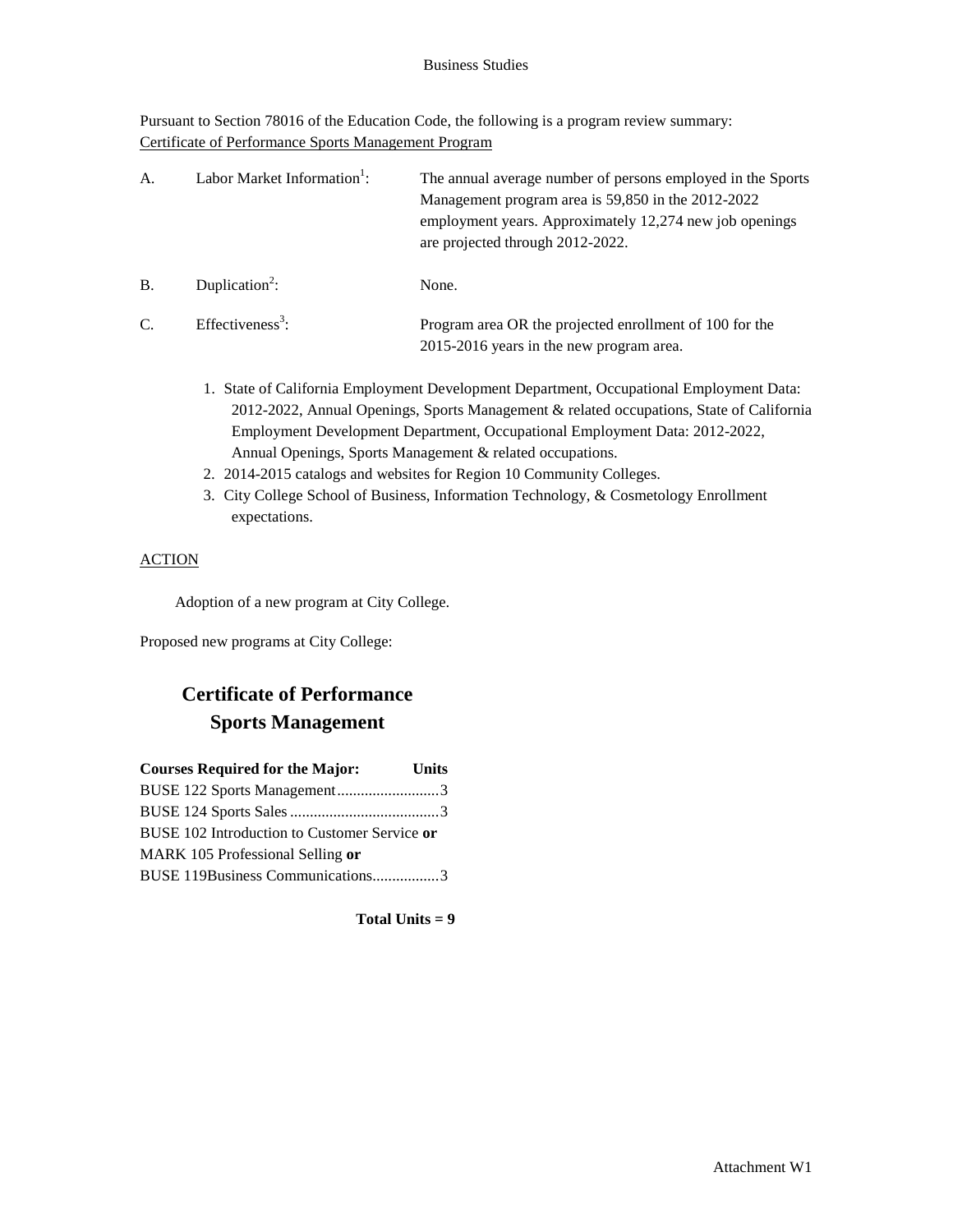### Business Studies

Pursuant to Section 78016 of the Education Code, the following is a program review summary: Certificate of Performance Sports Management Program

| А.         | Labor Market Information <sup>1</sup> : | The annual average number of persons employed in the Sports<br>Management program area is 59,850 in the 2012-2022<br>employment years. Approximately 12,274 new job openings<br>are projected through 2012-2022. |
|------------|-----------------------------------------|------------------------------------------------------------------------------------------------------------------------------------------------------------------------------------------------------------------|
| <b>B</b> . | Duplication <sup>2</sup> :              | None.                                                                                                                                                                                                            |
| C.         | Effectiveness <sup>3</sup> :            | Program area OR the projected enrollment of 100 for the<br>2015-2016 years in the new program area.                                                                                                              |

- 1. State of California Employment Development Department, Occupational Employment Data: 2012-2022, Annual Openings, Sports Management & related occupations, State of California Employment Development Department, Occupational Employment Data: 2012-2022, Annual Openings, Sports Management & related occupations.
- 2. 2014-2015 catalogs and websites for Region 10 Community Colleges.
- 3. City College School of Business, Information Technology, & Cosmetology Enrollment expectations.

### **ACTION**

Adoption of a new program at City College.

Proposed new programs at City College:

## **Certificate of Performance Sports Management**

| <b>Courses Required for the Major:</b>       | <b>Units</b> |
|----------------------------------------------|--------------|
| BUSE 122 Sports Management3                  |              |
|                                              |              |
| BUSE 102 Introduction to Customer Service or |              |
| MARK 105 Professional Selling or             |              |
| BUSE 119Business Communications3             |              |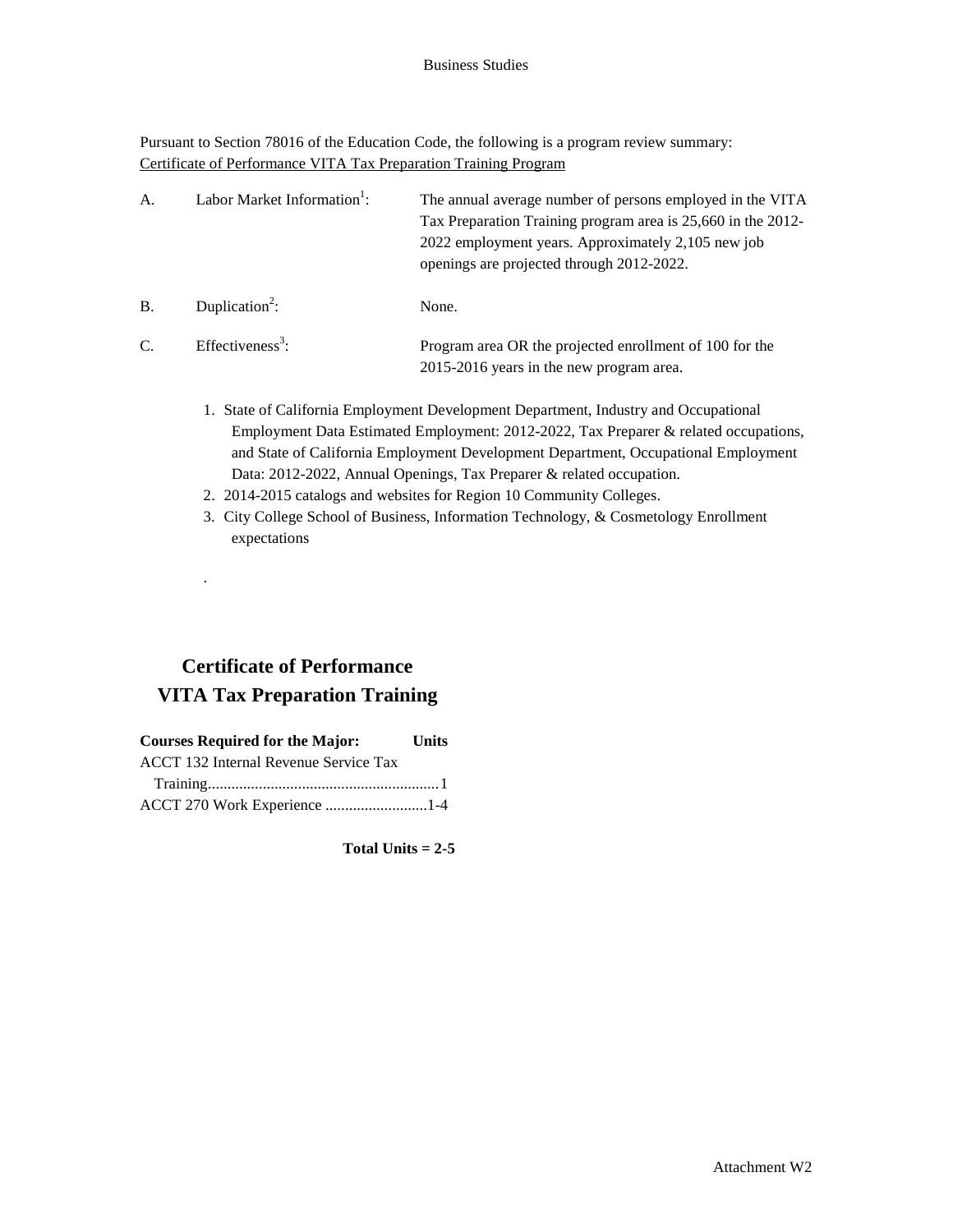Pursuant to Section 78016 of the Education Code, the following is a program review summary: Certificate of Performance VITA Tax Preparation Training Program

| A.        | Labor Market Information <sup>1</sup> : | The annual average number of persons employed in the VITA<br>Tax Preparation Training program area is 25,660 in the 2012-<br>2022 employment years. Approximately 2,105 new job<br>openings are projected through 2012-2022. |
|-----------|-----------------------------------------|------------------------------------------------------------------------------------------------------------------------------------------------------------------------------------------------------------------------------|
| <b>B.</b> | Duplication <sup>2</sup> :              | None.                                                                                                                                                                                                                        |
| C.        | Effectiveness <sup>3</sup> :            | Program area OR the projected enrollment of 100 for the<br>2015-2016 years in the new program area.                                                                                                                          |

- 1. State of California Employment Development Department, Industry and Occupational Employment Data Estimated Employment: 2012-2022, Tax Preparer & related occupations, and State of California Employment Development Department, Occupational Employment Data: 2012-2022, Annual Openings, Tax Preparer & related occupation.
- 2. 2014-2015 catalogs and websites for Region 10 Community Colleges.
- 3. City College School of Business, Information Technology, & Cosmetology Enrollment expectations

## **Certificate of Performance VITA Tax Preparation Training**

.

| <b>Courses Required for the Major:</b> | <b>Units</b> |
|----------------------------------------|--------------|
| ACCT 132 Internal Revenue Service Tax  |              |
|                                        |              |
| ACCT 270 Work Experience 1-4           |              |

**Total Units = 2-5**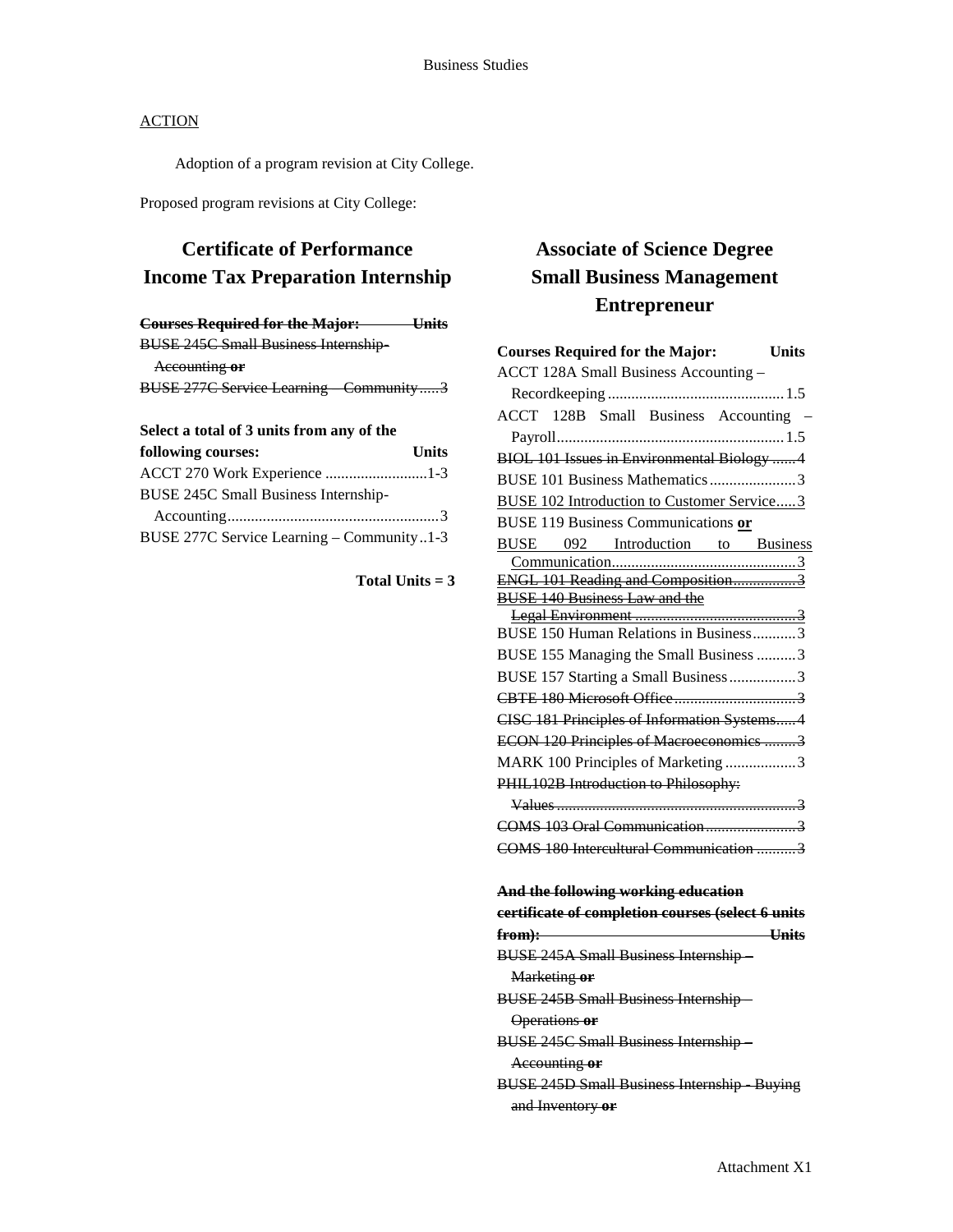Adoption of a program revision at City College.

Proposed program revisions at City College:

## **Certificate of Performance Income Tax Preparation Internship**

| <b>Courses Required for the Major:</b>      | <del>– Units</del> |
|---------------------------------------------|--------------------|
| <b>BUSE 245C Small Business Internship-</b> |                    |
| Accounting or                               |                    |
| BUSE 277C Service Learning Community3       |                    |
|                                             |                    |

### **Select a total of 3 units from any of the**

| following courses:                         | <b>Units</b> |
|--------------------------------------------|--------------|
| ACCT 270 Work Experience 1-3               |              |
| BUSE 245C Small Business Internship-       |              |
|                                            |              |
| BUSE 277C Service Learning – Community 1-3 |              |

**Total Units = 3**

# **Associate of Science Degree Small Business Management Entrepreneur**

| <b>Courses Required for the Major:</b><br><b>Units</b> |
|--------------------------------------------------------|
| ACCT 128A Small Business Accounting -                  |
|                                                        |
| ACCT 128B Small Business Accounting -                  |
|                                                        |
| BIOL 101 Issues in Environmental Biology 4             |
| BUSE 101 Business Mathematics3                         |
| <b>BUSE 102 Introduction to Customer Service3</b>      |
| <b>BUSE 119 Business Communications or</b>             |
| <b>BUSE</b> 092 Introduction to Business               |
|                                                        |
| <b>ENGL 101 Reading and Composition3</b>               |
| <b>BUSE 140 Business Law and the</b>                   |
|                                                        |
| BUSE 150 Human Relations in Business3                  |
| BUSE 155 Managing the Small Business 3                 |
| BUSE 157 Starting a Small Business 3                   |
|                                                        |
| CISC 181 Principles of Information Systems 4           |
| ECON 120 Principles of Macroeconomics 3                |
| MARK 100 Principles of Marketing 3                     |
| PHIL102B Introduction to Philosophy:                   |
|                                                        |
| COMS 103 Oral Communication3                           |
| COMS 180 Intercultural Communication 3                 |
| And the following working education                    |
| certificate of completion courses (select 6 units      |
| <b>Example 2008</b> Units<br><del>from):</del>         |
| <b>BUSE 245A Small Business Internship-</b>            |
| Marketing or                                           |
| <b>BUSE 245B Small Business Internship-</b>            |
| Operations or                                          |
| <b>BUSE 245C Small Business Internship-</b>            |
| Accounting or                                          |
| <b>BUSE 245D Small Business Internship Buying</b>      |
| and Inventory or                                       |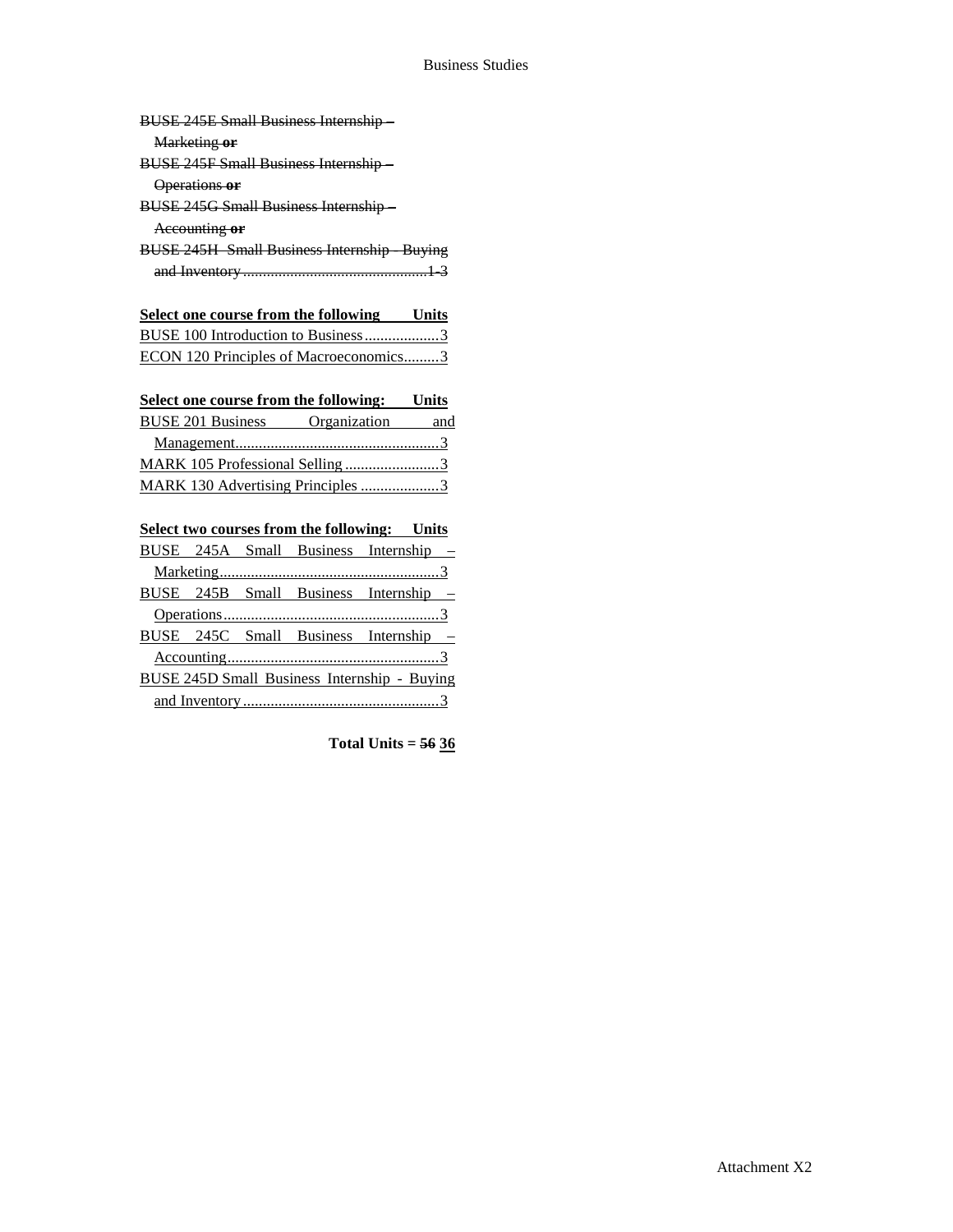### Business Studies

| <b>BUSE 245E Small Business Internship-</b>       |
|---------------------------------------------------|
| Marketing or                                      |
| <b>BUSE 245F Small Business Internship-</b>       |
| Operations or                                     |
| <b>BUSE 245G Small Business Internship-</b>       |
| Accounting or                                     |
| <b>BUSE 245H Small Business Internship Buying</b> |
|                                                   |
|                                                   |
| Select one course from the following Units        |

| Select one course from the following the Units |  |
|------------------------------------------------|--|
| BUSE 100 Introduction to Business3             |  |
| ECON 120 Principles of Macroeconomics3         |  |

| Select one course from the following:<br>Units |
|------------------------------------------------|
| Organization<br>and                            |
|                                                |
|                                                |
| MARK 130 Advertising Principles 3              |
|                                                |

| <b>Select two courses from the following:</b> Units |  |  |  |                                                     |
|-----------------------------------------------------|--|--|--|-----------------------------------------------------|
|                                                     |  |  |  | BUSE 245A Small Business Internship -               |
|                                                     |  |  |  |                                                     |
|                                                     |  |  |  | BUSE 245B Small Business Internship -               |
|                                                     |  |  |  |                                                     |
|                                                     |  |  |  | BUSE 245C Small Business Internship –               |
|                                                     |  |  |  |                                                     |
|                                                     |  |  |  | <b>BUSE 245D Small Business Internship - Buying</b> |
|                                                     |  |  |  |                                                     |

**Total Units = 56 36**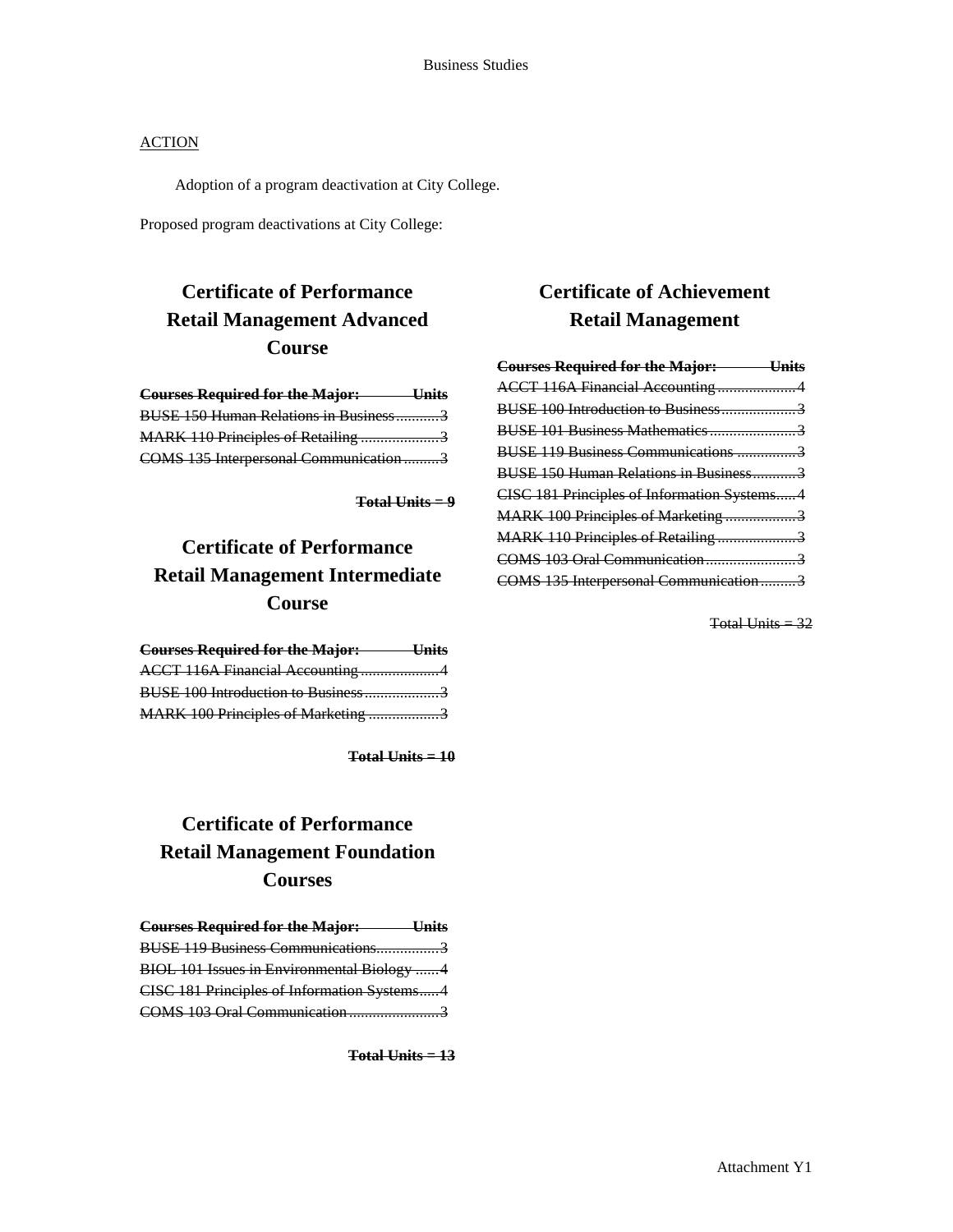Adoption of a program deactivation at City College.

Proposed program deactivations at City College:

## **Certificate of Performance Retail Management Advanced Course**

| <b>Courses Required for the Major:</b> Units |  |
|----------------------------------------------|--|
| <b>BUSE 150 Human Relations in Business3</b> |  |
| MARK 110 Principles of Retailing 3           |  |
| COMS 135 Interpersonal Communication 3       |  |

**Total Units = 9**

# **Certificate of Performance Retail Management Intermediate Course**

| <b>Courses Required for the Major: Units</b> |  |
|----------------------------------------------|--|
| ACCT 116A Financial Accounting4              |  |
| BUSE 100 Introduction to Business3           |  |
| MARK 100 Principles of Marketing 3           |  |

**Total Units = 10**

# **Certificate of Performance Retail Management Foundation Courses**

| <b>Courses Required for the Major:</b><br><u>Units</u> |  |
|--------------------------------------------------------|--|
| BUSE 119 Business Communications3                      |  |
| BIOL 101 Issues in Environmental Biology 4             |  |
| CISC 181 Principles of Information Systems4            |  |
| COMS 103 Oral Communication3                           |  |

**Total Units = 13**

## **Certificate of Achievement Retail Management**

| <b>Courses Required for the Major: Units</b> |  |
|----------------------------------------------|--|
| ACCT 116A Financial Accounting4              |  |
| BUSE 100 Introduction to Business3           |  |
|                                              |  |
| BUSE 119 Business Communications 3           |  |
| BUSE 150 Human Relations in Business3        |  |
| CISC 181 Principles of Information Systems 4 |  |
| MARK 100 Principles of Marketing 3           |  |
| MARK 110 Principles of Retailing 3           |  |
|                                              |  |
| COMS 135 Interpersonal Communication3        |  |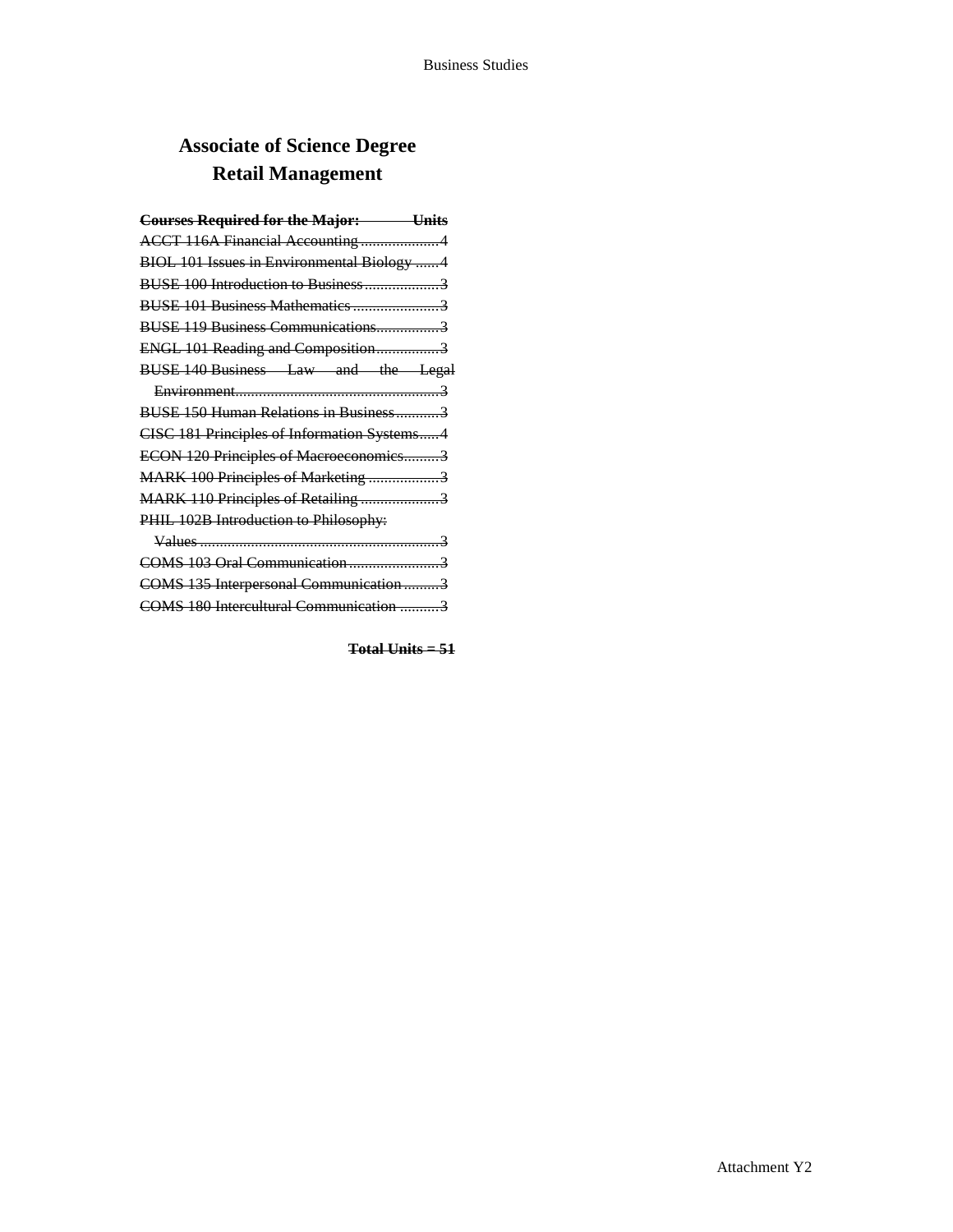# **Associate of Science Degree Retail Management**

| <b>Courses Required for the Major:</b> Units |
|----------------------------------------------|
| ACCT 116A Financial Accounting4              |
| BIOL 101 Issues in Environmental Biology 4   |
| BUSE 100 Introduction to Business3           |
| BUSE 101 Business Mathematics 3              |
| BUSE 119 Business Communications3            |
| ENGL 101 Reading and Composition3            |
| BUSE 140 Business Law and the Legal          |
|                                              |
| BUSE 150 Human Relations in Business3        |
| CISC 181 Principles of Information Systems4  |
| ECON 120 Principles of Macroeconomics3       |
| MARK 100 Principles of Marketing 3           |
| MARK 110 Principles of Retailing 3           |
| PHIL 102B Introduction to Philosophy:        |
|                                              |
| COMS 103 Oral Communication3                 |
| COMS 135 Interpersonal Communication3        |
| COMS 180 Intercultural Communication 3       |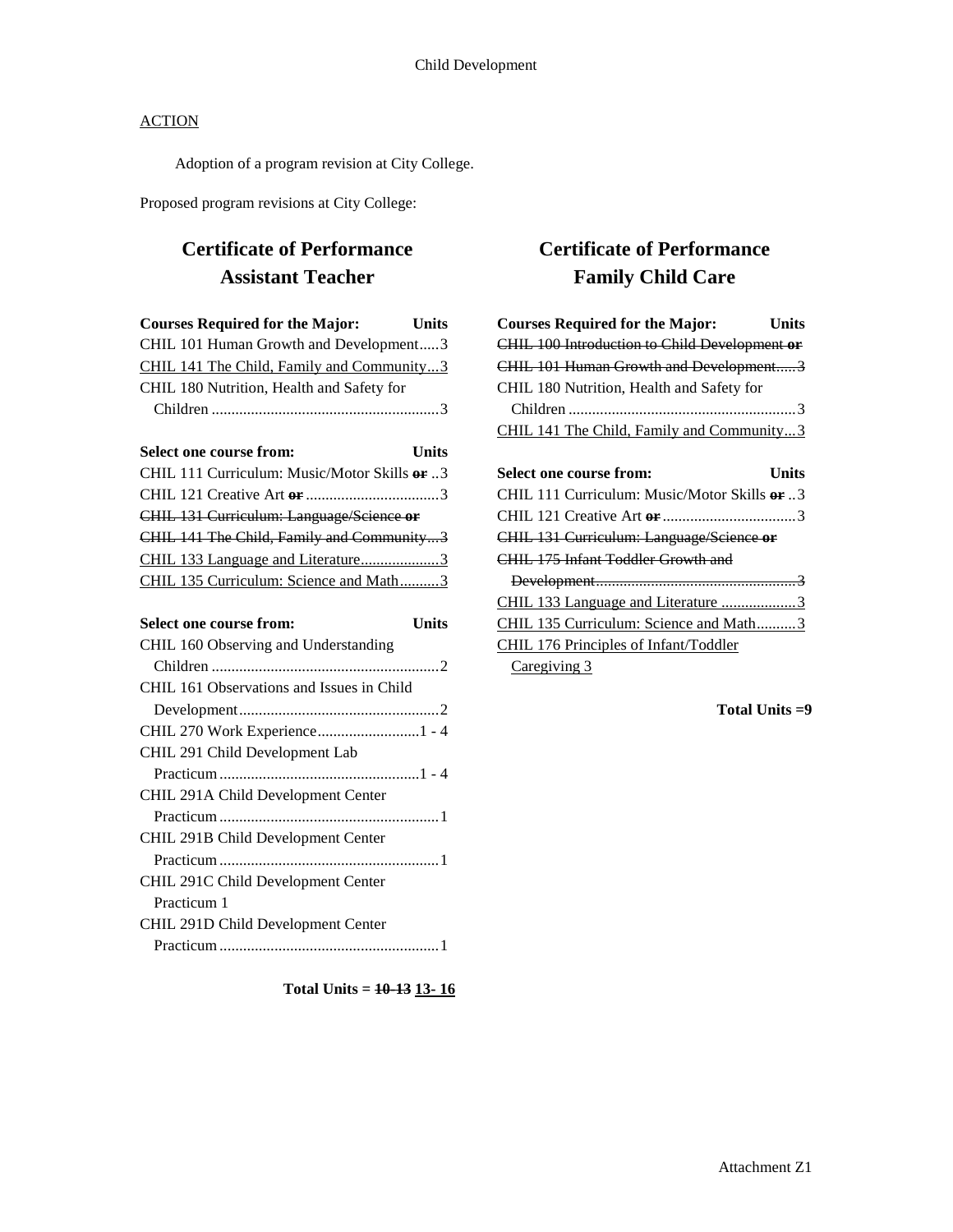Adoption of a program revision at City College.

Proposed program revisions at City College:

## **Certificate of Performance Assistant Teacher**

| <b>Courses Required for the Major:</b>                  | <b>Units</b> |
|---------------------------------------------------------|--------------|
| CHIL 101 Human Growth and Development3                  |              |
| CHIL 141 The Child, Family and Community3               |              |
| CHIL 180 Nutrition, Health and Safety for               |              |
|                                                         |              |
|                                                         |              |
| Select one course from:                                 | Units        |
| CHIL 111 Curriculum: Music/Motor Skills <del>or</del> 3 |              |
|                                                         |              |
| CHIL 131 Curriculum: Language/Science or                |              |
| <b>CHIL 141 The Child, Family and Community3</b>        |              |
| CHIL 133 Language and Literature3                       |              |
| CHIL 135 Curriculum: Science and Math3                  |              |
|                                                         |              |
| Select one course from:                                 | Units        |
| CHIL 160 Observing and Understanding                    |              |
|                                                         |              |
|                                                         |              |

| CHIL 161 Observations and Issues in Child |  |
|-------------------------------------------|--|
|                                           |  |
|                                           |  |
| CHIL 291 Child Development Lab            |  |
|                                           |  |
| CHIL 291A Child Development Center        |  |
|                                           |  |
| CHIL 291B Child Development Center        |  |
|                                           |  |
| CHIL 291C Child Development Center        |  |
| Practicum 1                               |  |
| CHIL 291D Child Development Center        |  |
|                                           |  |

**Total Units = 10-13 13- 16**

## **Certificate of Performance Family Child Care**

| <b>Courses Required for the Major:</b><br>Units |
|-------------------------------------------------|
| CHIL 100 Introduction to Child Development or   |
| CHIL 101 Human Growth and Development3          |
| CHIL 180 Nutrition, Health and Safety for       |
|                                                 |
| CHIL 141 The Child, Family and Community3       |
|                                                 |
| Select one course from:<br><b>Units</b>         |
| CHIL 111 Curriculum: Music/Motor Skills or 3    |
|                                                 |
| CHIL 131 Curriculum: Language/Science or        |
| CHIL, 175 Infant Toddler Growth and             |
|                                                 |
|                                                 |
| CHIL 135 Curriculum: Science and Math3          |
| CHIL 176 Principles of Infant/Toddler           |
| Caregiving 3                                    |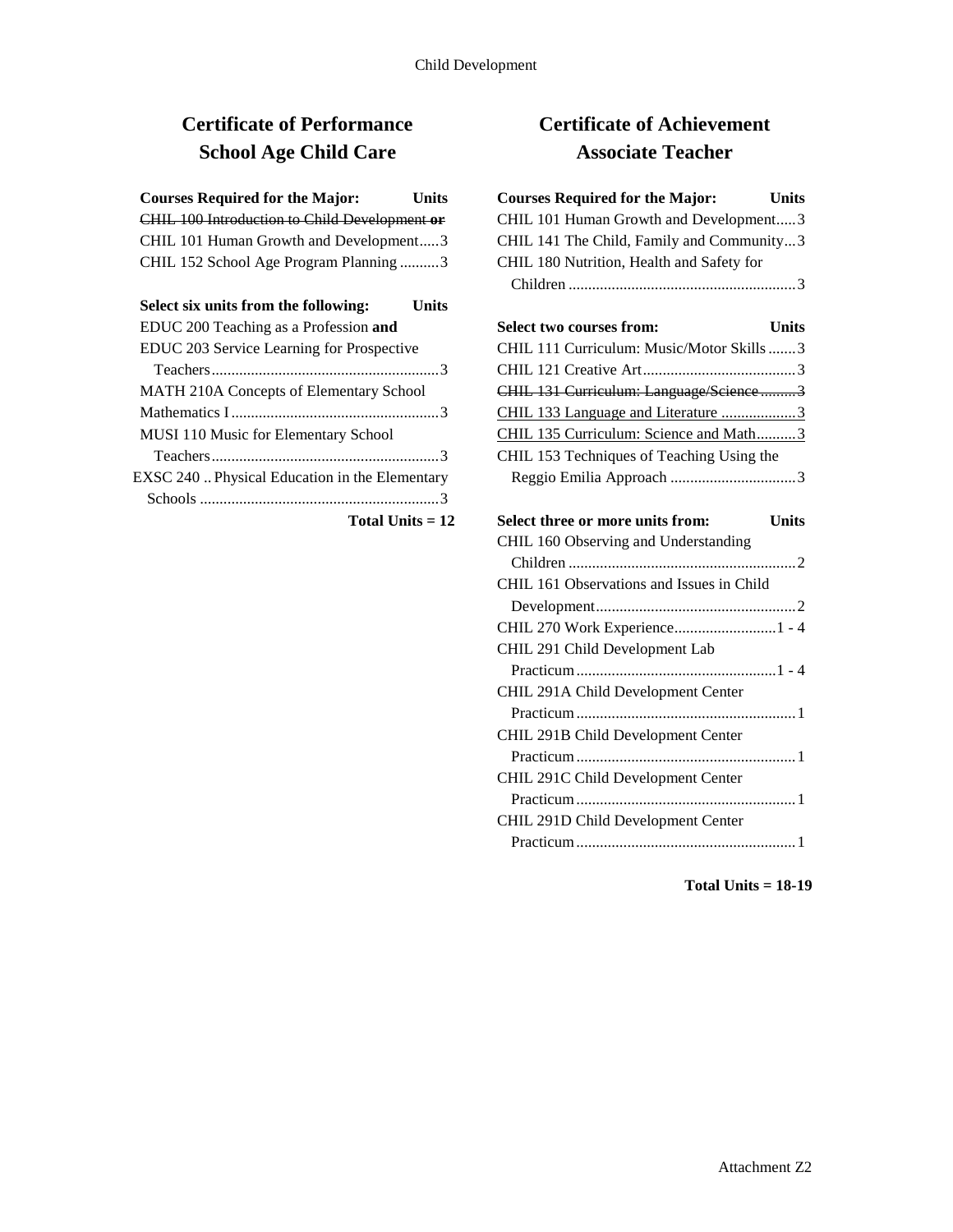# **Certificate of Performance School Age Child Care**

| <b>Courses Required for the Major:</b>        | <b>Units</b> |
|-----------------------------------------------|--------------|
| CHIL 100 Introduction to Child Development or |              |
| CHIL 101 Human Growth and Development3        |              |
| CHIL 152 School Age Program Planning 3        |              |
|                                               |              |
| Select six units from the following:          | Units        |
| EDUC 200 Teaching as a Profession and         |              |
|                                               |              |
| EDUC 203 Service Learning for Prospective     |              |
|                                               |              |

| <b>NEXTER 210A CONCEPTS OF EIGHNEMALY SCHOOL</b> |
|--------------------------------------------------|
|                                                  |
| MUSI 110 Music for Elementary School             |
|                                                  |
| EXSC 240  Physical Education in the Elementary   |
|                                                  |

#### **Total Units = 12**

## **Certificate of Achievement Associate Teacher**

## **Courses Required for the Major: Units** CHIL 101 Human Growth and Development.....3 CHIL 141 The Child, Family and Community...3 CHIL 180 Nutrition, Health and Safety for Children ..........................................................3 **Select two courses from: Units** CHIL 111 Curriculum: Music/Motor Skills.......3 CHIL 121 Creative Art.......................................3 CHIL 131 Curriculum: Language/Science .........3 CHIL 133 Language and Literature ...................3 CHIL 135 Curriculum: Science and Math..........3 CHIL 153 Techniques of Teaching Using the Reggio Emilia Approach ................................3 **Select three or more units from: Units** CHIL 160 Observing and Understanding Children ..........................................................2 CHIL 161 Observations and Issues in Child Development...................................................2 CHIL 270 Work Experience..........................1 - 4 CHIL 291 Child Development Lab Practicum...................................................1 - 4 CHIL 291A Child Development Center Practicum........................................................1 CHIL 291B Child Development Center Practicum........................................................1 CHIL 291C Child Development Center Practicum........................................................1 CHIL 291D Child Development Center

Practicum........................................................1

**Total Units = 18-19**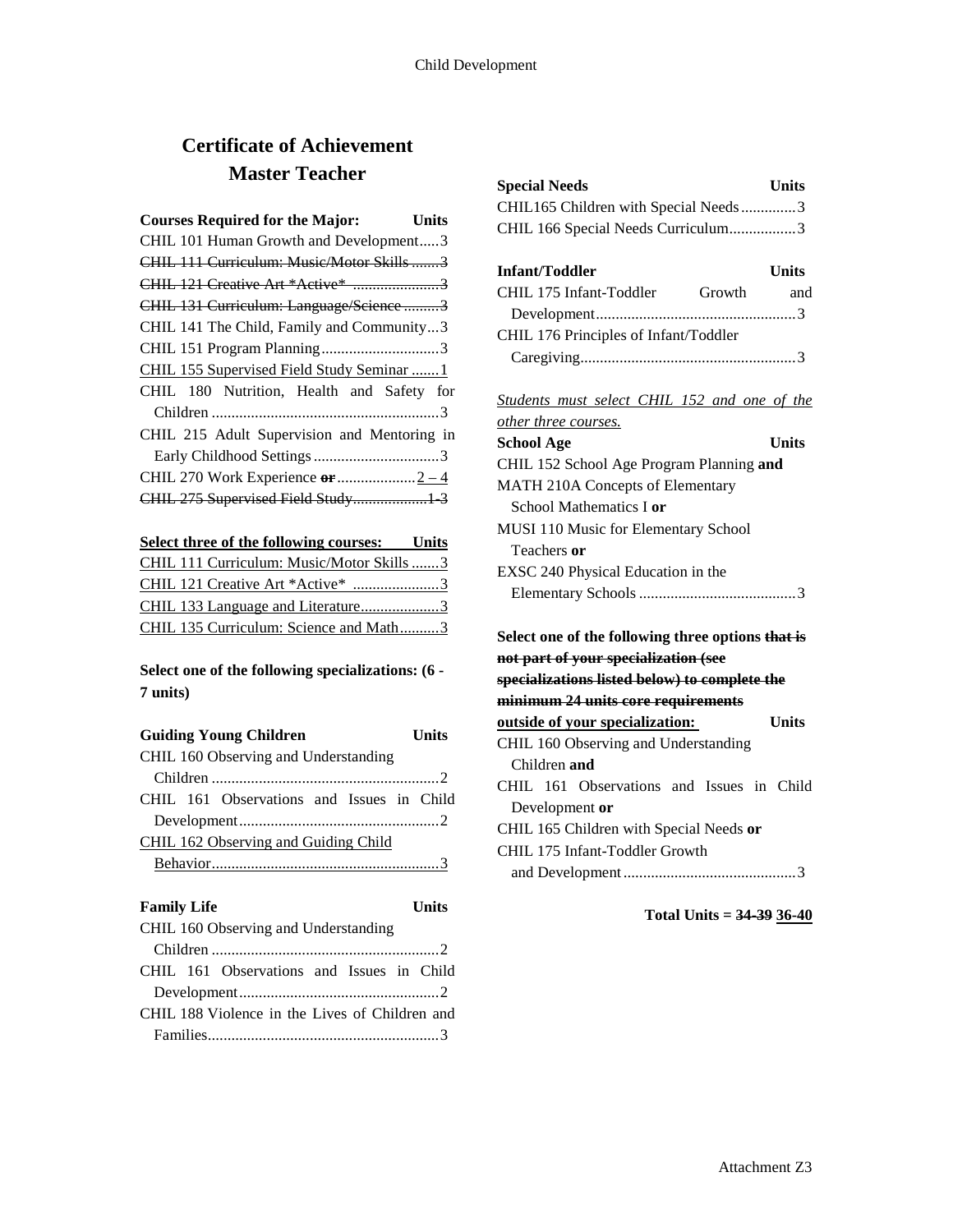## **Certificate of Achievement Master Teacher**

| <b>Courses Required for the Major:</b>      | Units |
|---------------------------------------------|-------|
| CHIL 101 Human Growth and Development3      |       |
| CHIL 111 Curriculum: Music/Motor Skills3    |       |
| CHIL 121 Creative Art *Active* 3            |       |
| CHIL 131 Curriculum: Language/Science3      |       |
| CHIL 141 The Child, Family and Community3   |       |
|                                             |       |
| CHIL 155 Supervised Field Study Seminar  1  |       |
| CHIL 180 Nutrition, Health and Safety for   |       |
|                                             |       |
| CHIL 215 Adult Supervision and Mentoring in |       |
|                                             |       |
|                                             |       |
| CHIL 275 Supervised Field Study 3           |       |
|                                             |       |

| Select three of the following courses: Units |  |
|----------------------------------------------|--|
| CHIL 111 Curriculum: Music/Motor Skills 3    |  |
| CHIL 121 Creative Art *Active* 3             |  |
|                                              |  |
| CHIL 135 Curriculum: Science and Math3       |  |

## **Select one of the following specializations: (6 - 7 units)**

| <b>Guiding Young Children</b>             | <b>Units</b> |
|-------------------------------------------|--------------|
| CHIL 160 Observing and Understanding      |              |
|                                           |              |
| CHIL 161 Observations and Issues in Child |              |
|                                           |              |
| CHIL 162 Observing and Guiding Child      |              |
|                                           |              |

| <b>Family Life</b>                             | <b>Units</b> |
|------------------------------------------------|--------------|
| CHIL 160 Observing and Understanding           |              |
|                                                |              |
| CHIL 161 Observations and Issues in Child      |              |
|                                                |              |
| CHIL 188 Violence in the Lives of Children and |              |
|                                                |              |

| <b>Special Needs</b>                 | <b>Units</b> |
|--------------------------------------|--------------|
| CHIL165 Children with Special Needs3 |              |
| CHIL 166 Special Needs Curriculum3   |              |

| <b>Infant/Toddler</b>                 |        | <b>Units</b> |
|---------------------------------------|--------|--------------|
| CHIL 175 Infant-Toddler               | Growth | and          |
|                                       |        |              |
| CHIL 176 Principles of Infant/Toddler |        |              |
|                                       |        |              |

*Students must select CHIL 152 and one of the* 

| <i>other three courses.</i>                                                               |  |
|-------------------------------------------------------------------------------------------|--|
| School Age<br>Units                                                                       |  |
| CHIL 152 School Age Program Planning and                                                  |  |
| <b>MATH 210A Concepts of Elementary</b>                                                   |  |
| School Mathematics I <b>or</b>                                                            |  |
| <b>MUSI</b> 110 Music for Elementary School                                               |  |
| Teachers <b>or</b>                                                                        |  |
| EXSC 240 Physical Education in the                                                        |  |
|                                                                                           |  |
| Select one of the following three options that is<br>not part of your specialization (see |  |

**specializations listed below) to complete the minimum 24 units core requirements** 

| <del>mınımum 24 units core requirements</del> |       |
|-----------------------------------------------|-------|
| outside of your specialization:               | Units |
| CHIL 160 Observing and Understanding          |       |
| Children and                                  |       |
| CHIL 161 Observations and Issues in Child     |       |
| Development or                                |       |
| CHIL 165 Children with Special Needs or       |       |
| CHIL 175 Infant-Toddler Growth                |       |
|                                               |       |
|                                               |       |

**Total Units = 34-39 36-40**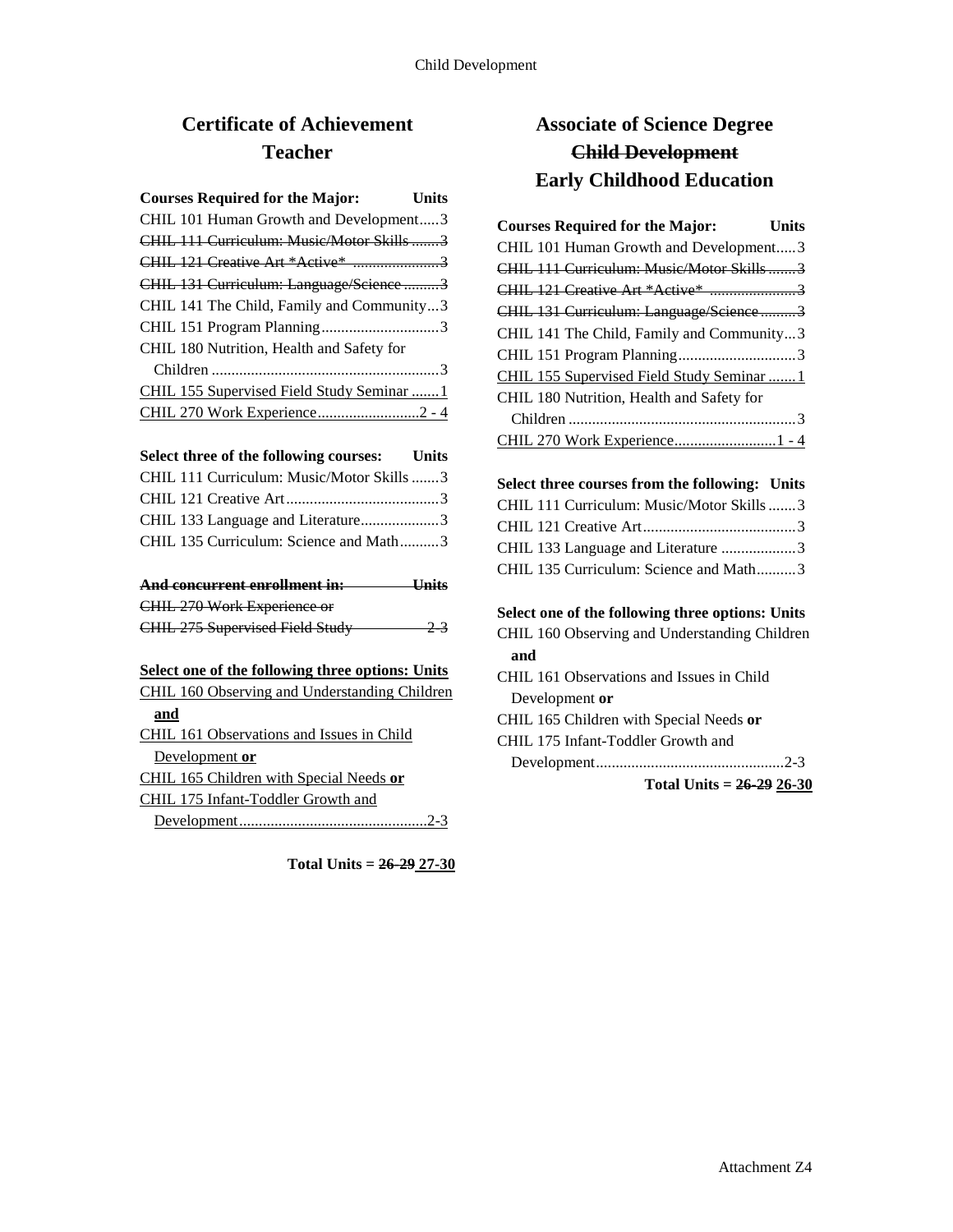## **Certificate of Achievement Teacher**

| <b>Courses Required for the Major:</b>    | <b>Units</b> |
|-------------------------------------------|--------------|
| CHIL 101 Human Growth and Development3    |              |
| CHIL 111 Curriculum: Music/Motor Skills3  |              |
| CHIL 121 Creative Art *Active* 3          |              |
| CHIL 131 Curriculum: Language/Science 3   |              |
| CHIL 141 The Child, Family and Community3 |              |
|                                           |              |
| CHIL 180 Nutrition, Health and Safety for |              |
|                                           |              |
| CHIL 155 Supervised Field Study Seminar 1 |              |
| CHIL 270 Work Experience2 - 4             |              |

| Select three of the following courses: | Units |
|----------------------------------------|-------|
|----------------------------------------|-------|

| CHIL 111 Curriculum: Music/Motor Skills3 |  |
|------------------------------------------|--|
|                                          |  |
| CHIL 133 Language and Literature3        |  |
| CHIL 135 Curriculum: Science and Math3   |  |

| And concurrent enrollment in:   | <b>Units</b> |
|---------------------------------|--------------|
| CHIL 270 Work Experience or     |              |
| CHIL 275 Supervised Field Study | $-2^{3}$     |

#### **Select one of the following three options: Units**

| <b>CHIL 160 Observing and Understanding Children</b> |
|------------------------------------------------------|
| and                                                  |
| CHIL 161 Observations and Issues in Child            |
| Development or                                       |
| CHIL 165 Children with Special Needs or              |
| CHIL 175 Infant-Toddler Growth and                   |
|                                                      |

**Total Units = 26-29 27-30**

## **Associate of Science Degree Child Development Early Childhood Education**

| <b>Courses Required for the Major:</b>     | Units |
|--------------------------------------------|-------|
| CHIL 101 Human Growth and Development3     |       |
| CHIL 111 Curriculum: Music/Motor Skills3   |       |
| <b>CHIL 121 Creative Art *Active * 3</b>   |       |
| CHIL 131 Curriculum: Language/Science3     |       |
| CHIL 141 The Child, Family and Community3  |       |
|                                            |       |
| CHIL 155 Supervised Field Study Seminar  1 |       |
| CHIL 180 Nutrition, Health and Safety for  |       |
|                                            |       |
| CHIL 270 Work Experience1 - 4              |       |

## **Select three courses from the following: Units** CHIL 111 Curriculum: Music/Motor Skills.......3 CHIL 121 Creative Art.......................................3 CHIL 133 Language and Literature ...................3 CHIL 135 Curriculum: Science and Math..........3

**Select one of the following three options: Units** CHIL 160 Observing and Understanding Children **and**  CHIL 161 Observations and Issues in Child Development **or** CHIL 165 Children with Special Needs **or** CHIL 175 Infant-Toddler Growth and Development................................................2-3

**Total Units = 26-29 26-30**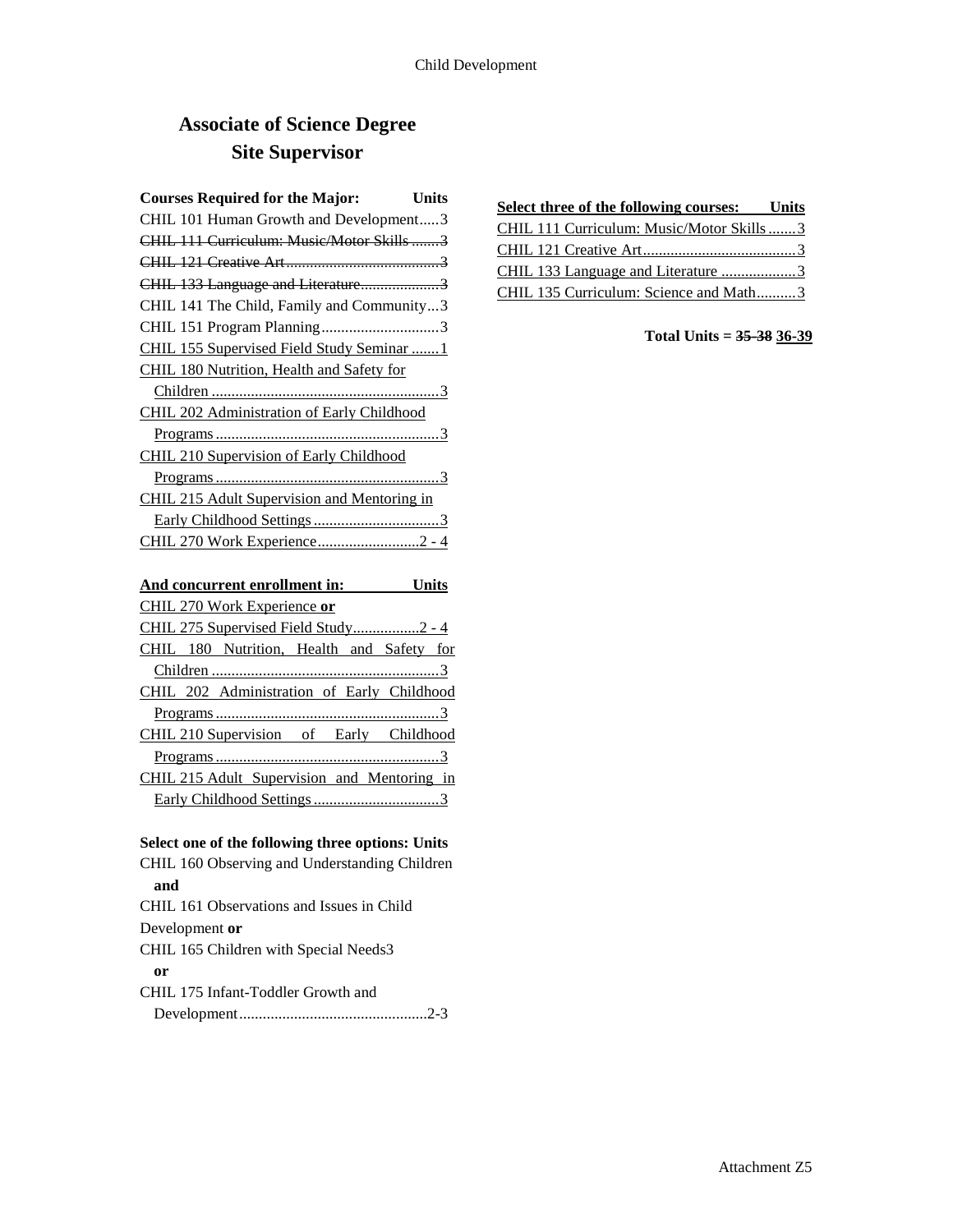# **Associate of Science Degree Site Supervisor**

| <b>Courses Required for the Major:</b> Units |  |
|----------------------------------------------|--|
| CHIL 101 Human Growth and Development3       |  |
| CHIL 111 Curriculum: Music/Motor Skills3     |  |
|                                              |  |
| CHIL 133 Language and Literature3            |  |
| CHIL 141 The Child, Family and Community3    |  |
| CHIL 151 Program Planning3                   |  |
| CHIL 155 Supervised Field Study Seminar  1   |  |
| CHIL 180 Nutrition, Health and Safety for    |  |
|                                              |  |
| CHIL 202 Administration of Early Childhood   |  |
|                                              |  |
| CHIL 210 Supervision of Early Childhood      |  |
|                                              |  |
| CHIL 215 Adult Supervision and Mentoring in  |  |
|                                              |  |
| CHIL 270 Work Experience2 - 4                |  |
| And concurrent enrollment in: Units          |  |
| CHIL 270 Work Experience or                  |  |
| CHIL 275 Supervised Field Study2 - 4         |  |
| CHIL 180 Nutrition, Health and Safety for    |  |
|                                              |  |
| CHIL 202 Administration of Early Childhood   |  |
|                                              |  |
| CHIL 210 Supervision of Early Childhood      |  |
|                                              |  |
| CHIL 215 Adult Supervision and Mentoring in  |  |
|                                              |  |

### **Select one of the following three options: Units**

CHIL 160 Observing and Understanding Children **and** CHIL 161 Observations and Issues in Child Development **or** CHIL 165 Children with Special Needs3 **or**  CHIL 175 Infant-Toddler Growth and Development................................................2-3

| <b>Select three of the following courses:</b> Units |  |
|-----------------------------------------------------|--|
| CHIL 111 Curriculum: Music/Motor Skills3            |  |
|                                                     |  |
| CHIL 133 Language and Literature 3                  |  |
| CHIL 135 Curriculum: Science and Math3              |  |

### **Total Units = 35-38 36-39**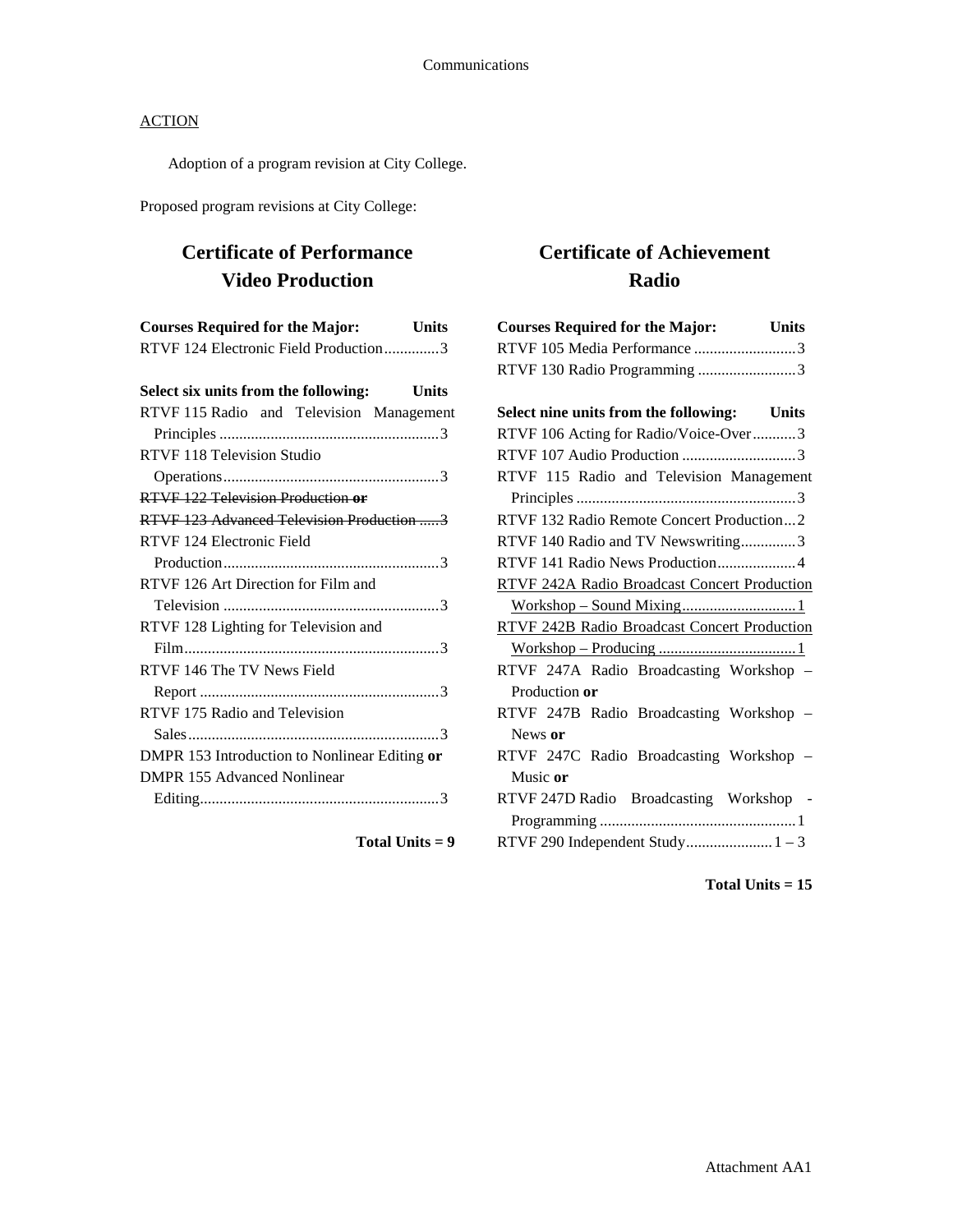Adoption of a program revision at City College.

Proposed program revisions at City College:

## **Certificate of Performance Video Production**

| <b>Courses Required for the Major:</b>               | <b>Units</b> |
|------------------------------------------------------|--------------|
| RTVF 124 Electronic Field Production3                |              |
| Select six units from the following:<br><b>Units</b> |              |
| RTVF 115 Radio and Television Management             |              |
|                                                      |              |
| <b>RTVF 118 Television Studio</b>                    |              |
|                                                      |              |
| RTVF 122 Television Production or                    |              |
| RTVF 123 Advanced Television Production  3           |              |
| RTVF 124 Electronic Field                            |              |
|                                                      |              |
| RTVF 126 Art Direction for Film and                  |              |
|                                                      |              |
| RTVF 128 Lighting for Television and                 |              |
|                                                      |              |
| RTVF 146 The TV News Field                           |              |
|                                                      |              |
| RTVF 175 Radio and Television                        |              |
|                                                      |              |
| DMPR 153 Introduction to Nonlinear Editing or        |              |
| DMPR 155 Advanced Nonlinear                          |              |
|                                                      |              |

**Total Units = 9**

# **Certificate of Achievement Radio**

| <b>Courses Required for the Major:</b> Units |  |
|----------------------------------------------|--|
| RTVF 105 Media Performance 3                 |  |
| RTVF 130 Radio Programming 3                 |  |
|                                              |  |
| Select nine units from the following: Units  |  |
| RTVF 106 Acting for Radio/Voice-Over3        |  |
| RTVF 107 Audio Production 3                  |  |
| RTVF 115 Radio and Television Management     |  |
|                                              |  |
| RTVF 132 Radio Remote Concert Production2    |  |
| RTVF 140 Radio and TV Newswriting3           |  |
| RTVF 141 Radio News Production4              |  |
| RTVF 242A Radio Broadcast Concert Production |  |
|                                              |  |
| RTVF 242B Radio Broadcast Concert Production |  |
|                                              |  |
| RTVF 247A Radio Broadcasting Workshop -      |  |
| Production or                                |  |
| RTVF 247B Radio Broadcasting Workshop -      |  |
| News or                                      |  |
| RTVF 247C Radio Broadcasting Workshop -      |  |
| Music or                                     |  |
| RTVF 247D Radio Broadcasting Workshop -      |  |
|                                              |  |
|                                              |  |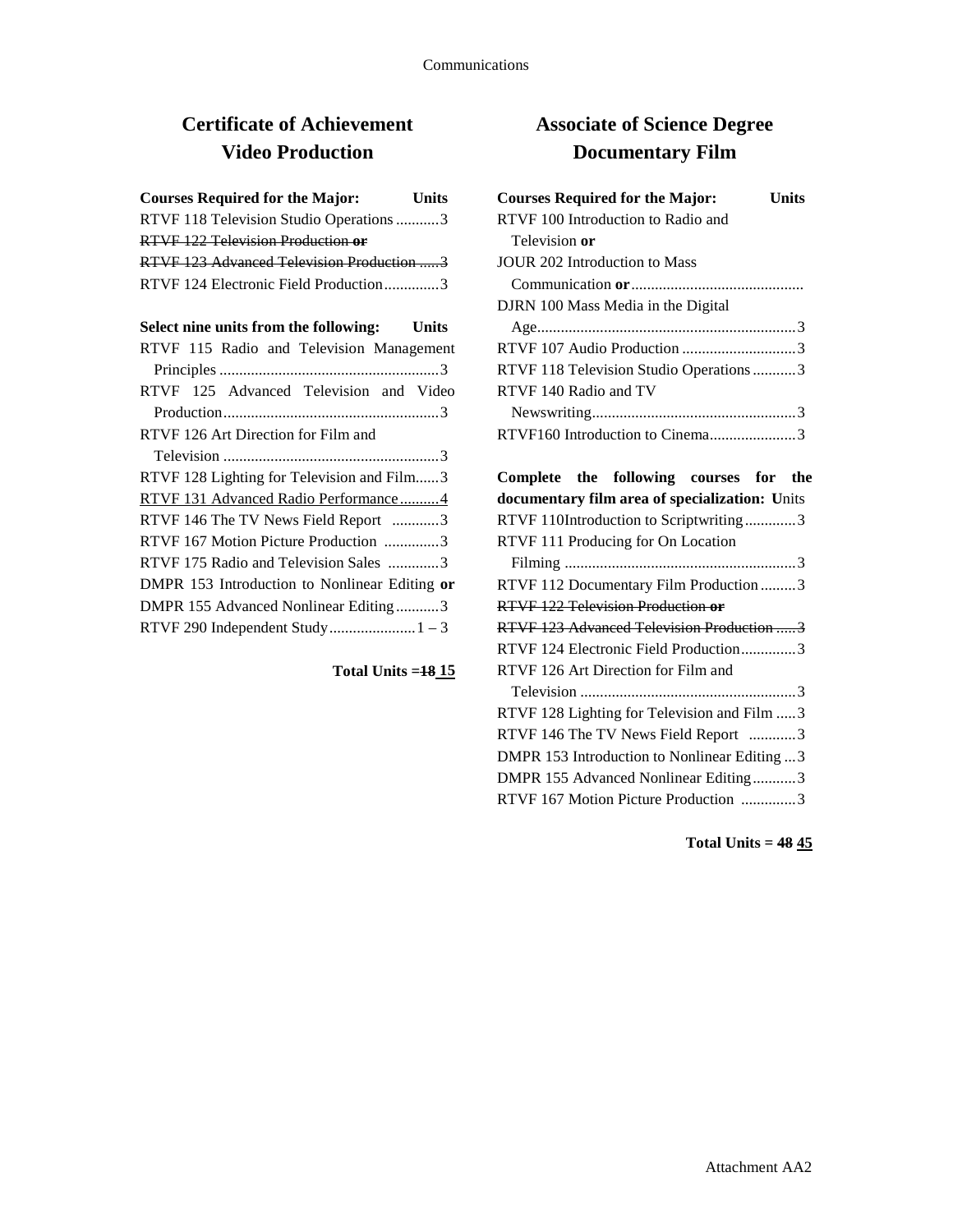# **Certificate of Achievement Video Production**

| <b>Courses Required for the Major:</b>    | <b>Units</b> |
|-------------------------------------------|--------------|
| RTVF 118 Television Studio Operations 3   |              |
| RTVF 122 Television Production or         |              |
| RTVF 123 Advanced Television Production 3 |              |
| RTVF 124 Electronic Field Production3     |              |

| Select nine units from the following:         | Units |
|-----------------------------------------------|-------|
| RTVF 115 Radio and Television Management      |       |
|                                               |       |
| RTVF 125 Advanced Television and Video        |       |
|                                               |       |
| RTVF 126 Art Direction for Film and           |       |
|                                               |       |
| RTVF 128 Lighting for Television and Film3    |       |
| RTVF 131 Advanced Radio Performance4          |       |
| RTVF 146 The TV News Field Report 3           |       |
| RTVF 167 Motion Picture Production 3          |       |
| RTVF 175 Radio and Television Sales 3         |       |
| DMPR 153 Introduction to Nonlinear Editing or |       |
| DMPR 155 Advanced Nonlinear Editing3          |       |
|                                               |       |

### **Total Units =18 15**

# **Associate of Science Degree Documentary Film**

| <b>Courses Required for the Major:</b>  | Units |
|-----------------------------------------|-------|
| RTVF 100 Introduction to Radio and      |       |
| Television or                           |       |
| JOUR 202 Introduction to Mass           |       |
|                                         |       |
| DJRN 100 Mass Media in the Digital      |       |
|                                         |       |
| RTVF 107 Audio Production 3             |       |
| RTVF 118 Television Studio Operations 3 |       |
| RTVF 140 Radio and TV                   |       |
|                                         |       |
| RTVF160 Introduction to Cinema3         |       |

| Complete the following courses for the         |  |  |  |
|------------------------------------------------|--|--|--|
| documentary film area of specialization: Units |  |  |  |
| RTVF 110Introduction to Scriptwriting3         |  |  |  |
| RTVF 111 Producing for On Location             |  |  |  |
|                                                |  |  |  |
| RTVF 112 Documentary Film Production  3        |  |  |  |
| RTVF 122 Television Production or              |  |  |  |
| RTVF 123 Advanced Television Production 3      |  |  |  |
| RTVF 124 Electronic Field Production3          |  |  |  |
| RTVF 126 Art Direction for Film and            |  |  |  |
|                                                |  |  |  |
| RTVF 128 Lighting for Television and Film  3   |  |  |  |
| RTVF 146 The TV News Field Report 3            |  |  |  |
| DMPR 153 Introduction to Nonlinear Editing  3  |  |  |  |
| DMPR 155 Advanced Nonlinear Editing3           |  |  |  |
| RTVF 167 Motion Picture Production 3           |  |  |  |

**Total Units = 48 45**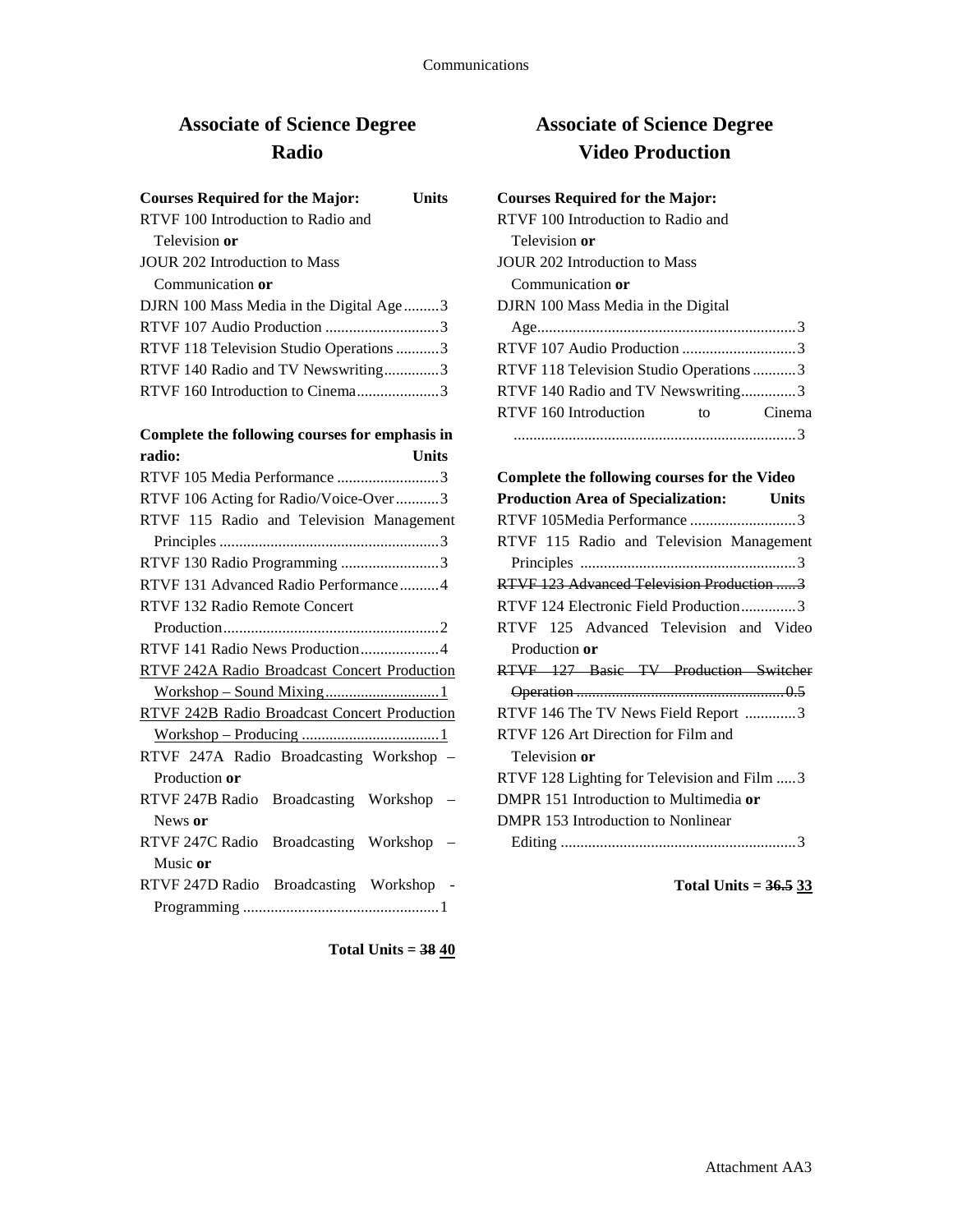## **Associate of Science Degree Radio**

| <b>Courses Required for the Major:</b>  | Units |
|-----------------------------------------|-------|
| RTVF 100 Introduction to Radio and      |       |
| Television or                           |       |
| JOUR 202 Introduction to Mass           |       |
| Communication or                        |       |
| DJRN 100 Mass Media in the Digital Age3 |       |
| RTVF 107 Audio Production 3             |       |
| RTVF 118 Television Studio Operations 3 |       |
| RTVF 140 Radio and TV Newswriting3      |       |
| RTVF 160 Introduction to Cinema3        |       |

# **Complete the following courses for emphasis in**

| radio:<br><b>Units</b>                              |
|-----------------------------------------------------|
| RTVF 105 Media Performance 3                        |
| RTVF 106 Acting for Radio/Voice-Over3               |
| RTVF 115 Radio and Television Management            |
|                                                     |
| RTVF 130 Radio Programming 3                        |
| RTVF 131 Advanced Radio Performance4                |
| RTVF 132 Radio Remote Concert                       |
|                                                     |
| RTVF 141 Radio News Production4                     |
| <b>RTVF 242A Radio Broadcast Concert Production</b> |
| Workshop - Sound Mixing1                            |
| <b>RTVF 242B Radio Broadcast Concert Production</b> |
|                                                     |
| RTVF 247A Radio Broadcasting Workshop -             |
| Production or                                       |
| RTVF 247B Radio Broadcasting Workshop               |
| News or                                             |
| RTVF 247C Radio Broadcasting Workshop -             |
| Music or                                            |
| RTVF 247D Radio Broadcasting Workshop -             |
|                                                     |

**Associate of Science Degree Video Production**

### **Courses Required for the Major:**

| RTVF 100 Introduction to Radio and      |        |
|-----------------------------------------|--------|
| Television or                           |        |
| JOUR 202 Introduction to Mass           |        |
| Communication or                        |        |
| DJRN 100 Mass Media in the Digital      |        |
|                                         |        |
|                                         |        |
| RTVF 118 Television Studio Operations 3 |        |
| RTVF 140 Radio and TV Newswriting3      |        |
| RTVF 160 Introduction<br>to to          | Cinema |
|                                         |        |

## **Complete the following courses for the Video Production Area of Specialization: Units** RTVF 105Media Performance ...........................3 RTVF 115 Radio and Television Management Principles .......................................................3 RTVF 123 Advanced Television Production .....3 RTVF 124 Electronic Field Production..............3 RTVF 125 Advanced Television and Video Production **or** RTVF 127 Basic TV Production Switcher Operation .....................................................0.5 RTVF 146 The TV News Field Report .............3 RTVF 126 Art Direction for Film and Television **or** RTVF 128 Lighting for Television and Film .....3 DMPR 151 Introduction to Multimedia **or** DMPR 153 Introduction to Nonlinear Editing ............................................................3

**Total Units = 36.5 33**

**Total Units = 38 40**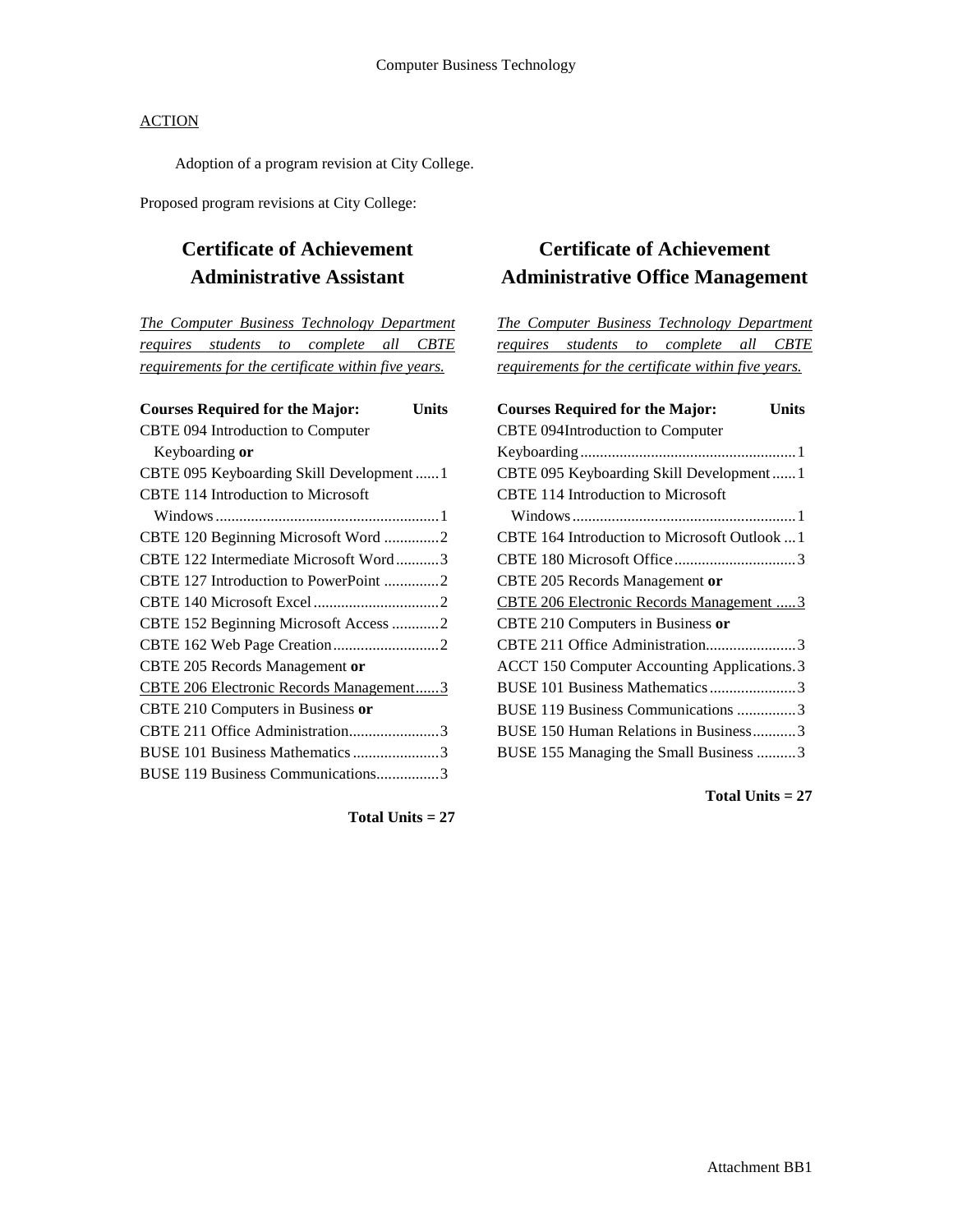Adoption of a program revision at City College.

Proposed program revisions at City College:

## **Certificate of Achievement Administrative Assistant**

*The Computer Business Technology Department requires students to complete all CBTE requirements for the certificate within five years.*

| <b>Courses Required for the Major:</b>    | Units |
|-------------------------------------------|-------|
| CBTE 094 Introduction to Computer         |       |
| Keyboarding or                            |       |
| CBTE 095 Keyboarding Skill Development  1 |       |
| CBTE 114 Introduction to Microsoft        |       |
|                                           |       |
| CBTE 120 Beginning Microsoft Word 2       |       |
| CBTE 122 Intermediate Microsoft Word3     |       |
| CBTE 127 Introduction to PowerPoint 2     |       |
|                                           |       |
| CBTE 152 Beginning Microsoft Access 2     |       |
|                                           |       |
| CBTE 205 Records Management or            |       |
| CBTE 206 Electronic Records Management3   |       |
| CBTE 210 Computers in Business or         |       |
| CBTE 211 Office Administration3           |       |
| BUSE 101 Business Mathematics 3           |       |
| BUSE 119 Business Communications3         |       |
|                                           |       |

## **Certificate of Achievement Administrative Office Management**

*The Computer Business Technology Department requires students to complete all CBTE requirements for the certificate within five years.*

| <b>Courses Required for the Major:</b><br><b>Units</b> |
|--------------------------------------------------------|
| CBTE 094Introduction to Computer                       |
|                                                        |
| CBTE 095 Keyboarding Skill Development1                |
| <b>CBTE 114 Introduction to Microsoft</b>              |
|                                                        |
| CBTE 164 Introduction to Microsoft Outlook  1          |
|                                                        |
| CBTE 205 Records Management or                         |
| CBTE 206 Electronic Records Management  3              |
| CBTE 210 Computers in Business or                      |
| CBTE 211 Office Administration3                        |
| ACCT 150 Computer Accounting Applications. 3           |
| BUSE 101 Business Mathematics3                         |
| BUSE 119 Business Communications 3                     |
| BUSE 150 Human Relations in Business3                  |
| BUSE 155 Managing the Small Business 3                 |

**Total Units = 27**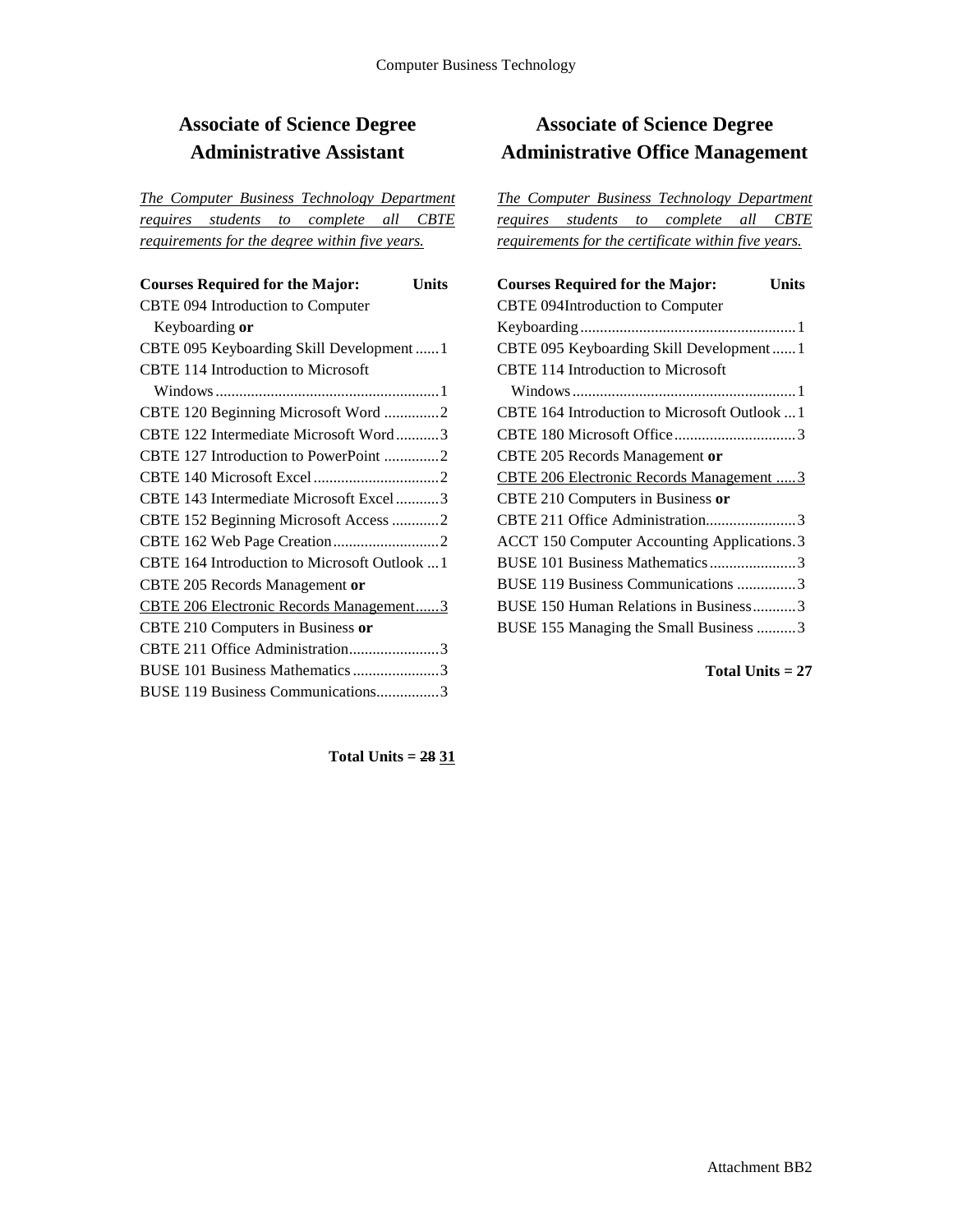## **Associate of Science Degree Administrative Assistant**

*The Computer Business Technology Department requires students to complete all CBTE requirements for the degree within five years.*

| <b>Courses Required for the Major:</b><br>Units |  |
|-------------------------------------------------|--|
| <b>CBTE 094 Introduction to Computer</b>        |  |
| Keyboarding or                                  |  |
| CBTE 095 Keyboarding Skill Development1         |  |
| <b>CBTE 114 Introduction to Microsoft</b>       |  |
|                                                 |  |
| CBTE 120 Beginning Microsoft Word 2             |  |
| CBTE 122 Intermediate Microsoft Word3           |  |
| CBTE 127 Introduction to PowerPoint 2           |  |
|                                                 |  |
| CBTE 143 Intermediate Microsoft Excel3          |  |
| CBTE 152 Beginning Microsoft Access 2           |  |
|                                                 |  |
| CBTE 164 Introduction to Microsoft Outlook  1   |  |
| CBTE 205 Records Management or                  |  |
| <b>CBTE 206 Electronic Records Management3</b>  |  |
| CBTE 210 Computers in Business or               |  |
| CBTE 211 Office Administration3                 |  |
| BUSE 101 Business Mathematics 3                 |  |
| BUSE 119 Business Communications3               |  |

## **Associate of Science Degree Administrative Office Management**

*The Computer Business Technology Department requires students to complete all CBTE requirements for the certificate within five years.*

| <b>Courses Required for the Major:</b><br>Units |
|-------------------------------------------------|
| CBTE 094Introduction to Computer                |
|                                                 |
| CBTE 095 Keyboarding Skill Development1         |
| <b>CBTE 114 Introduction to Microsoft</b>       |
|                                                 |
| CBTE 164 Introduction to Microsoft Outlook  1   |
|                                                 |
| CBTE 205 Records Management or                  |
| CBTE 206 Electronic Records Management  3       |
| CBTE 210 Computers in Business or               |
| CBTE 211 Office Administration3                 |
| ACCT 150 Computer Accounting Applications. 3    |
| BUSE 101 Business Mathematics3                  |
| BUSE 119 Business Communications 3              |
| BUSE 150 Human Relations in Business3           |
| BUSE 155 Managing the Small Business 3          |

**Total Units = 27**

**Total Units = 28 31**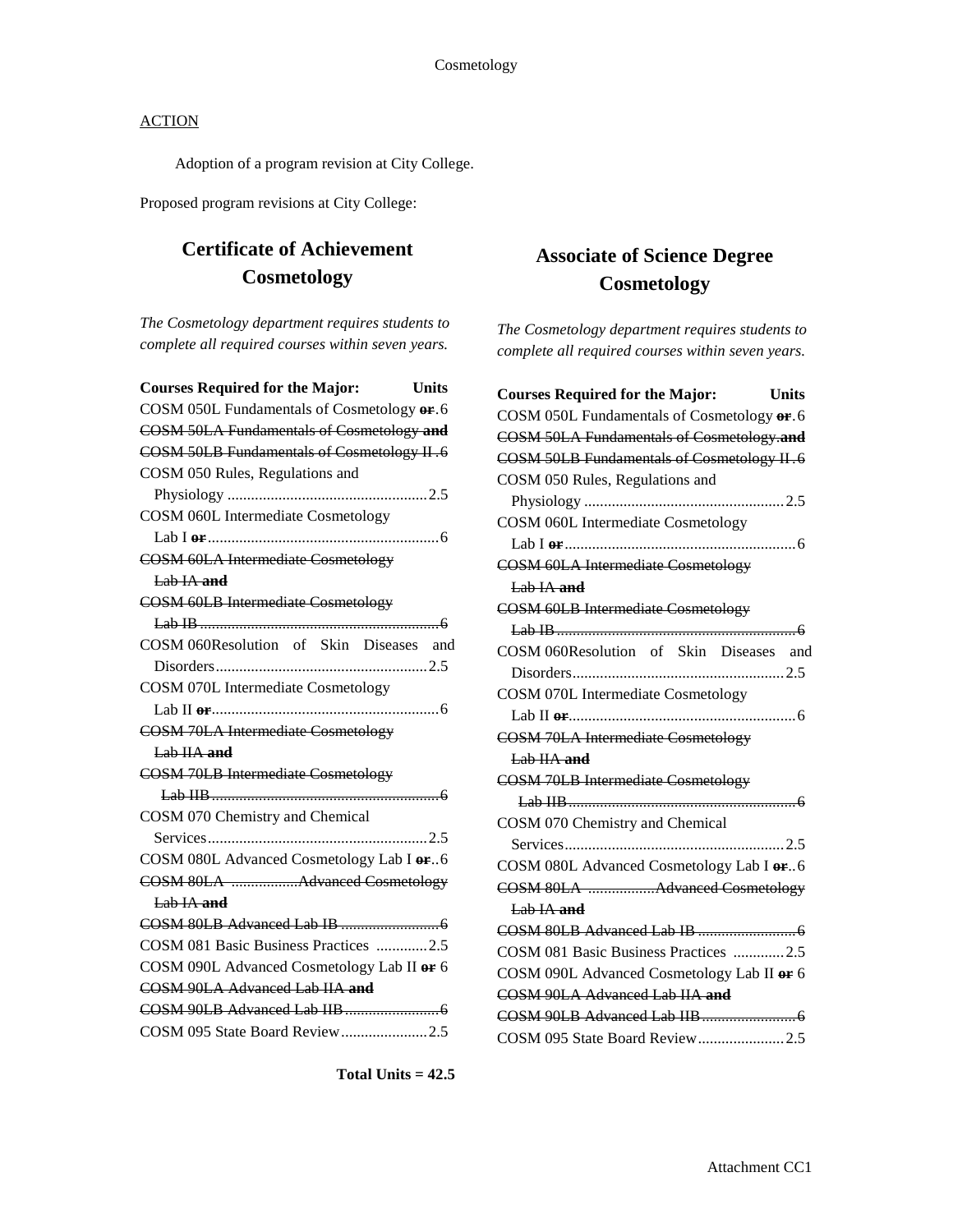Adoption of a program revision at City College.

Proposed program revisions at City College:

## **Certificate of Achievement Cosmetology**

*The Cosmetology department requires students to complete all required courses within seven years.*

| <b>Units</b><br><b>Courses Required for the Major:</b> |  |
|--------------------------------------------------------|--|
| COSM 050L Fundamentals of Cosmetology or .6            |  |
| <b>COSM 50LA Fundamentals of Cosmetology and</b>       |  |
| <b>COSM 50LB Fundamentals of Cosmetology II.6</b>      |  |
| COSM 050 Rules, Regulations and                        |  |
|                                                        |  |
| <b>COSM 060L Intermediate Cosmetology</b>              |  |
|                                                        |  |
| <b>COSM 60LA Intermediate Cosmetology</b>              |  |
| Lab $IA$ and                                           |  |
| <b>COSM 60LB Intermediate Cosmetology</b>              |  |
|                                                        |  |
| COSM 060Resolution of Skin Diseases and                |  |
|                                                        |  |
| <b>COSM 070L Intermediate Cosmetology</b>              |  |
|                                                        |  |
| <b>COSM 70LA Intermediate Cosmetology</b>              |  |
| <del>Lab IIA and</del>                                 |  |
| <b>COSM 70LB Intermediate Cosmetology</b>              |  |
|                                                        |  |
| COSM 070 Chemistry and Chemical                        |  |
|                                                        |  |
| COSM 080L Advanced Cosmetology Lab I or.6              |  |
| COSM 80LA Advanced Cosmetology                         |  |
| Lab IA and                                             |  |
|                                                        |  |
| COSM 081 Basic Business Practices 2.5                  |  |
| COSM 090L Advanced Cosmetology Lab II or 6             |  |
| COSM 90LA Advanced Lab IIA and                         |  |
|                                                        |  |
| COSM 095 State Board Review2.5                         |  |

## **Associate of Science Degree Cosmetology**

*The Cosmetology department requires students to complete all required courses within seven years.*

| <b>Courses Required for the Major:</b>            | <b>Units</b> |
|---------------------------------------------------|--------------|
| COSM 050L Fundamentals of Cosmetology or .6       |              |
| <b>COSM 50LA Fundamentals of Cosmetology.and</b>  |              |
| <b>COSM 50LB Fundamentals of Cosmetology II.6</b> |              |
| COSM 050 Rules, Regulations and                   |              |
|                                                   |              |
| <b>COSM 060L Intermediate Cosmetology</b>         |              |
|                                                   |              |
| <b>COSM 60LA Intermediate Cosmetology</b>         |              |
| $L$ ab $IA$ and                                   |              |
| <b>COSM 60LB Intermediate Cosmetology</b>         |              |
|                                                   |              |
| COSM 060Resolution of Skin Diseases and           |              |
|                                                   |              |
| <b>COSM 070L Intermediate Cosmetology</b>         |              |
|                                                   |              |
| <b>COSM 70LA Intermediate Cosmetology</b>         |              |
| Lab IIA and                                       |              |
| <b>COSM 70LB Intermediate Cosmetology</b>         |              |
|                                                   |              |
| COSM 070 Chemistry and Chemical                   |              |
|                                                   |              |
| COSM 080L Advanced Cosmetology Lab I or. 6        |              |
| COSM 80LA Advanced Cosmetology                    |              |
| Lab IA and                                        |              |
|                                                   |              |
| COSM 081 Basic Business Practices 2.5             |              |
| COSM 090L Advanced Cosmetology Lab II or 6        |              |
| COSM 90LA Advanced Lab IIA and                    |              |
|                                                   |              |
| COSM 095 State Board Review2.5                    |              |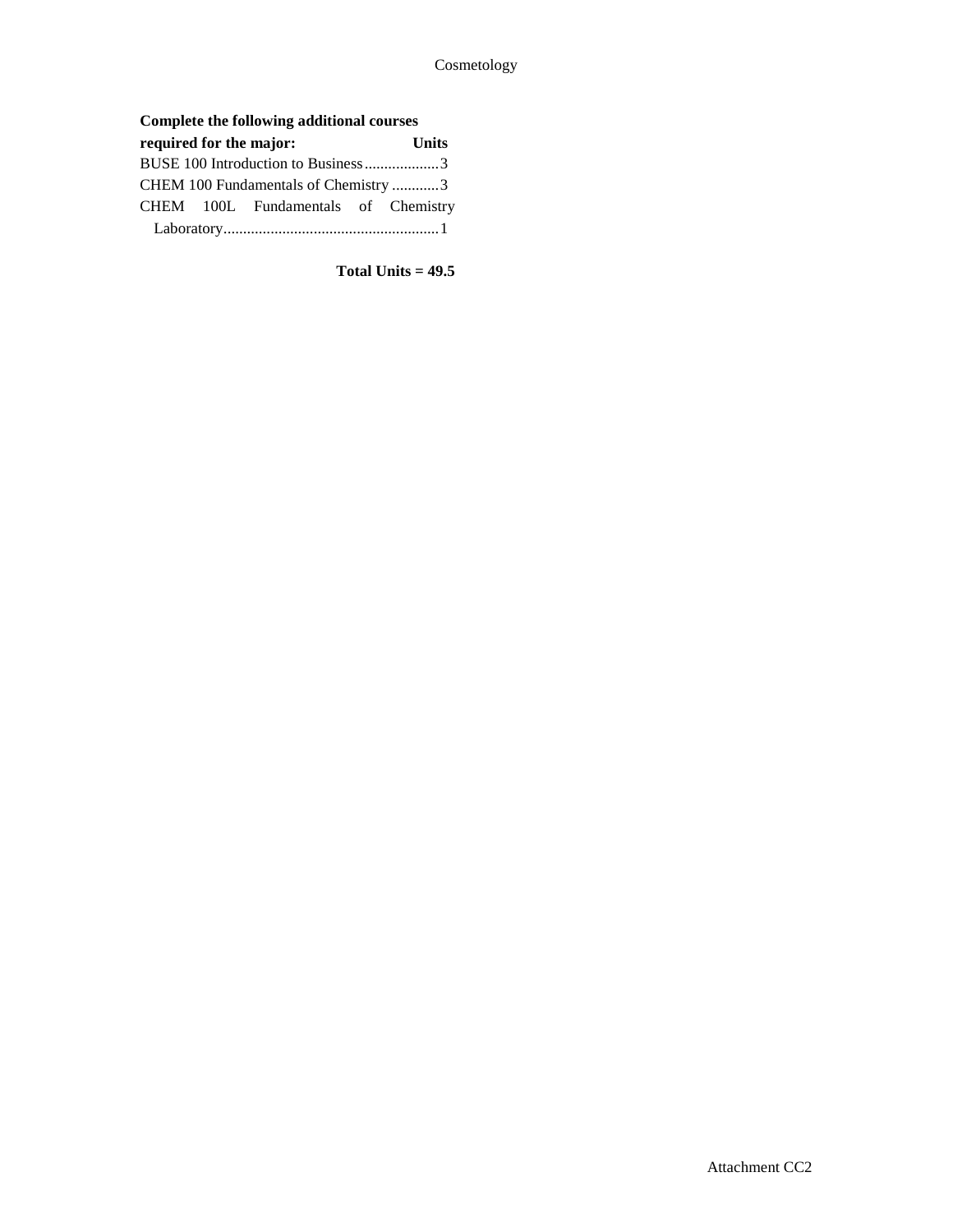## **Complete the following additional courses**

| required for the major:            |  |                                      |  | <b>Units</b> |
|------------------------------------|--|--------------------------------------|--|--------------|
| BUSE 100 Introduction to Business3 |  |                                      |  |              |
|                                    |  | CHEM 100 Fundamentals of Chemistry 3 |  |              |
|                                    |  | CHEM 100L Fundamentals of Chemistry  |  |              |
|                                    |  |                                      |  |              |

**Total Units = 49.5**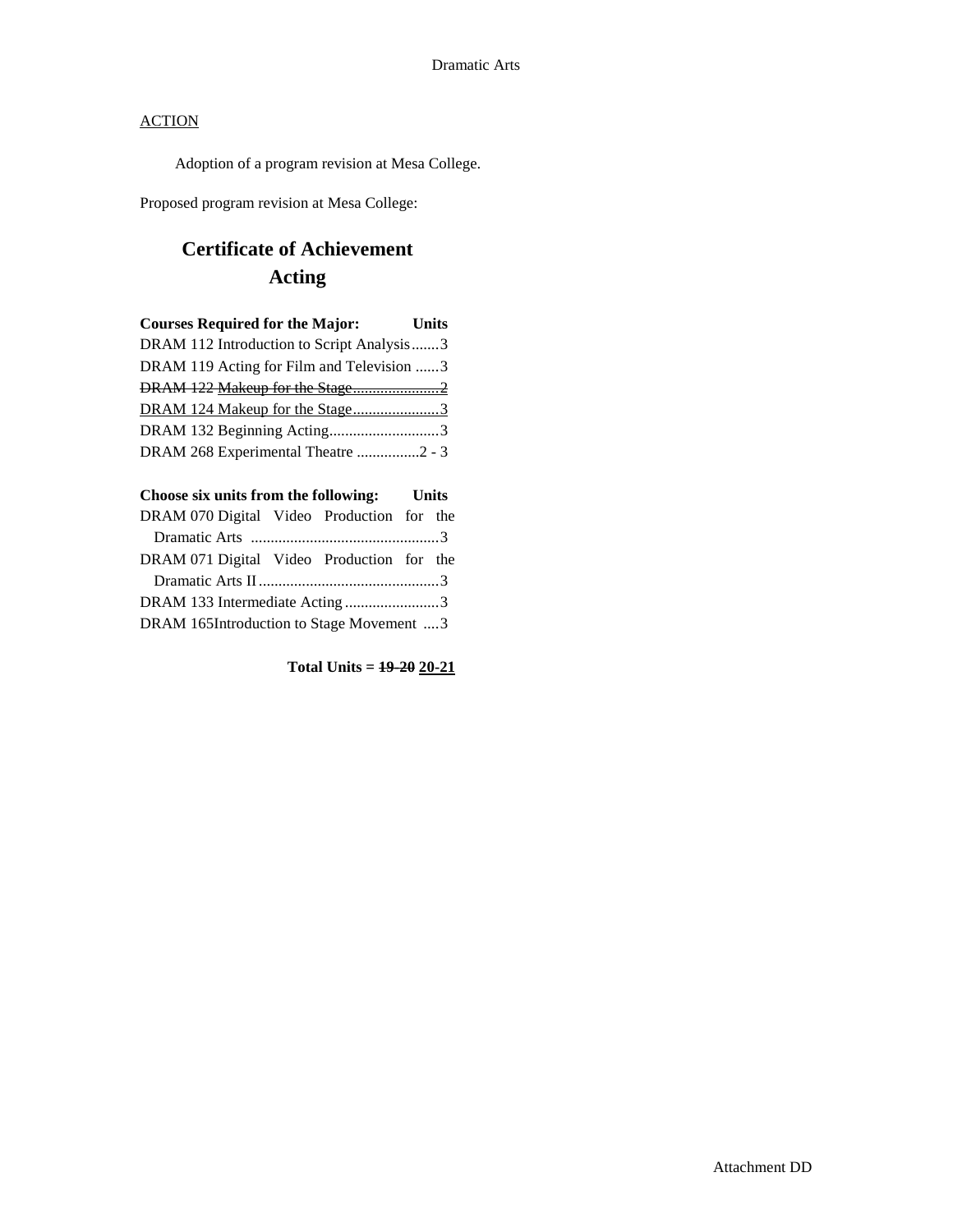Adoption of a program revision at Mesa College.

Proposed program revision at Mesa College:

# **Certificate of Achievement Acting**

| <b>Courses Required for the Major:</b>    | <b>Units</b> |
|-------------------------------------------|--------------|
| DRAM 112 Introduction to Script Analysis3 |              |
| DRAM 119 Acting for Film and Television 3 |              |
| DRAM 122 Makeup for the Stage2            |              |
|                                           |              |
| DRAM 132 Beginning Acting3                |              |
| DRAM 268 Experimental Theatre 2 - 3       |              |

| Choose six units from the following: Units |  |  |  |  |
|--------------------------------------------|--|--|--|--|
| DRAM 070 Digital Video Production for the  |  |  |  |  |
|                                            |  |  |  |  |
| DRAM 071 Digital Video Production for the  |  |  |  |  |
|                                            |  |  |  |  |
| DRAM 133 Intermediate Acting3              |  |  |  |  |
| DRAM 165Introduction to Stage Movement 3   |  |  |  |  |

**Total Units = 19-20 20-21**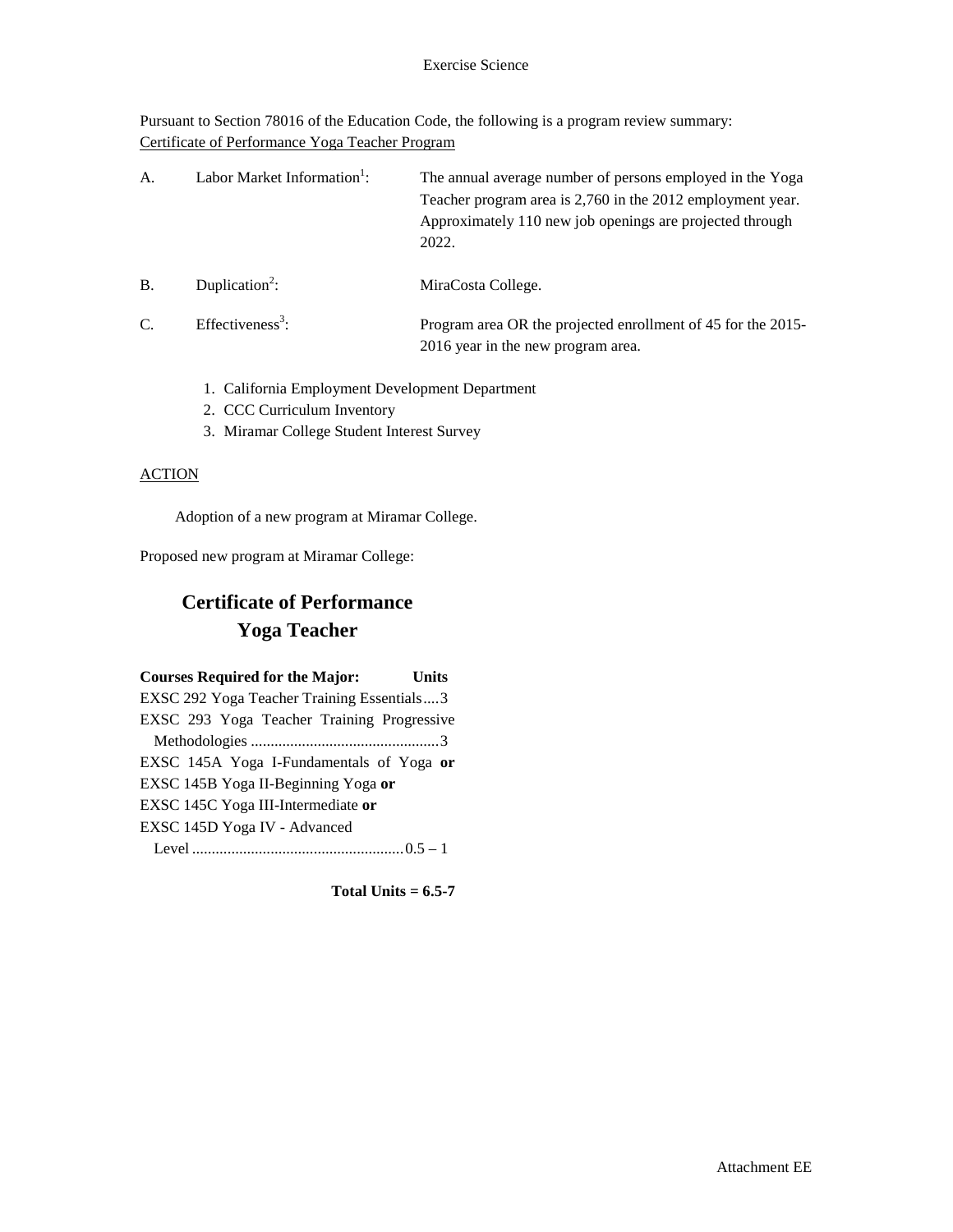Pursuant to Section 78016 of the Education Code, the following is a program review summary: Certificate of Performance Yoga Teacher Program

| A. | Labor Market Information <sup>1</sup> : | The annual average number of persons employed in the Yoga<br>Teacher program area is 2,760 in the 2012 employment year.<br>Approximately 110 new job openings are projected through<br>2022. |
|----|-----------------------------------------|----------------------------------------------------------------------------------------------------------------------------------------------------------------------------------------------|
| B. | Duplication <sup>2</sup> :              | MiraCosta College.                                                                                                                                                                           |
| C. | Effectiveness <sup>3</sup> :            | Program area OR the projected enrollment of 45 for the 2015-<br>2016 year in the new program area.                                                                                           |

- 1. California Employment Development Department
- 2. CCC Curriculum Inventory
- 3. Miramar College Student Interest Survey

### **ACTION**

Adoption of a new program at Miramar College.

Proposed new program at Miramar College:

## **Certificate of Performance Yoga Teacher**

| <b>Courses Required for the Major:</b><br>Units |  |
|-------------------------------------------------|--|
| EXSC 292 Yoga Teacher Training Essentials3      |  |
| EXSC 293 Yoga Teacher Training Progressive      |  |
|                                                 |  |
| EXSC 145A Yoga I-Fundamentals of Yoga or        |  |
| EXSC 145B Yoga II-Beginning Yoga or             |  |
| EXSC 145C Yoga III-Intermediate or              |  |
| EXSC 145D Yoga IV - Advanced                    |  |
|                                                 |  |

**Total Units = 6.5-7**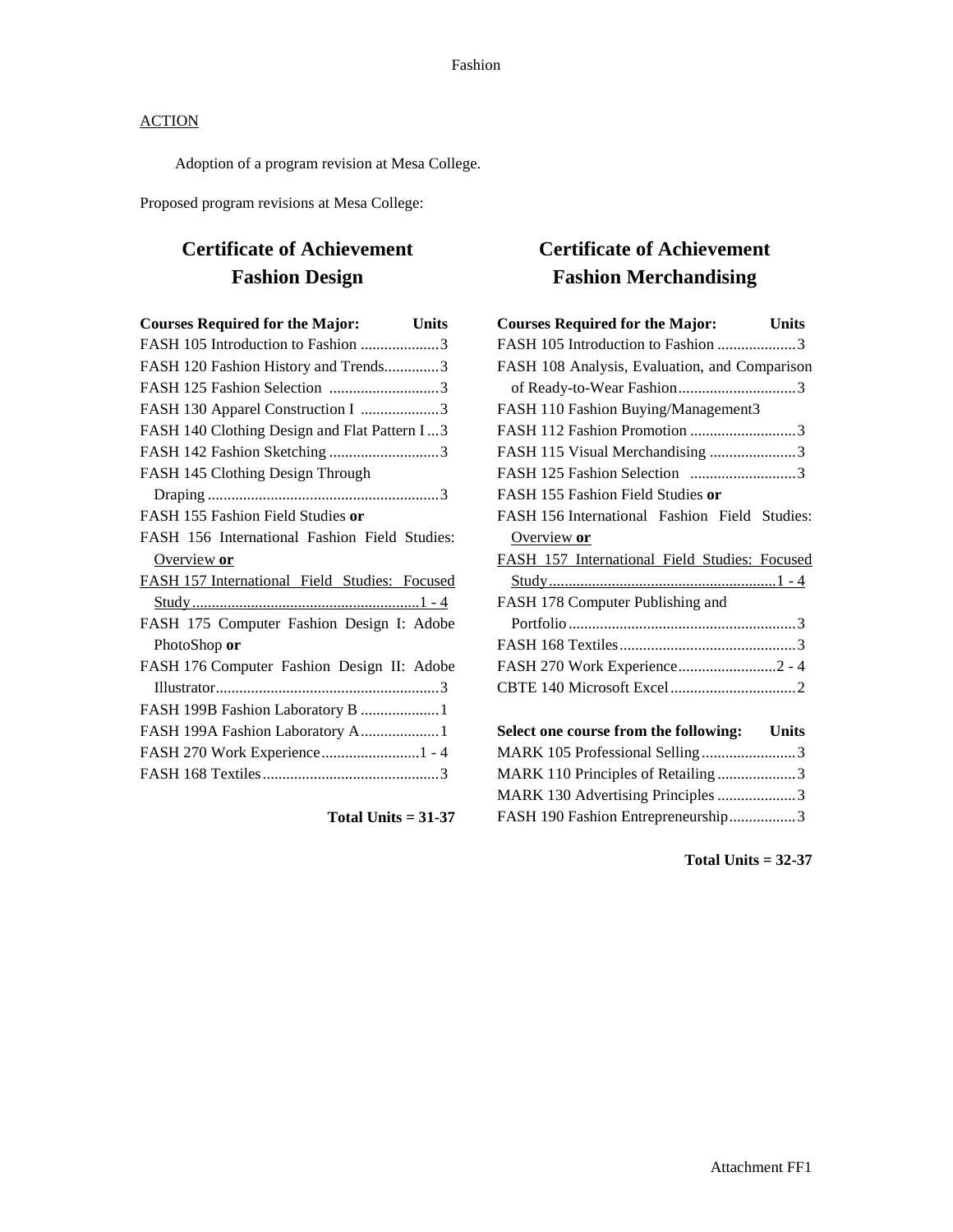Adoption of a program revision at Mesa College.

Proposed program revisions at Mesa College:

## **Certificate of Achievement Fashion Design**

| <b>Courses Required for the Major:</b>        | <b>Units</b> |
|-----------------------------------------------|--------------|
| FASH 105 Introduction to Fashion 3            |              |
| FASH 120 Fashion History and Trends3          |              |
| FASH 125 Fashion Selection 3                  |              |
| FASH 130 Apparel Construction I 3             |              |
| FASH 140 Clothing Design and Flat Pattern I3  |              |
| FASH 142 Fashion Sketching 3                  |              |
| FASH 145 Clothing Design Through              |              |
|                                               |              |
| FASH 155 Fashion Field Studies or             |              |
| FASH 156 International Fashion Field Studies: |              |
| Overview or                                   |              |
| FASH 157 International Field Studies: Focused |              |
|                                               |              |
| FASH 175 Computer Fashion Design I: Adobe     |              |
| PhotoShop or                                  |              |
| FASH 176 Computer Fashion Design II: Adobe    |              |
|                                               |              |
| FASH 199B Fashion Laboratory B  1             |              |
| FASH 199A Fashion Laboratory A1               |              |
| FASH 270 Work Experience  1 - 4               |              |
|                                               |              |
|                                               |              |

**Total Units = 31-37**

# **Certificate of Achievement Fashion Merchandising**

| <b>Courses Required for the Major:</b>        | <b>Units</b> |
|-----------------------------------------------|--------------|
| FASH 105 Introduction to Fashion 3            |              |
| FASH 108 Analysis, Evaluation, and Comparison |              |
|                                               |              |
| FASH 110 Fashion Buying/Management3           |              |
| FASH 112 Fashion Promotion 3                  |              |
| FASH 115 Visual Merchandising 3               |              |
|                                               |              |
| FASH 155 Fashion Field Studies or             |              |
| FASH 156 International Fashion Field Studies: |              |
| Overview or                                   |              |
| FASH 157 International Field Studies: Focused |              |
|                                               |              |
| FASH 178 Computer Publishing and              |              |
|                                               |              |
|                                               |              |
| FASH 270 Work Experience2 - 4                 |              |
|                                               |              |
| Select one course from the following: Units   |              |
| MARK 105 Professional Selling3                |              |
| MARK 110 Principles of Retailing 3            |              |
| MARK 130 Advertising Principles 3             |              |
| FASH 190 Fashion Entrepreneurship3            |              |

**Total Units = 32-37**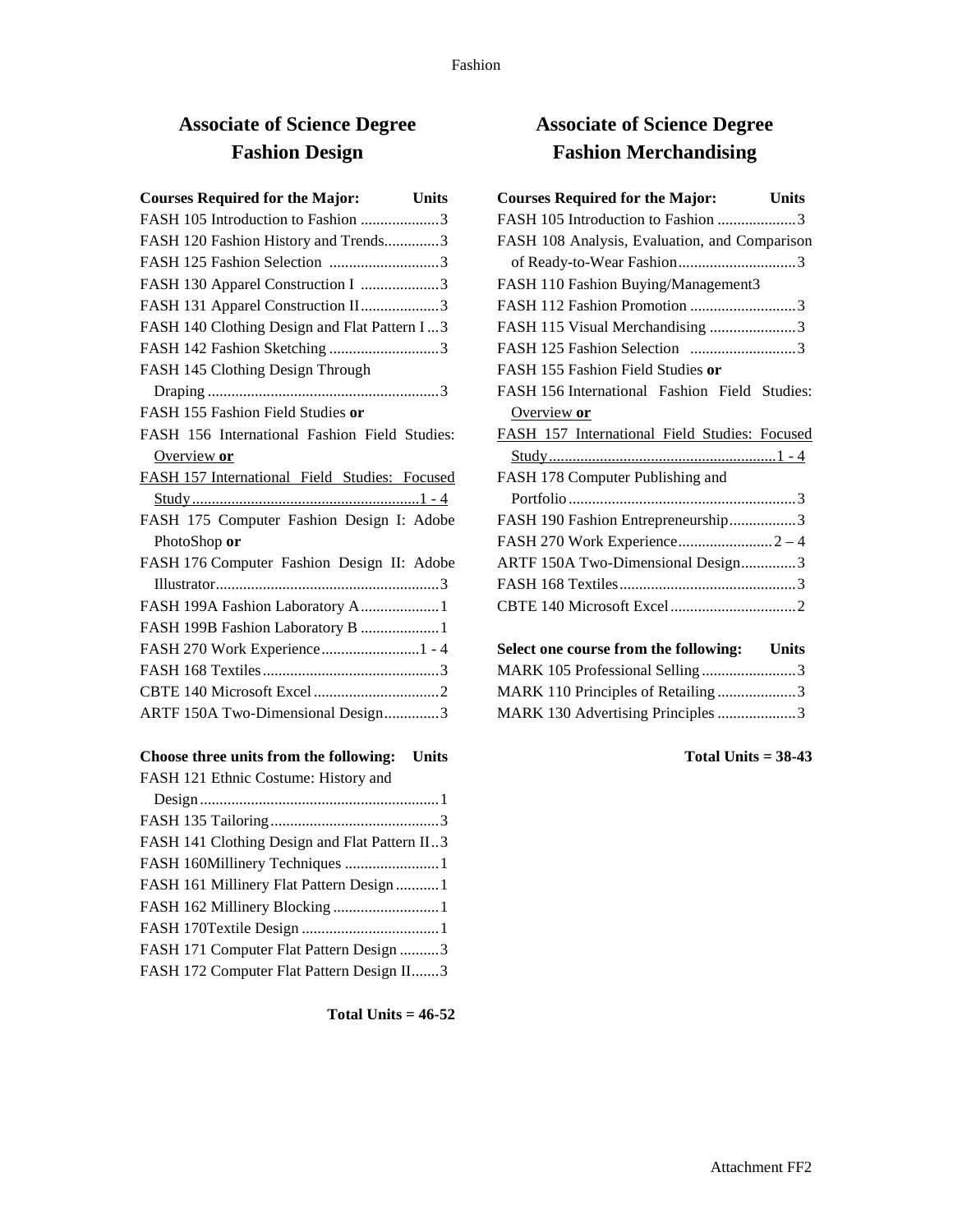# **Associate of Science Degree Fashion Design**

| <b>Courses Required for the Major:</b> Units  |              |
|-----------------------------------------------|--------------|
| FASH 105 Introduction to Fashion 3            |              |
| FASH 120 Fashion History and Trends3          |              |
| FASH 125 Fashion Selection 3                  |              |
| FASH 130 Apparel Construction I 3             |              |
| FASH 131 Apparel Construction II3             |              |
| FASH 140 Clothing Design and Flat Pattern I3  |              |
| FASH 142 Fashion Sketching 3                  |              |
| FASH 145 Clothing Design Through              |              |
|                                               |              |
| FASH 155 Fashion Field Studies or             |              |
| FASH 156 International Fashion Field Studies: |              |
| Overview or                                   |              |
| FASH 157 International Field Studies: Focused |              |
|                                               |              |
| FASH 175 Computer Fashion Design I: Adobe     |              |
| PhotoShop or                                  |              |
| FASH 176 Computer Fashion Design II: Adobe    |              |
|                                               |              |
| FASH 199A Fashion Laboratory A1               |              |
| FASH 199B Fashion Laboratory B  1             |              |
| FASH 270 Work Experience1 - 4                 |              |
|                                               |              |
|                                               |              |
| ARTF 150A Two-Dimensional Design3             |              |
| Choose three units from the following:        | <b>Units</b> |
| $FACH$ 121 $Fthnic$ Costume: History and      |              |

| FASH 121 Ethnic Costume: History and          |
|-----------------------------------------------|
|                                               |
|                                               |
| FASH 141 Clothing Design and Flat Pattern II3 |
| FASH 160Millinery Techniques 1                |
| FASH 161 Millinery Flat Pattern Design1       |
|                                               |
|                                               |
| FASH 171 Computer Flat Pattern Design 3       |
| FASH 172 Computer Flat Pattern Design II3     |
|                                               |

**Total Units = 46-52**

## **Associate of Science Degree Fashion Merchandising**

| <b>Courses Required for the Major:</b><br><b>Units</b> |  |
|--------------------------------------------------------|--|
| FASH 105 Introduction to Fashion 3                     |  |
| FASH 108 Analysis, Evaluation, and Comparison          |  |
|                                                        |  |
| FASH 110 Fashion Buying/Management3                    |  |
| FASH 112 Fashion Promotion 3                           |  |
| FASH 115 Visual Merchandising 3                        |  |
| FASH 125 Fashion Selection 3                           |  |
| FASH 155 Fashion Field Studies or                      |  |
| FASH 156 International Fashion Field Studies:          |  |
| Overview or                                            |  |
| FASH 157 International Field Studies: Focused          |  |
|                                                        |  |
| FASH 178 Computer Publishing and                       |  |
|                                                        |  |
| FASH 190 Fashion Entrepreneurship3                     |  |
|                                                        |  |
| ARTF 150A Two-Dimensional Design3                      |  |
|                                                        |  |
|                                                        |  |
|                                                        |  |
| Select one course from the following: Units            |  |
| MARK 105 Professional Selling3                         |  |
| MARK 110 Principles of Retailing 3                     |  |

MARK 130 Advertising Principles....................3

**Total Units = 38-43**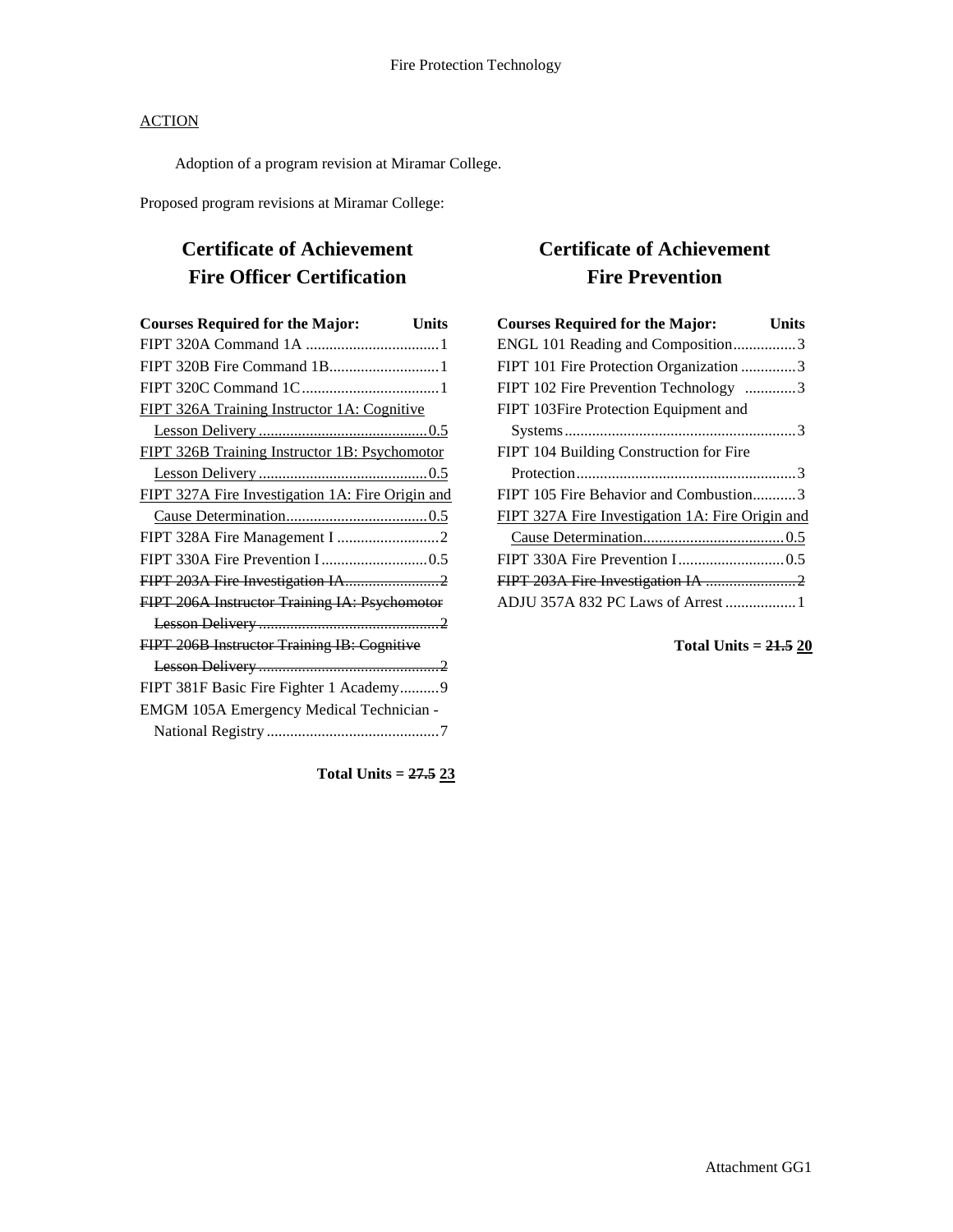Adoption of a program revision at Miramar College.

Proposed program revisions at Miramar College:

# **Certificate of Achievement Fire Officer Certification**

| <b>Courses Required for the Major:</b><br>Units  |
|--------------------------------------------------|
|                                                  |
|                                                  |
|                                                  |
| FIPT 326A Training Instructor 1A: Cognitive      |
|                                                  |
| FIPT 326B Training Instructor 1B: Psychomotor    |
|                                                  |
| FIPT 327A Fire Investigation 1A: Fire Origin and |
|                                                  |
|                                                  |
|                                                  |
|                                                  |
| FIPT 206A Instructor Training IA: Psychomotor    |
|                                                  |
| FIPT 206B Instructor Training IB: Cognitive      |
|                                                  |
| FIPT 381F Basic Fire Fighter 1 Academy9          |
| EMGM 105A Emergency Medical Technician -         |
|                                                  |

**Total Units = 27.5 23**

## **Certificate of Achievement Fire Prevention**

| <b>Courses Required for the Major:</b>           | Units |
|--------------------------------------------------|-------|
| ENGL 101 Reading and Composition3                |       |
| FIPT 101 Fire Protection Organization 3          |       |
| FIPT 102 Fire Prevention Technology 3            |       |
| FIPT 103Fire Protection Equipment and            |       |
|                                                  |       |
| FIPT 104 Building Construction for Fire          |       |
|                                                  |       |
| FIPT 105 Fire Behavior and Combustion3           |       |
| FIPT 327A Fire Investigation 1A: Fire Origin and |       |
|                                                  |       |
|                                                  |       |
|                                                  |       |
| ADJU 357A 832 PC Laws of Arrest  1               |       |

**Total Units = 21.5 20**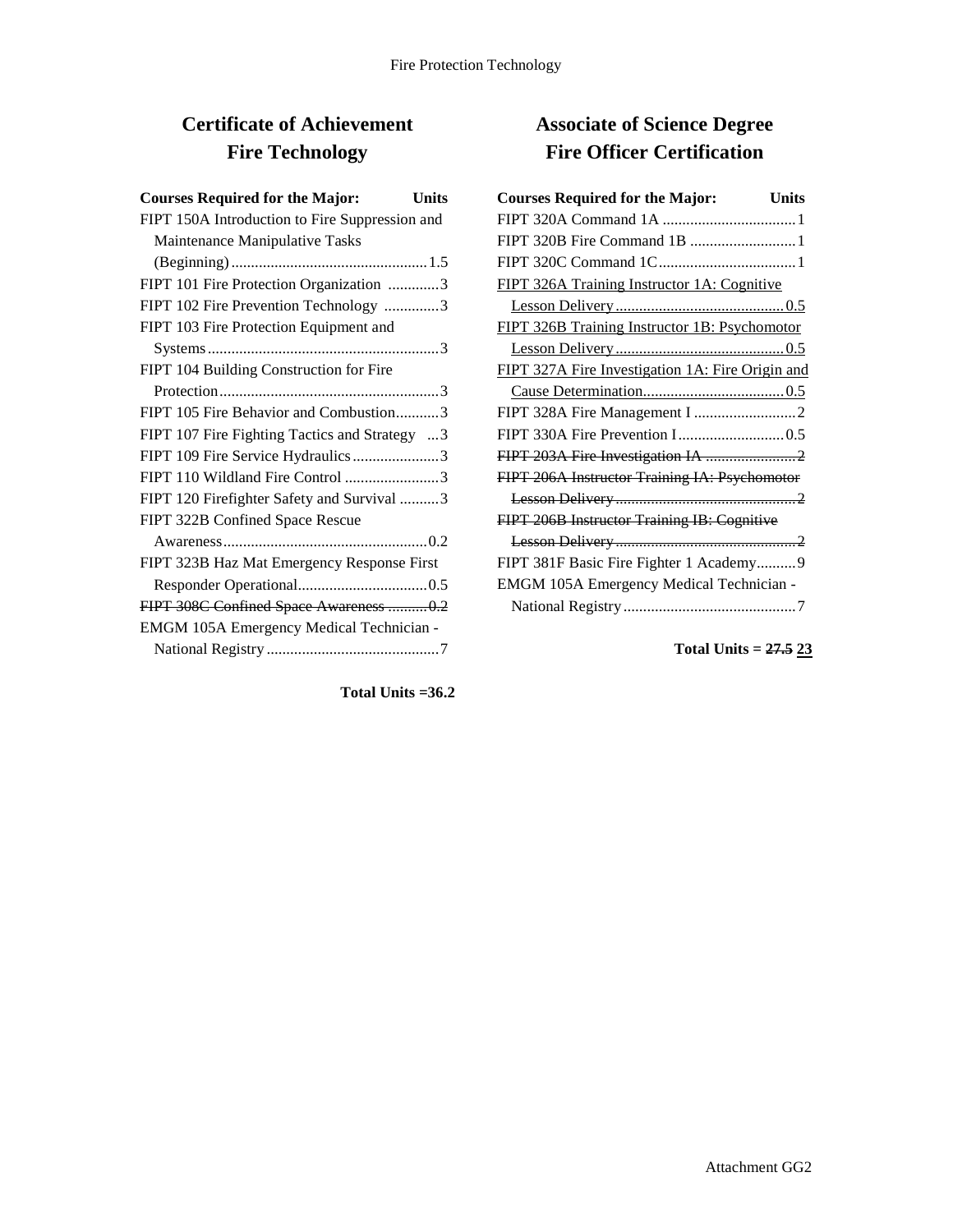# **Certificate of Achievement Fire Technology**

| <b>Courses Required for the Major:</b><br>Units |
|-------------------------------------------------|
| FIPT 150A Introduction to Fire Suppression and  |
| Maintenance Manipulative Tasks                  |
|                                                 |
| FIPT 101 Fire Protection Organization 3         |
| FIPT 102 Fire Prevention Technology 3           |
| FIPT 103 Fire Protection Equipment and          |
|                                                 |
| FIPT 104 Building Construction for Fire         |
|                                                 |
| FIPT 105 Fire Behavior and Combustion3          |
| FIPT 107 Fire Fighting Tactics and Strategy 3   |
| FIPT 109 Fire Service Hydraulics3               |
| FIPT 110 Wildland Fire Control 3                |
| FIPT 120 Firefighter Safety and Survival 3      |
| FIPT 322B Confined Space Rescue                 |
|                                                 |
| FIPT 323B Haz Mat Emergency Response First      |
|                                                 |
| FIPT 308C Confined Space Awareness  0.2         |
| EMGM 105A Emergency Medical Technician -        |
|                                                 |
|                                                 |

## **Associate of Science Degree Fire Officer Certification**

| <b>Courses Required for the Major:</b><br>Units  |
|--------------------------------------------------|
|                                                  |
|                                                  |
|                                                  |
| FIPT 326A Training Instructor 1A: Cognitive      |
|                                                  |
| FIPT 326B Training Instructor 1B: Psychomotor    |
|                                                  |
| FIPT 327A Fire Investigation 1A: Fire Origin and |
|                                                  |
|                                                  |
|                                                  |
|                                                  |
| FIPT 206A Instructor Training IA: Psychomotor    |
|                                                  |
| FIPT 206B Instructor Training IB: Cognitive      |
|                                                  |
| FIPT 381F Basic Fire Fighter 1 Academy9          |
| EMGM 105A Emergency Medical Technician -         |
|                                                  |

**Total Units = 27.5 23**

**Total Units =36.2**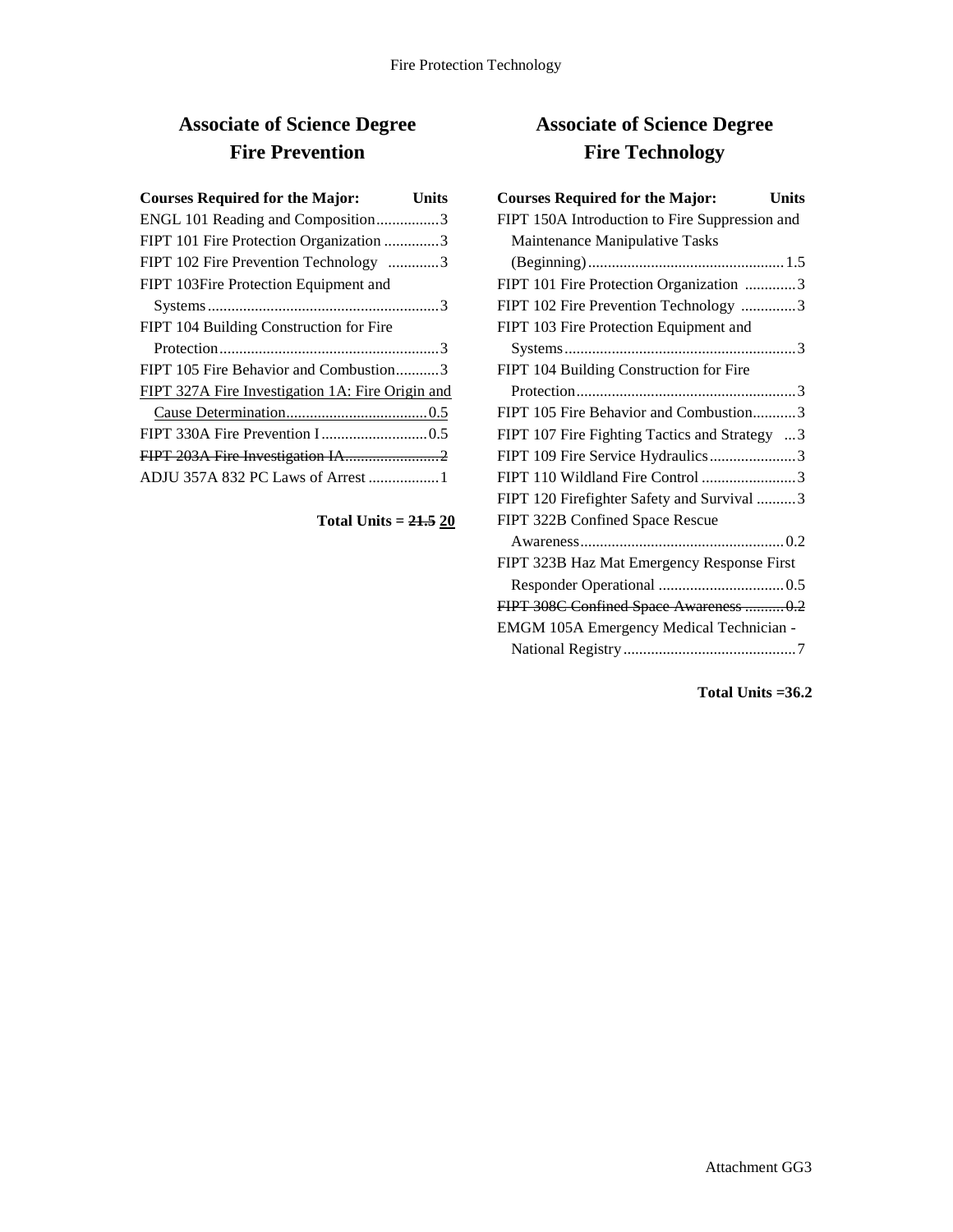# **Associate of Science Degree Fire Prevention**

| <b>Courses Required for the Major:</b>           | Units |
|--------------------------------------------------|-------|
| ENGL 101 Reading and Composition3                |       |
| FIPT 101 Fire Protection Organization 3          |       |
| FIPT 102 Fire Prevention Technology 3            |       |
| FIPT 103Fire Protection Equipment and            |       |
|                                                  |       |
| FIPT 104 Building Construction for Fire          |       |
|                                                  |       |
| FIPT 105 Fire Behavior and Combustion3           |       |
| FIPT 327A Fire Investigation 1A: Fire Origin and |       |
|                                                  |       |
|                                                  |       |
|                                                  |       |
| ADJU 357A 832 PC Laws of Arrest 1                |       |

## **Total Units = 21.5 20**

# **Associate of Science Degree Fire Technology**

| <b>Courses Required for the Major:</b><br>Units |
|-------------------------------------------------|
| FIPT 150A Introduction to Fire Suppression and  |
| Maintenance Manipulative Tasks                  |
|                                                 |
| FIPT 101 Fire Protection Organization 3         |
| FIPT 102 Fire Prevention Technology 3           |
| FIPT 103 Fire Protection Equipment and          |
|                                                 |
| FIPT 104 Building Construction for Fire         |
|                                                 |
| FIPT 105 Fire Behavior and Combustion3          |
| FIPT 107 Fire Fighting Tactics and Strategy 3   |
| FIPT 109 Fire Service Hydraulics3               |
| FIPT 110 Wildland Fire Control 3                |
| FIPT 120 Firefighter Safety and Survival 3      |
| FIPT 322B Confined Space Rescue                 |
|                                                 |
| FIPT 323B Haz Mat Emergency Response First      |
|                                                 |
| FIPT 308C Confined Space Awareness  0.2         |
| EMGM 105A Emergency Medical Technician -        |
|                                                 |

**Total Units =36.2**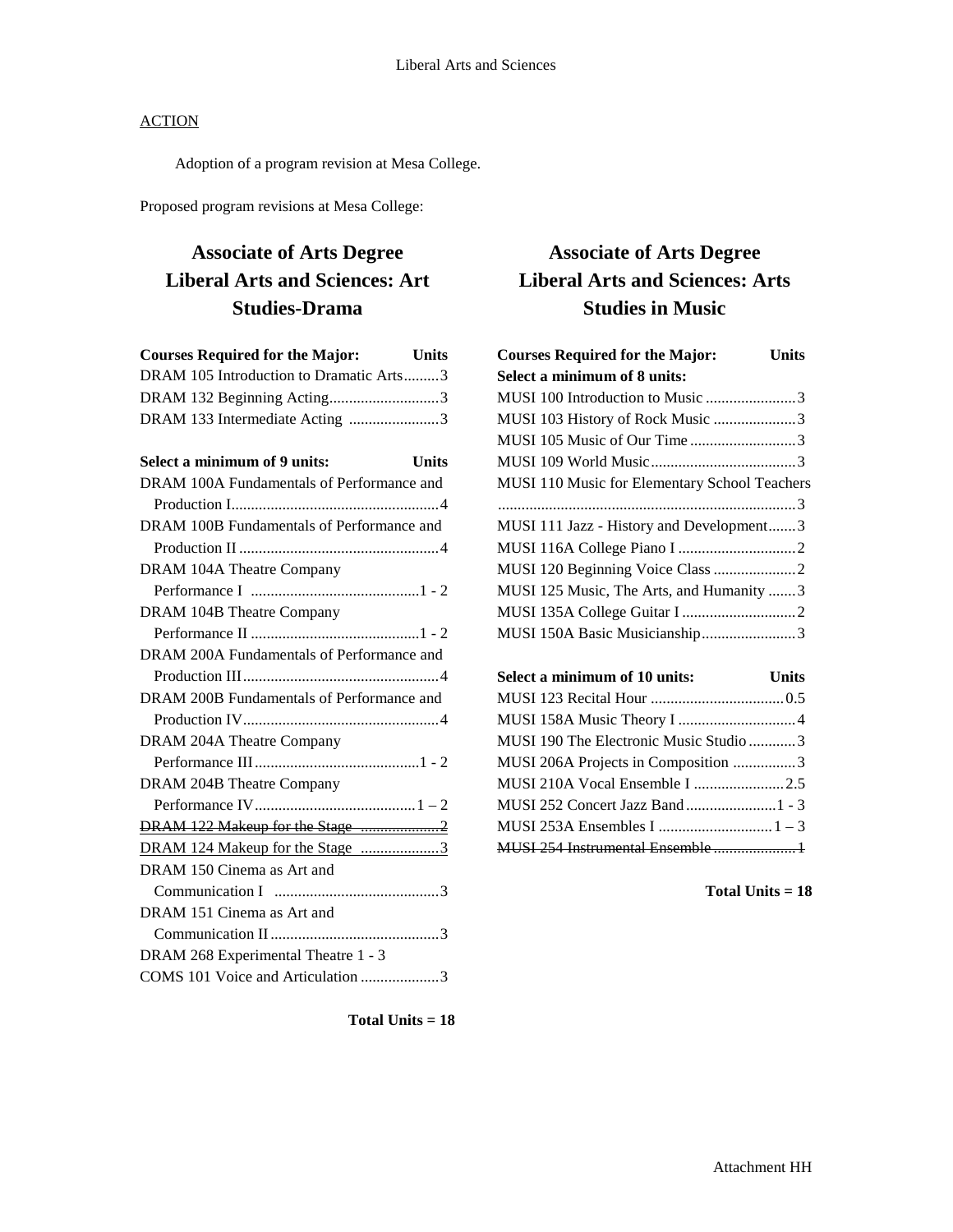Adoption of a program revision at Mesa College.

Proposed program revisions at Mesa College:

## **Associate of Arts Degree Liberal Arts and Sciences: Art Studies-Drama**

| <b>Courses Required for the Major:</b><br><b>Example 1</b> Units |
|------------------------------------------------------------------|
| DRAM 105 Introduction to Dramatic Arts3                          |
| DRAM 132 Beginning Acting3                                       |
| DRAM 133 Intermediate Acting 3                                   |
|                                                                  |
| Select a minimum of 9 units:<br><b>Units</b>                     |
| DRAM 100A Fundamentals of Performance and                        |
|                                                                  |
| DRAM 100B Fundamentals of Performance and                        |
|                                                                  |
| DRAM 104A Theatre Company                                        |
|                                                                  |
| DRAM 104B Theatre Company                                        |
|                                                                  |
| DRAM 200A Fundamentals of Performance and                        |
|                                                                  |
| DRAM 200B Fundamentals of Performance and                        |
|                                                                  |
| DRAM 204A Theatre Company                                        |
|                                                                  |
| DRAM 204B Theatre Company                                        |
|                                                                  |
| DRAM 122 Makeup for the Stage 2                                  |
| DRAM 124 Makeup for the Stage 3                                  |
| DRAM 150 Cinema as Art and                                       |
|                                                                  |
| DRAM 151 Cinema as Art and                                       |
|                                                                  |
| DRAM 268 Experimental Theatre 1 - 3                              |
| COMS 101 Voice and Articulation 3                                |
|                                                                  |

# **Associate of Arts Degree Liberal Arts and Sciences: Arts Studies in Music**

| <b>Courses Required for the Major:</b>        | <b>Units</b> |
|-----------------------------------------------|--------------|
| Select a minimum of 8 units:                  |              |
| MUSI 100 Introduction to Music 3              |              |
| MUSI 103 History of Rock Music 3              |              |
| MUSI 105 Music of Our Time3                   |              |
|                                               |              |
| MUSI 110 Music for Elementary School Teachers |              |
|                                               |              |
| MUSI 111 Jazz - History and Development3      |              |
|                                               |              |
|                                               |              |
| MUSI 125 Music, The Arts, and Humanity 3      |              |
|                                               |              |
| MUSI 150A Basic Musicianship3                 |              |
|                                               |              |
|                                               |              |

| Select a minimum of 10 units:          | <b>Units</b> |
|----------------------------------------|--------------|
|                                        |              |
|                                        |              |
| MUSI 190 The Electronic Music Studio 3 |              |
| MUSI 206A Projects in Composition 3    |              |
|                                        |              |
|                                        |              |
|                                        |              |
|                                        |              |

**Total Units = 18**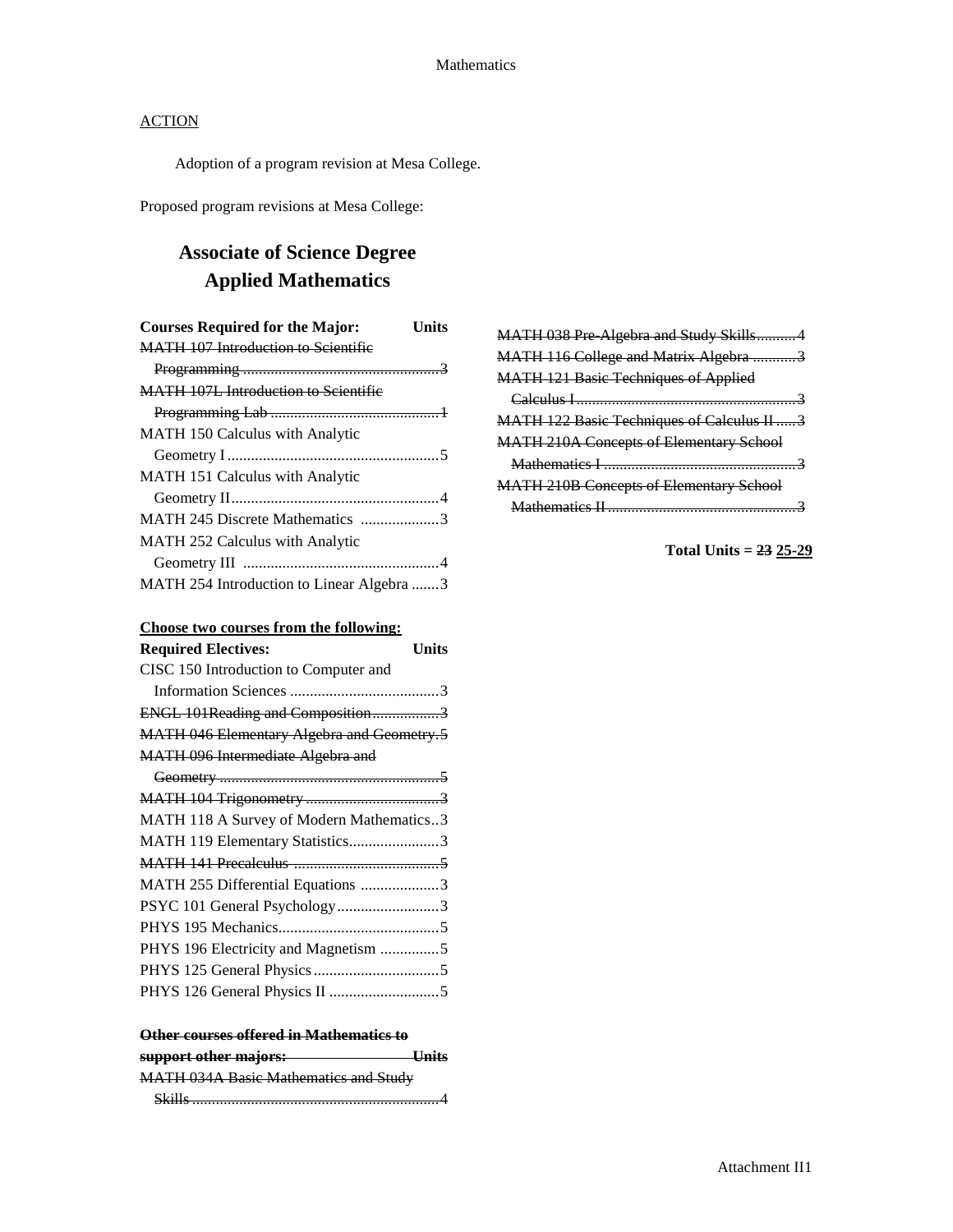Adoption of a program revision at Mesa College.

Proposed program revisions at Mesa College:

# **Associate of Science Degree Applied Mathematics**

| <b>Courses Required for the Major:</b><br>Units |
|-------------------------------------------------|
| <b>MATH 107 Introduction to Scientific</b>      |
|                                                 |
| <b>MATH 107L Introduction to Scientific</b>     |
|                                                 |
| <b>MATH 150 Calculus with Analytic</b>          |
|                                                 |
| <b>MATH 151 Calculus with Analytic</b>          |
|                                                 |
| MATH 245 Discrete Mathematics 3                 |
| <b>MATH 252 Calculus with Analytic</b>          |
|                                                 |
| MATH 254 Introduction to Linear Algebra 3       |

| Choose two courses from the following: |  |  |  |  |  |  |
|----------------------------------------|--|--|--|--|--|--|
|----------------------------------------|--|--|--|--|--|--|

#### **Other courses offered in Mathematics to**

| support other majors:                        | $\blacksquare$ |
|----------------------------------------------|----------------|
| <b>MATH 034A Basic Mathematics and Study</b> |                |
| <b>S1.411.</b>                               |                |

| MATH 038 Pre Algebra and Study Skills4         |
|------------------------------------------------|
| MATH 116 College and Matrix Algebra 3          |
| <b>MATH 121 Basic Techniques of Applied</b>    |
|                                                |
| MATH 122 Basic Techniques of Calculus II  3    |
| <b>MATH 210A Concepts of Elementary School</b> |
|                                                |
| <b>MATH 210B Concepts of Elementary School</b> |
|                                                |
|                                                |

**Total Units = 23 25-29**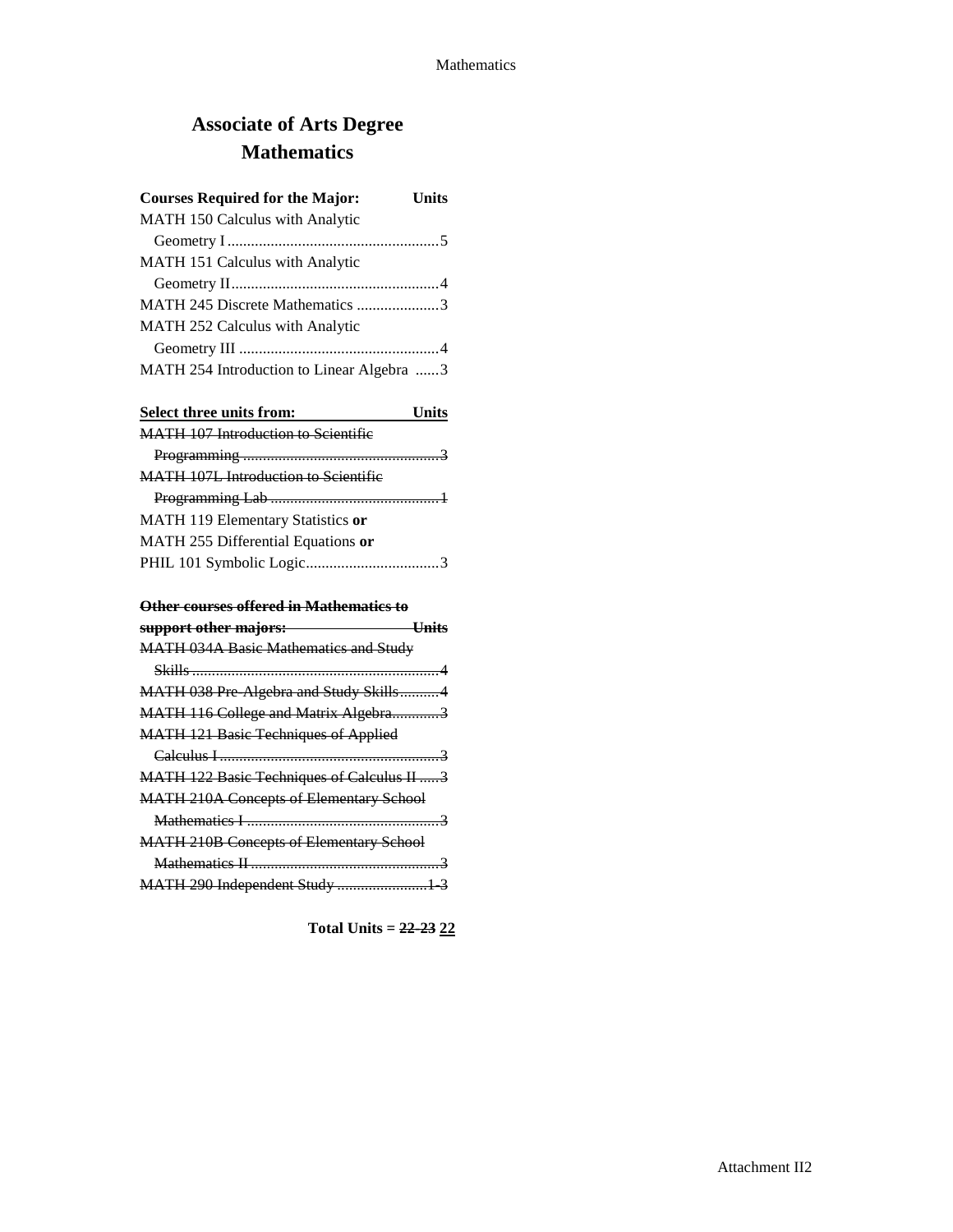# **Associate of Arts Degree Mathematics**

| <b>Courses Required for the Major:</b>    | <b>Units</b> |
|-------------------------------------------|--------------|
| MATH 150 Calculus with Analytic           |              |
|                                           |              |
| MATH 151 Calculus with Analytic           |              |
|                                           |              |
| MATH 245 Discrete Mathematics 3           |              |
| <b>MATH 252 Calculus with Analytic</b>    |              |
|                                           |              |
| MATH 254 Introduction to Linear Algebra 3 |              |

| Select three units from:                   | Units |
|--------------------------------------------|-------|
| <b>MATH 107 Introduction to Scientific</b> |       |
|                                            |       |
| MATH 107L Introduction to Scientific       |       |
|                                            |       |
| MATH 119 Elementary Statistics or          |       |
| MATH 255 Differential Equations or         |       |
|                                            |       |
|                                            |       |

#### **Other courses offered in Mathematics to**

| support other majors:                             |  |
|---------------------------------------------------|--|
| <b>MATH 034A Basic Mathematics and Study</b>      |  |
|                                                   |  |
| MATH 038 Pre Algebra and Study Skills4            |  |
| MATH 116 College and Matrix Algebra3              |  |
| <b>MATH 121 Basic Techniques of Applied</b>       |  |
|                                                   |  |
| <b>MATH 122 Basic Techniques of Calculus II 3</b> |  |
| <b>MATH 210A Concepts of Elementary School</b>    |  |
|                                                   |  |
| <b>MATH 210B Concepts of Elementary School</b>    |  |
|                                                   |  |
| MATH 290 Independent Study  1 3                   |  |
|                                                   |  |

**Total Units = 22-23 22**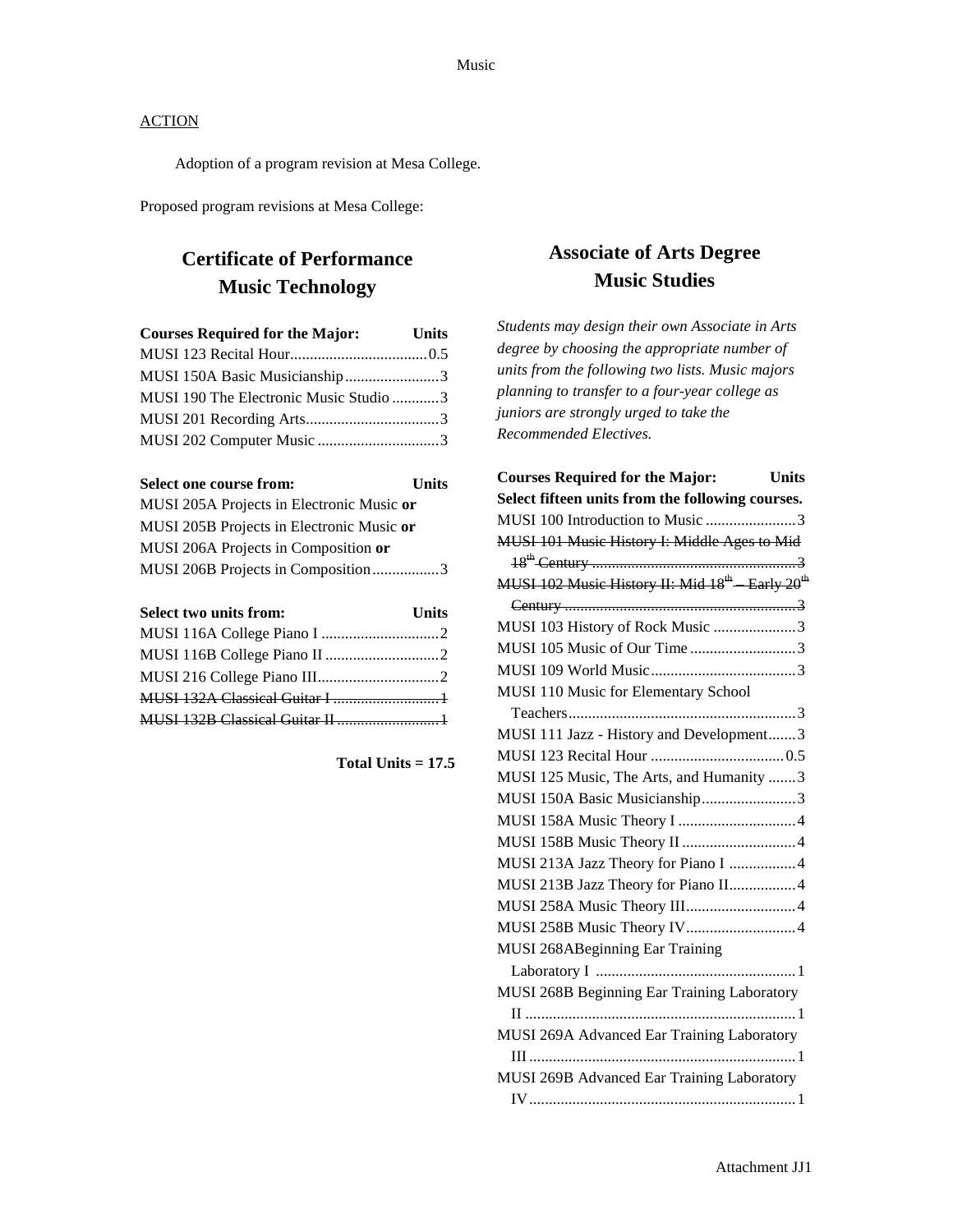Adoption of a program revision at Mesa College.

Proposed program revisions at Mesa College:

# **Certificate of Performance Music Technology**

| <b>Courses Required for the Major:</b> | <b>Units</b> |
|----------------------------------------|--------------|
|                                        |              |
| MUSI 150A Basic Musicianship3          |              |
| MUSI 190 The Electronic Music Studio 3 |              |
|                                        |              |
|                                        |              |

| Select one course from:                   | <b>Units</b> |
|-------------------------------------------|--------------|
| MUSI 205A Projects in Electronic Music or |              |
| MUSI 205B Projects in Electronic Music or |              |
| MUSI 206A Projects in Composition or      |              |
| MUSI 206B Projects in Composition3        |              |

| Select two units from: | <b>Units</b> |
|------------------------|--------------|
|                        |              |
|                        |              |
|                        |              |
|                        |              |
|                        |              |

**Total Units = 17.5**

## **Associate of Arts Degree Music Studies**

*Students may design their own Associate in Arts degree by choosing the appropriate number of units from the following two lists. Music majors planning to transfer to a four-year college as juniors are strongly urged to take the Recommended Electives.*

| Units<br><b>Courses Required for the Major:</b>                        |
|------------------------------------------------------------------------|
| Select fifteen units from the following courses.                       |
| MUSI 100 Introduction to Music 3                                       |
| MUSI 101 Music History I: Middle Ages to Mid                           |
|                                                                        |
| MUSI 102 Music History II: Mid 18 <sup>th</sup> Early 20 <sup>th</sup> |
|                                                                        |
| MUSI 103 History of Rock Music 3                                       |
| MUSI 105 Music of Our Time3                                            |
|                                                                        |
| MUSI 110 Music for Elementary School                                   |
|                                                                        |
| MUSI 111 Jazz - History and Development3                               |
|                                                                        |
| MUSI 125 Music, The Arts, and Humanity 3                               |
| MUSI 150A Basic Musicianship3                                          |
|                                                                        |
|                                                                        |
| MUSI 213A Jazz Theory for Piano I 4                                    |
| MUSI 213B Jazz Theory for Piano II4                                    |
| MUSI 258A Music Theory III 4                                           |
| MUSI 258B Music Theory IV4                                             |
| MUSI 268ABeginning Ear Training                                        |
|                                                                        |
| MUSI 268B Beginning Ear Training Laboratory                            |
|                                                                        |
| MUSI 269A Advanced Ear Training Laboratory                             |
|                                                                        |
| MUSI 269B Advanced Ear Training Laboratory                             |
|                                                                        |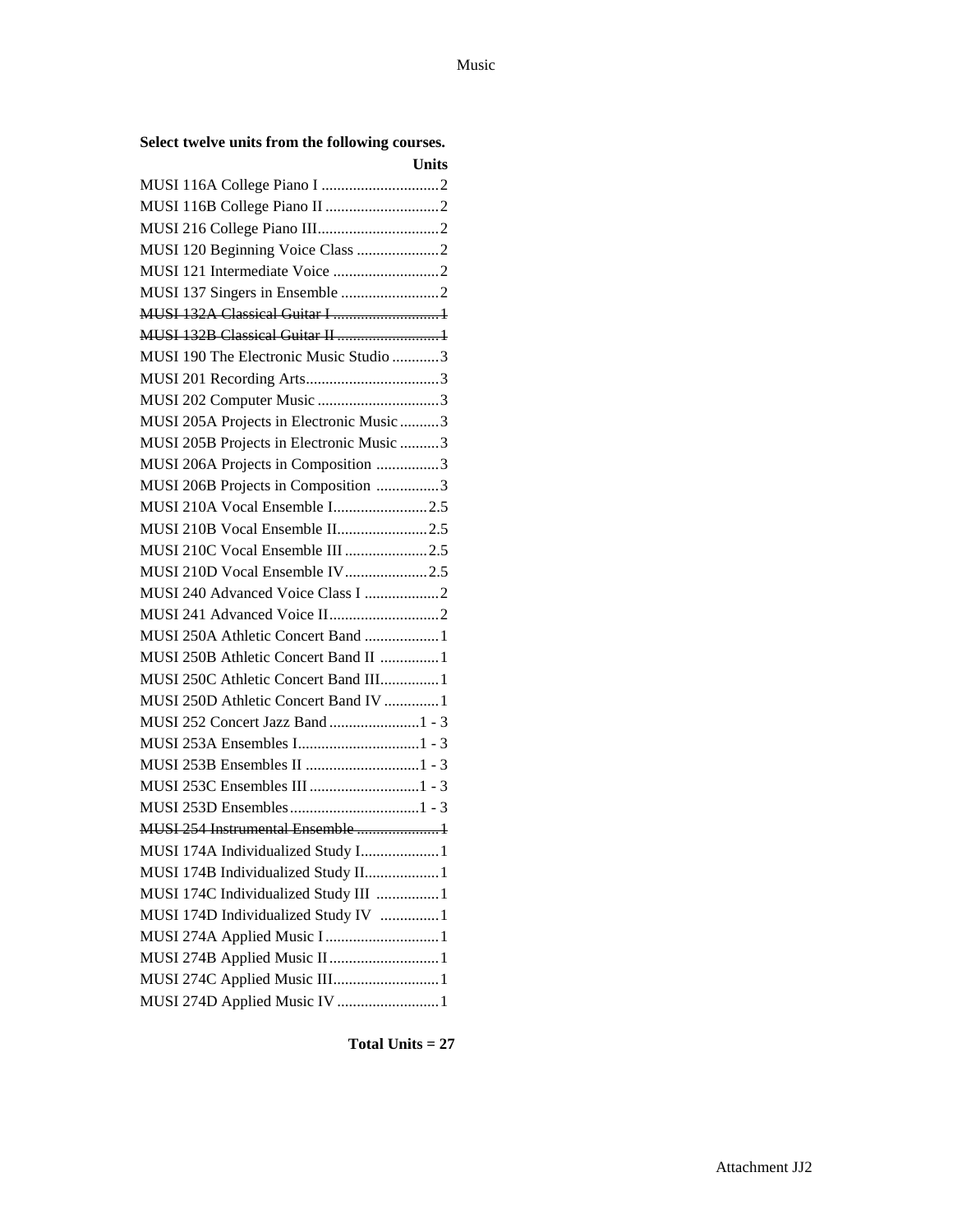| Select twelve units from the following courses. |  |  |  |  |  |
|-------------------------------------------------|--|--|--|--|--|
|-------------------------------------------------|--|--|--|--|--|

|                                          | <b>Units</b> |
|------------------------------------------|--------------|
|                                          |              |
|                                          |              |
|                                          |              |
| MUSI 120 Beginning Voice Class 2         |              |
|                                          |              |
|                                          |              |
| MUSI 132A Classical Guitar I 1           |              |
| MUSI 132B Classical Guitar II 1          |              |
| MUSI 190 The Electronic Music Studio 3   |              |
|                                          |              |
| MUSI 202 Computer Music 3                |              |
| MUSI 205A Projects in Electronic Music 3 |              |
| MUSI 205B Projects in Electronic Music 3 |              |
| MUSI 206A Projects in Composition 3      |              |
| MUSI 206B Projects in Composition 3      |              |
| MUSI 210A Vocal Ensemble I2.5            |              |
| MUSI 210B Vocal Ensemble II2.5           |              |
| MUSI 210C Vocal Ensemble III 2.5         |              |
| MUSI 210D Vocal Ensemble IV2.5           |              |
| MUSI 240 Advanced Voice Class I 2        |              |
|                                          |              |
| MUSI 250A Athletic Concert Band  1       |              |
| MUSI 250B Athletic Concert Band II  1    |              |
| MUSI 250C Athletic Concert Band III 1    |              |
| MUSI 250D Athletic Concert Band IV  1    |              |
|                                          |              |
|                                          |              |
|                                          |              |
|                                          |              |
|                                          |              |
| MUSI 254 Instrumental Ensemble 1         |              |
| MUSI 174A Individualized Study I 1       |              |
| MUSI 174B Individualized Study II 1      |              |
| MUSI 174C Individualized Study III 1     |              |
| MUSI 174D Individualized Study IV 1      |              |
| MUSI 274A Applied Music I 1              |              |
| MUSI 274B Applied Music II1              |              |
| MUSI 274C Applied Music III1             |              |
| MUSI 274D Applied Music IV 1             |              |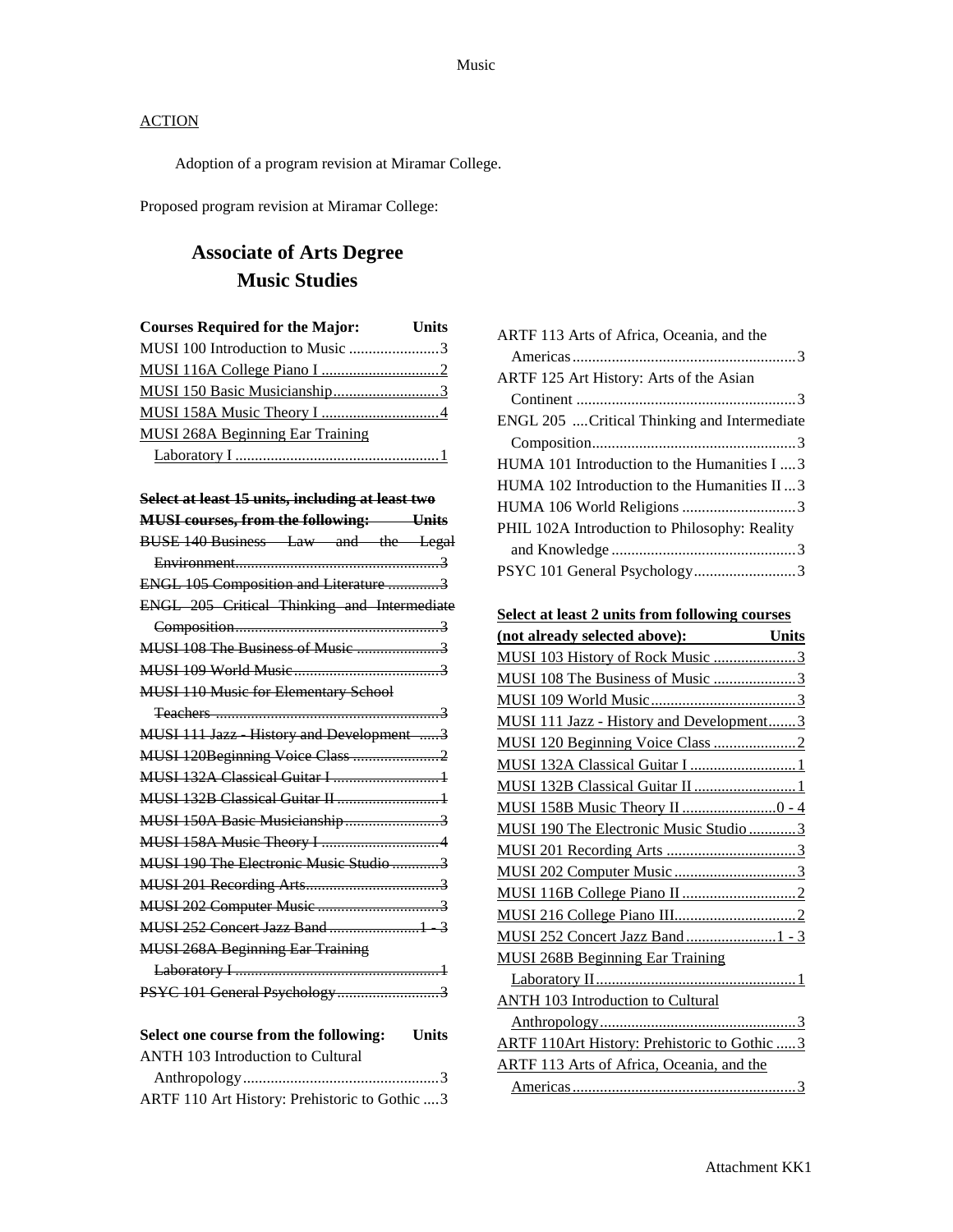Adoption of a program revision at Miramar College.

Proposed program revision at Miramar College:

## **Associate of Arts Degree Music Studies**

| <b>Courses Required for the Major:</b> Units |  |
|----------------------------------------------|--|
| MUSI 100 Introduction to Music 3             |  |
|                                              |  |
|                                              |  |
|                                              |  |
| <b>MUSI 268A Beginning Ear Training</b>      |  |
|                                              |  |

| Select at least 15 units, including at least two      |
|-------------------------------------------------------|
| <b>MUSI courses, from the following: Units</b>        |
| BUSE 140 Business Law and the Legal                   |
|                                                       |
| ENGL 105 Composition and Literature 3                 |
| ENGL 205 Critical Thinking and Intermediate           |
|                                                       |
|                                                       |
|                                                       |
| <b>MUSI 110 Music for Elementary School</b>           |
|                                                       |
| MUSI 111 Jazz History and Development 3               |
| MUSI 120Beginning Voice Class 2                       |
| <b>MUSI 132A Classical Guitar I 1</b>                 |
|                                                       |
| MUSI 150A Basic Musicianship3                         |
|                                                       |
| MUSI 190 The Electronic Music Studio 3                |
|                                                       |
|                                                       |
|                                                       |
| <b>MUSI 268A Beginning Ear Training</b>               |
|                                                       |
| PSYC 101 General Psychology3                          |
| Select one course from the following:<br><b>Units</b> |

| ANTH 103 Introduction to Cultural             |  |
|-----------------------------------------------|--|
|                                               |  |
| ARTF 110 Art History: Prehistoric to Gothic 3 |  |
|                                               |  |

| ARTF 113 Arts of Africa, Oceania, and the     |
|-----------------------------------------------|
|                                               |
| ARTF 125 Art History: Arts of the Asian       |
|                                               |
| ENGL 205  Critical Thinking and Intermediate  |
|                                               |
| HUMA 101 Introduction to the Humanities I  3  |
| HUMA 102 Introduction to the Humanities II  3 |
|                                               |
| PHIL 102A Introduction to Philosophy: Reality |
|                                               |
| PSYC 101 General Psychology3                  |

**Select at least 2 units from following courses**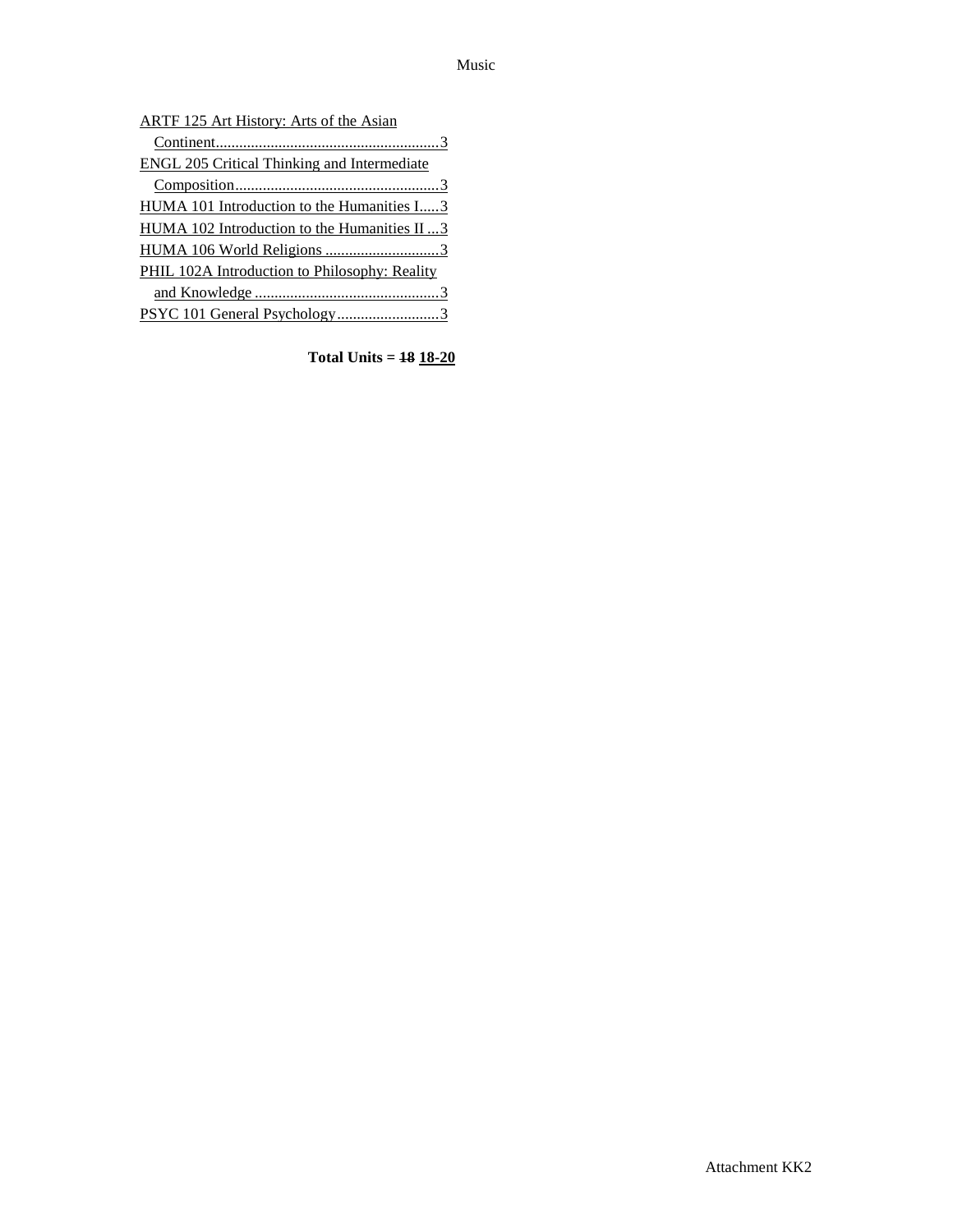| ARTF 125 Art History: Arts of the Asian              |
|------------------------------------------------------|
|                                                      |
| <b>ENGL 205 Critical Thinking and Intermediate</b>   |
|                                                      |
| HUMA 101 Introduction to the Humanities I3           |
| HUMA 102 Introduction to the Humanities II 3         |
|                                                      |
| <b>PHIL 102A Introduction to Philosophy: Reality</b> |
|                                                      |
| PSYC 101 General Psychology3                         |
|                                                      |

**Total Units = 18 18-20**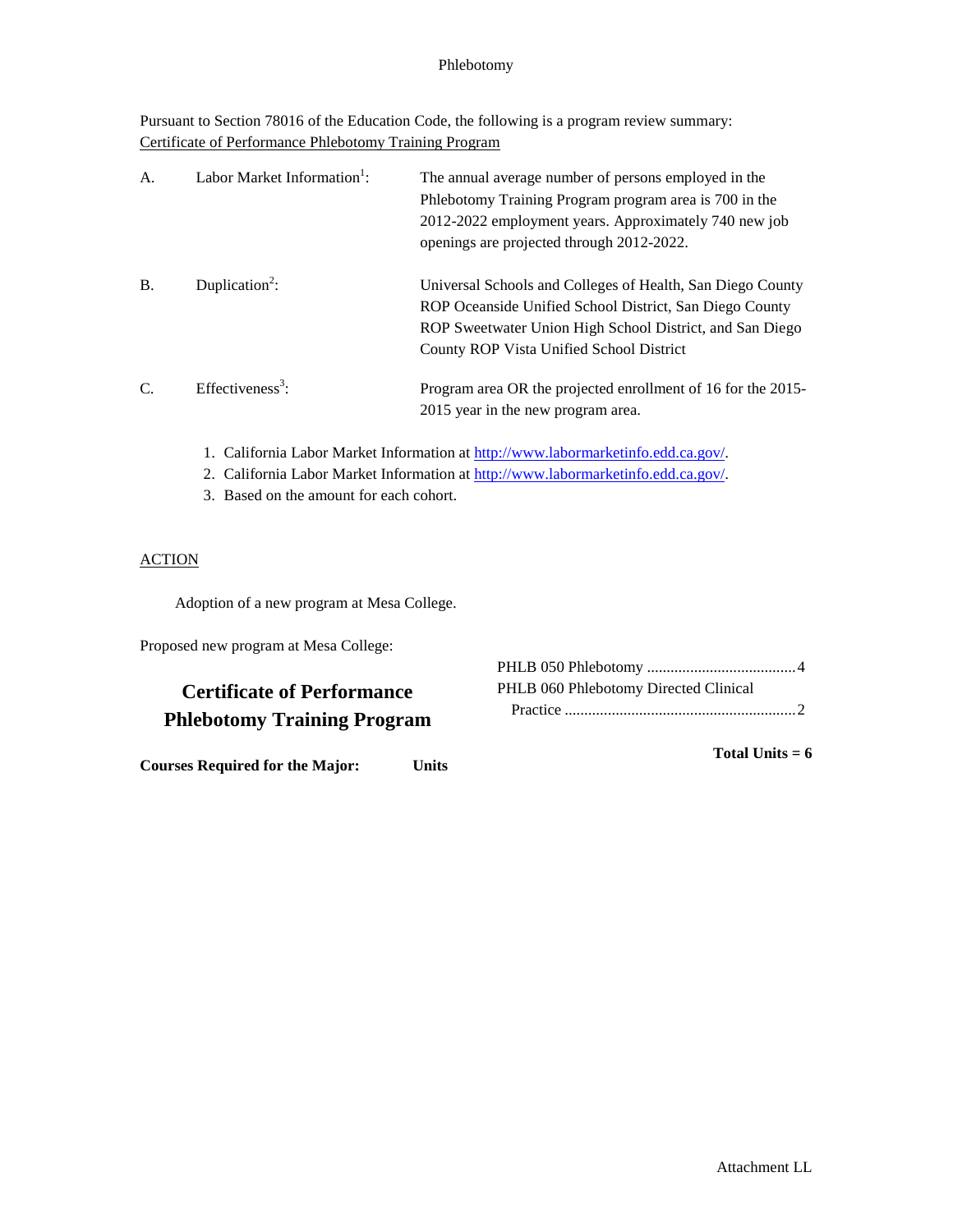### Phlebotomy

Pursuant to Section 78016 of the Education Code, the following is a program review summary: Certificate of Performance Phlebotomy Training Program

| A <sub>1</sub> | Labor Market Information <sup>1</sup> : | The annual average number of persons employed in the<br>Phlebotomy Training Program program area is 700 in the<br>2012-2022 employment years. Approximately 740 new job<br>openings are projected through 2012-2022.          |
|----------------|-----------------------------------------|-------------------------------------------------------------------------------------------------------------------------------------------------------------------------------------------------------------------------------|
| <b>B.</b>      | Duplication <sup>2</sup> :              | Universal Schools and Colleges of Health, San Diego County<br>ROP Oceanside Unified School District, San Diego County<br>ROP Sweetwater Union High School District, and San Diego<br>County ROP Vista Unified School District |
| C.             | Effectiveness <sup>3</sup> :            | Program area OR the projected enrollment of 16 for the 2015-<br>2015 year in the new program area.                                                                                                                            |

- 1. California Labor Market Information at [http://www.labormarketinfo.edd.ca.gov/.](http://www.labormarketinfo.edd.ca.gov/)
- 2. California Labor Market Information at [http://www.labormarketinfo.edd.ca.gov/.](http://www.labormarketinfo.edd.ca.gov/)
- 3. Based on the amount for each cohort.

### **ACTION**

Adoption of a new program at Mesa College.

Proposed new program at Mesa College:

## **Certificate of Performance Phlebotomy Training Program**

**Courses Required for the Major: Units**

| PHLB 060 Phlebotomy Directed Clinical |
|---------------------------------------|
|                                       |